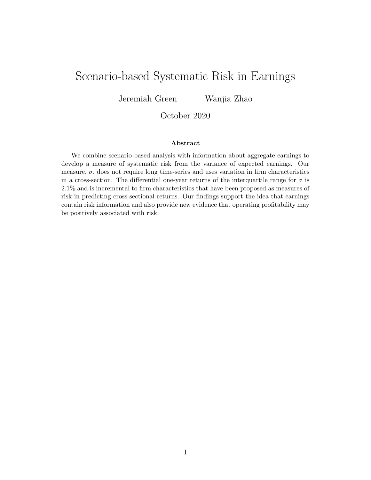# Scenario-based Systematic Risk in Earnings

Jeremiah Green Wanjia Zhao

### October 2020

#### Abstract

We combine scenario-based analysis with information about aggregate earnings to develop a measure of systematic risk from the variance of expected earnings. Our measure,  $\sigma$ , does not require long time-series and uses variation in firm characteristics in a cross-section. The differential one-year returns of the interquartile range for  $\sigma$  is 2.1% and is incremental to firm characteristics that have been proposed as measures of risk in predicting cross-sectional returns. Our findings support the idea that earnings contain risk information and also provide new evidence that operating profitability may be positively associated with risk.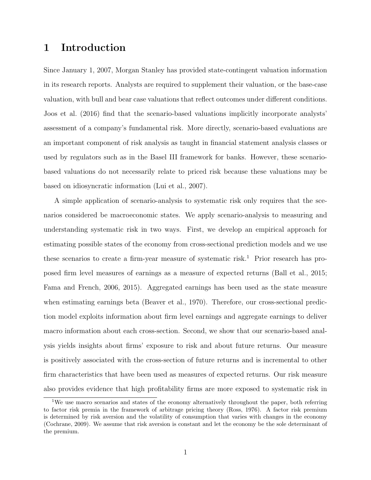## 1 Introduction

Since January 1, 2007, Morgan Stanley has provided state-contingent valuation information in its research reports. Analysts are required to supplement their valuation, or the base-case valuation, with bull and bear case valuations that reflect outcomes under different conditions. Joos et al. (2016) find that the scenario-based valuations implicitly incorporate analysts' assessment of a company's fundamental risk. More directly, scenario-based evaluations are an important component of risk analysis as taught in financial statement analysis classes or used by regulators such as in the Basel III framework for banks. However, these scenariobased valuations do not necessarily relate to priced risk because these valuations may be based on idiosyncratic information (Lui et al., 2007).

A simple application of scenario-analysis to systematic risk only requires that the scenarios considered be macroeconomic states. We apply scenario-analysis to measuring and understanding systematic risk in two ways. First, we develop an empirical approach for estimating possible states of the economy from cross-sectional prediction models and we use these scenarios to create a firm-year measure of systematic risk.<sup>1</sup> Prior research has proposed firm level measures of earnings as a measure of expected returns (Ball et al., 2015; Fama and French, 2006, 2015). Aggregated earnings has been used as the state measure when estimating earnings beta (Beaver et al., 1970). Therefore, our cross-sectional prediction model exploits information about firm level earnings and aggregate earnings to deliver macro information about each cross-section. Second, we show that our scenario-based analysis yields insights about firms' exposure to risk and about future returns. Our measure is positively associated with the cross-section of future returns and is incremental to other firm characteristics that have been used as measures of expected returns. Our risk measure also provides evidence that high profitability firms are more exposed to systematic risk in

<sup>&</sup>lt;sup>1</sup>We use macro scenarios and states of the economy alternatively throughout the paper, both referring to factor risk premia in the framework of arbitrage pricing theory (Ross, 1976). A factor risk premium is determined by risk aversion and the volatility of consumption that varies with changes in the economy (Cochrane, 2009). We assume that risk aversion is constant and let the economy be the sole determinant of the premium.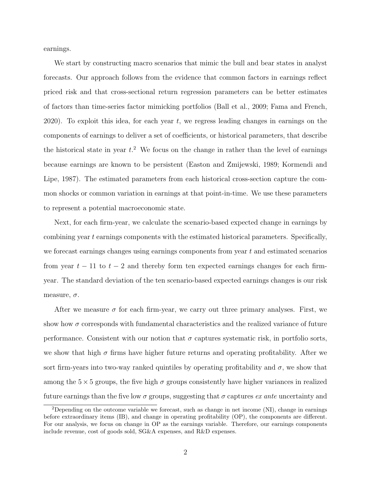earnings.

We start by constructing macro scenarios that mimic the bull and bear states in analyst forecasts. Our approach follows from the evidence that common factors in earnings reflect priced risk and that cross-sectional return regression parameters can be better estimates of factors than time-series factor mimicking portfolios (Ball et al., 2009; Fama and French, 2020). To exploit this idea, for each year  $t$ , we regress leading changes in earnings on the components of earnings to deliver a set of coefficients, or historical parameters, that describe the historical state in year  $t$ <sup>2</sup>. We focus on the change in rather than the level of earnings because earnings are known to be persistent (Easton and Zmijewski, 1989; Kormendi and Lipe, 1987). The estimated parameters from each historical cross-section capture the common shocks or common variation in earnings at that point-in-time. We use these parameters to represent a potential macroeconomic state.

Next, for each firm-year, we calculate the scenario-based expected change in earnings by combining year t earnings components with the estimated historical parameters. Specifically, we forecast earnings changes using earnings components from year t and estimated scenarios from year  $t - 11$  to  $t - 2$  and thereby form ten expected earnings changes for each firmyear. The standard deviation of the ten scenario-based expected earnings changes is our risk measure,  $\sigma$ .

After we measure  $\sigma$  for each firm-year, we carry out three primary analyses. First, we show how  $\sigma$  corresponds with fundamental characteristics and the realized variance of future performance. Consistent with our notion that  $\sigma$  captures systematic risk, in portfolio sorts, we show that high  $\sigma$  firms have higher future returns and operating profitability. After we sort firm-years into two-way ranked quintiles by operating profitability and  $\sigma$ , we show that among the  $5 \times 5$  groups, the five high  $\sigma$  groups consistently have higher variances in realized future earnings than the five low  $\sigma$  groups, suggesting that  $\sigma$  captures ex ante uncertainty and

<sup>2</sup>Depending on the outcome variable we forecast, such as change in net income (NI), change in earnings before extraordinary items (IB), and change in operating profitability (OP), the components are different. For our analysis, we focus on change in OP as the earnings variable. Therefore, our earnings components include revenue, cost of goods sold, SG&A expenses, and R&D expenses.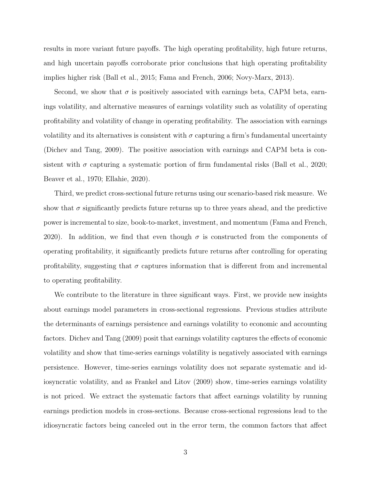results in more variant future payoffs. The high operating profitability, high future returns, and high uncertain payoffs corroborate prior conclusions that high operating profitability implies higher risk (Ball et al., 2015; Fama and French, 2006; Novy-Marx, 2013).

Second, we show that  $\sigma$  is positively associated with earnings beta, CAPM beta, earnings volatility, and alternative measures of earnings volatility such as volatility of operating profitability and volatility of change in operating profitability. The association with earnings volatility and its alternatives is consistent with  $\sigma$  capturing a firm's fundamental uncertainty (Dichev and Tang, 2009). The positive association with earnings and CAPM beta is consistent with  $\sigma$  capturing a systematic portion of firm fundamental risks (Ball et al., 2020; Beaver et al., 1970; Ellahie, 2020).

Third, we predict cross-sectional future returns using our scenario-based risk measure. We show that  $\sigma$  significantly predicts future returns up to three years ahead, and the predictive power is incremental to size, book-to-market, investment, and momentum (Fama and French, 2020). In addition, we find that even though  $\sigma$  is constructed from the components of operating profitability, it significantly predicts future returns after controlling for operating profitability, suggesting that  $\sigma$  captures information that is different from and incremental to operating profitability.

We contribute to the literature in three significant ways. First, we provide new insights about earnings model parameters in cross-sectional regressions. Previous studies attribute the determinants of earnings persistence and earnings volatility to economic and accounting factors. Dichev and Tang (2009) posit that earnings volatility captures the effects of economic volatility and show that time-series earnings volatility is negatively associated with earnings persistence. However, time-series earnings volatility does not separate systematic and idiosyncratic volatility, and as Frankel and Litov (2009) show, time-series earnings volatility is not priced. We extract the systematic factors that affect earnings volatility by running earnings prediction models in cross-sections. Because cross-sectional regressions lead to the idiosyncratic factors being canceled out in the error term, the common factors that affect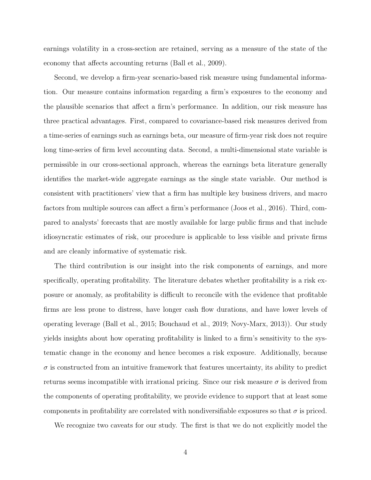earnings volatility in a cross-section are retained, serving as a measure of the state of the economy that affects accounting returns (Ball et al., 2009).

Second, we develop a firm-year scenario-based risk measure using fundamental information. Our measure contains information regarding a firm's exposures to the economy and the plausible scenarios that affect a firm's performance. In addition, our risk measure has three practical advantages. First, compared to covariance-based risk measures derived from a time-series of earnings such as earnings beta, our measure of firm-year risk does not require long time-series of firm level accounting data. Second, a multi-dimensional state variable is permissible in our cross-sectional approach, whereas the earnings beta literature generally identifies the market-wide aggregate earnings as the single state variable. Our method is consistent with practitioners' view that a firm has multiple key business drivers, and macro factors from multiple sources can affect a firm's performance (Joos et al., 2016). Third, compared to analysts' forecasts that are mostly available for large public firms and that include idiosyncratic estimates of risk, our procedure is applicable to less visible and private firms and are cleanly informative of systematic risk.

The third contribution is our insight into the risk components of earnings, and more specifically, operating profitability. The literature debates whether profitability is a risk exposure or anomaly, as profitability is difficult to reconcile with the evidence that profitable firms are less prone to distress, have longer cash flow durations, and have lower levels of operating leverage (Ball et al., 2015; Bouchaud et al., 2019; Novy-Marx, 2013)). Our study yields insights about how operating profitability is linked to a firm's sensitivity to the systematic change in the economy and hence becomes a risk exposure. Additionally, because  $\sigma$  is constructed from an intuitive framework that features uncertainty, its ability to predict returns seems incompatible with irrational pricing. Since our risk measure  $\sigma$  is derived from the components of operating profitability, we provide evidence to support that at least some components in profitability are correlated with nondiversifiable exposures so that  $\sigma$  is priced.

We recognize two caveats for our study. The first is that we do not explicitly model the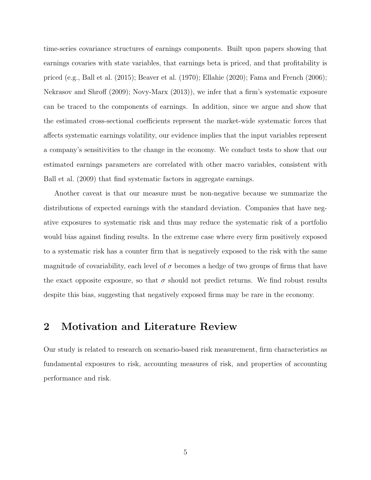time-series covariance structures of earnings components. Built upon papers showing that earnings covaries with state variables, that earnings beta is priced, and that profitability is priced (e.g., Ball et al. (2015); Beaver et al. (1970); Ellahie (2020); Fama and French (2006); Nekrasov and Shroff (2009); Novy-Marx (2013)), we infer that a firm's systematic exposure can be traced to the components of earnings. In addition, since we argue and show that the estimated cross-sectional coefficients represent the market-wide systematic forces that affects systematic earnings volatility, our evidence implies that the input variables represent a company's sensitivities to the change in the economy. We conduct tests to show that our estimated earnings parameters are correlated with other macro variables, consistent with Ball et al. (2009) that find systematic factors in aggregate earnings.

Another caveat is that our measure must be non-negative because we summarize the distributions of expected earnings with the standard deviation. Companies that have negative exposures to systematic risk and thus may reduce the systematic risk of a portfolio would bias against finding results. In the extreme case where every firm positively exposed to a systematic risk has a counter firm that is negatively exposed to the risk with the same magnitude of covariability, each level of  $\sigma$  becomes a hedge of two groups of firms that have the exact opposite exposure, so that  $\sigma$  should not predict returns. We find robust results despite this bias, suggesting that negatively exposed firms may be rare in the economy.

## 2 Motivation and Literature Review

Our study is related to research on scenario-based risk measurement, firm characteristics as fundamental exposures to risk, accounting measures of risk, and properties of accounting performance and risk.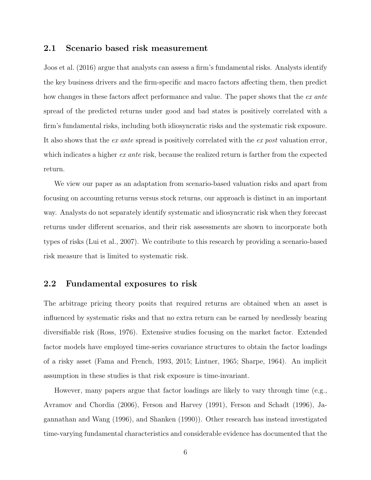#### 2.1 Scenario based risk measurement

Joos et al. (2016) argue that analysts can assess a firm's fundamental risks. Analysts identify the key business drivers and the firm-specific and macro factors affecting them, then predict how changes in these factors affect performance and value. The paper shows that the ex ante spread of the predicted returns under good and bad states is positively correlated with a firm's fundamental risks, including both idiosyncratic risks and the systematic risk exposure. It also shows that the ex ante spread is positively correlated with the ex post valuation error, which indicates a higher ex ante risk, because the realized return is farther from the expected return.

We view our paper as an adaptation from scenario-based valuation risks and apart from focusing on accounting returns versus stock returns, our approach is distinct in an important way. Analysts do not separately identify systematic and idiosyncratic risk when they forecast returns under different scenarios, and their risk assessments are shown to incorporate both types of risks (Lui et al., 2007). We contribute to this research by providing a scenario-based risk measure that is limited to systematic risk.

### 2.2 Fundamental exposures to risk

The arbitrage pricing theory posits that required returns are obtained when an asset is influenced by systematic risks and that no extra return can be earned by needlessly bearing diversifiable risk (Ross, 1976). Extensive studies focusing on the market factor. Extended factor models have employed time-series covariance structures to obtain the factor loadings of a risky asset (Fama and French, 1993, 2015; Lintner, 1965; Sharpe, 1964). An implicit assumption in these studies is that risk exposure is time-invariant.

However, many papers argue that factor loadings are likely to vary through time (e.g., Avramov and Chordia (2006), Ferson and Harvey (1991), Ferson and Schadt (1996), Jagannathan and Wang (1996), and Shanken (1990)). Other research has instead investigated time-varying fundamental characteristics and considerable evidence has documented that the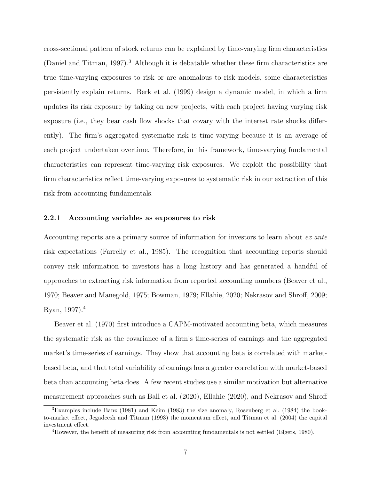cross-sectional pattern of stock returns can be explained by time-varying firm characteristics (Daniel and Titman, 1997).<sup>3</sup> Although it is debatable whether these firm characteristics are true time-varying exposures to risk or are anomalous to risk models, some characteristics persistently explain returns. Berk et al. (1999) design a dynamic model, in which a firm updates its risk exposure by taking on new projects, with each project having varying risk exposure (i.e., they bear cash flow shocks that covary with the interest rate shocks differently). The firm's aggregated systematic risk is time-varying because it is an average of each project undertaken overtime. Therefore, in this framework, time-varying fundamental characteristics can represent time-varying risk exposures. We exploit the possibility that firm characteristics reflect time-varying exposures to systematic risk in our extraction of this risk from accounting fundamentals.

#### 2.2.1 Accounting variables as exposures to risk

Accounting reports are a primary source of information for investors to learn about ex ante risk expectations (Farrelly et al., 1985). The recognition that accounting reports should convey risk information to investors has a long history and has generated a handful of approaches to extracting risk information from reported accounting numbers (Beaver et al., 1970; Beaver and Manegold, 1975; Bowman, 1979; Ellahie, 2020; Nekrasov and Shroff, 2009; Ryan, 1997).<sup>4</sup>

Beaver et al. (1970) first introduce a CAPM-motivated accounting beta, which measures the systematic risk as the covariance of a firm's time-series of earnings and the aggregated market's time-series of earnings. They show that accounting beta is correlated with marketbased beta, and that total variability of earnings has a greater correlation with market-based beta than accounting beta does. A few recent studies use a similar motivation but alternative measurement approaches such as Ball et al. (2020), Ellahie (2020), and Nekrasov and Shroff

<sup>3</sup>Examples include Banz (1981) and Keim (1983) the size anomaly, Rosenberg et al. (1984) the bookto-market effect, Jegadeesh and Titman (1993) the momentum effect, and Titman et al. (2004) the capital investment effect.

<sup>&</sup>lt;sup>4</sup>However, the benefit of measuring risk from accounting fundamentals is not settled (Elgers, 1980).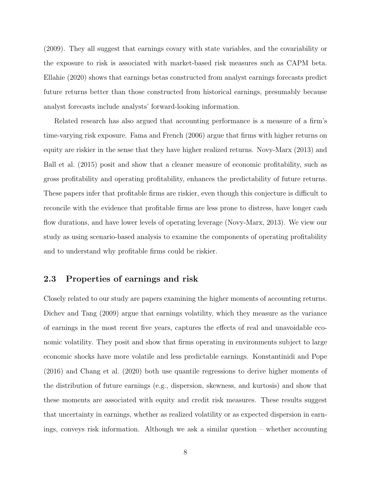(2009). They all suggest that earnings covary with state variables, and the covariability or the exposure to risk is associated with market-based risk measures such as CAPM beta. Ellahie (2020) shows that earnings betas constructed from analyst earnings forecasts predict future returns better than those constructed from historical earnings, presumably because analyst forecasts include analysts' forward-looking information.

Related research has also argued that accounting performance is a measure of a firm's time-varying risk exposure. Fama and French (2006) argue that firms with higher returns on equity are riskier in the sense that they have higher realized returns. Novy-Marx (2013) and Ball et al. (2015) posit and show that a cleaner measure of economic profitability, such as gross profitability and operating profitability, enhances the predictability of future returns. These papers infer that profitable firms are riskier, even though this conjecture is difficult to reconcile with the evidence that profitable firms are less prone to distress, have longer cash flow durations, and have lower levels of operating leverage (Novy-Marx, 2013). We view our study as using scenario-based analysis to examine the components of operating profitability and to understand why profitable firms could be riskier.

### 2.3 Properties of earnings and risk

Closely related to our study are papers examining the higher moments of accounting returns. Dichev and Tang (2009) argue that earnings volatility, which they measure as the variance of earnings in the most recent five years, captures the effects of real and unavoidable economic volatility. They posit and show that firms operating in environments subject to large economic shocks have more volatile and less predictable earnings. Konstantinidi and Pope (2016) and Chang et al. (2020) both use quantile regressions to derive higher moments of the distribution of future earnings (e.g., dispersion, skewness, and kurtosis) and show that these moments are associated with equity and credit risk measures. These results suggest that uncertainty in earnings, whether as realized volatility or as expected dispersion in earnings, conveys risk information. Although we ask a similar question – whether accounting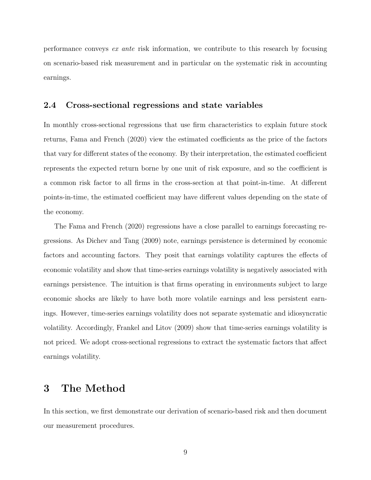performance conveys ex ante risk information, we contribute to this research by focusing on scenario-based risk measurement and in particular on the systematic risk in accounting earnings.

#### 2.4 Cross-sectional regressions and state variables

In monthly cross-sectional regressions that use firm characteristics to explain future stock returns, Fama and French (2020) view the estimated coefficients as the price of the factors that vary for different states of the economy. By their interpretation, the estimated coefficient represents the expected return borne by one unit of risk exposure, and so the coefficient is a common risk factor to all firms in the cross-section at that point-in-time. At different points-in-time, the estimated coefficient may have different values depending on the state of the economy.

The Fama and French (2020) regressions have a close parallel to earnings forecasting regressions. As Dichev and Tang (2009) note, earnings persistence is determined by economic factors and accounting factors. They posit that earnings volatility captures the effects of economic volatility and show that time-series earnings volatility is negatively associated with earnings persistence. The intuition is that firms operating in environments subject to large economic shocks are likely to have both more volatile earnings and less persistent earnings. However, time-series earnings volatility does not separate systematic and idiosyncratic volatility. Accordingly, Frankel and Litov (2009) show that time-series earnings volatility is not priced. We adopt cross-sectional regressions to extract the systematic factors that affect earnings volatility.

## 3 The Method

In this section, we first demonstrate our derivation of scenario-based risk and then document our measurement procedures.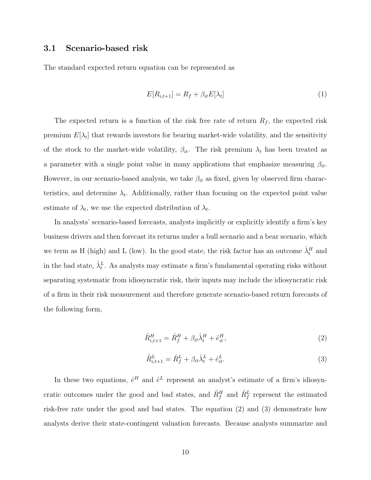#### 3.1 Scenario-based risk

The standard expected return equation can be represented as

$$
E[R_{i,t+1}] = R_f + \beta_{it} E[\lambda_t]
$$
\n<sup>(1)</sup>

The expected return is a function of the risk free rate of return  $R_f$ , the expected risk premium  $E[\lambda_t]$  that rewards investors for bearing market-wide volatility, and the sensitivity of the stock to the market-wide volatility,  $\beta_{it}$ . The risk premium  $\lambda_t$  has been treated as a parameter with a single point value in many applications that emphasize measuring  $\beta_{it}$ . However, in our scenario-based analysis, we take  $\beta_{it}$  as fixed, given by observed firm characteristics, and determine  $\lambda_t$ . Additionally, rather than focusing on the expected point value estimate of  $\lambda_t$ , we use the expected distribution of  $\lambda_t$ .

In analysts' scenario-based forecasts, analysts implicitly or explicitly identify a firm's key business drivers and then forecast its returns under a bull scenario and a bear scenario, which we term as H (high) and L (low). In the good state, the risk factor has an outcome  $\hat{\lambda}_t^H$  and in the bad state,  $\hat{\lambda}_t^L$ . As analysts may estimate a firm's fundamental operating risks without separating systematic from idiosyncratic risk, their inputs may include the idiosyncratic risk of a firm in their risk measurement and therefore generate scenario-based return forecasts of the following form,

$$
\hat{R}_{i,t+1}^{H} = \hat{R}_{f}^{H} + \beta_{it}\hat{\lambda}_{t}^{H} + \hat{e}_{it}^{H},
$$
\n(2)

$$
\hat{R}_{i,t+1}^L = \hat{R}_f^L + \beta_{it}\hat{\lambda}_t^L + \hat{e}_{it}^L.
$$
\n(3)

In these two equations,  $\hat{e}^H$  and  $\hat{e}^L$  represent an analyst's estimate of a firm's idiosyncratic outcomes under the good and bad states, and  $\hat{R}^H_f$  and  $\hat{R}^L_f$  represent the estimated risk-free rate under the good and bad states. The equation (2) and (3) demonstrate how analysts derive their state-contingent valuation forecasts. Because analysts summarize and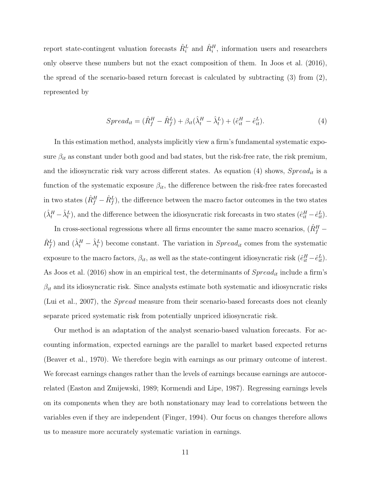report state-contingent valuation forecasts  $\hat{R}_{i}^{L}$  and  $\hat{R}_{i}^{H}$ , information users and researchers only observe these numbers but not the exact composition of them. In Joos et al. (2016), the spread of the scenario-based return forecast is calculated by subtracting  $(3)$  from  $(2)$ , represented by

$$
Spread_{it} = (\hat{R}_f^H - \hat{R}_f^L) + \beta_{it}(\hat{\lambda}_t^H - \hat{\lambda}_t^L) + (\hat{e}_{it}^H - \hat{e}_{it}^L). \tag{4}
$$

In this estimation method, analysts implicitly view a firm's fundamental systematic exposure  $\beta_{it}$  as constant under both good and bad states, but the risk-free rate, the risk premium, and the idiosyncratic risk vary across different states. As equation (4) shows,  $Spred_{it}$  is a function of the systematic exposure  $\beta_{it}$ , the difference between the risk-free rates forecasted in two states  $(\hat{R}_f^H - \hat{R}_f^L)$ , the difference between the macro factor outcomes in the two states  $(\hat{\lambda}_t^H - \hat{\lambda}_t^L)$ , and the difference between the idiosyncratic risk forecasts in two states  $(\hat{e}_{it}^H - \hat{e}_{it}^L)$ .

In cross-sectional regressions where all firms encounter the same macro scenarios,  $(\hat{R}^H_f \hat{R}_f^L$  and  $(\hat{\lambda}_t^H - \hat{\lambda}_t^L)$  become constant. The variation in  $Spread_{it}$  comes from the systematic exposure to the macro factors,  $\beta_{it}$ , as well as the state-contingent idiosyncratic risk  $(\hat{e}_{it}^H - \hat{e}_{it}^L)$ . As Joos et al. (2016) show in an empirical test, the determinants of  $Spread_{it}$  include a firm's  $\beta_{it}$  and its idiosyncratic risk. Since analysts estimate both systematic and idiosyncratic risks (Lui et al., 2007), the Spread measure from their scenario-based forecasts does not cleanly separate priced systematic risk from potentially unpriced idiosyncratic risk.

Our method is an adaptation of the analyst scenario-based valuation forecasts. For accounting information, expected earnings are the parallel to market based expected returns (Beaver et al., 1970). We therefore begin with earnings as our primary outcome of interest. We forecast earnings changes rather than the levels of earnings because earnings are autocorrelated (Easton and Zmijewski, 1989; Kormendi and Lipe, 1987). Regressing earnings levels on its components when they are both nonstationary may lead to correlations between the variables even if they are independent (Finger, 1994). Our focus on changes therefore allows us to measure more accurately systematic variation in earnings.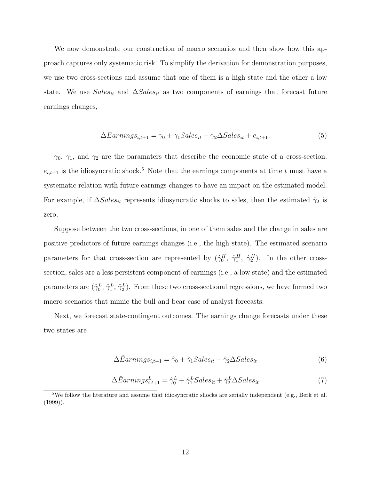We now demonstrate our construction of macro scenarios and then show how this approach captures only systematic risk. To simplify the derivation for demonstration purposes, we use two cross-sections and assume that one of them is a high state and the other a low state. We use  $Sales_{it}$  and  $\Delta Sales_{it}$  as two components of earnings that forecast future earnings changes,

$$
\Delta Earning_{i,t+1} = \gamma_0 + \gamma_1 Sales_{it} + \gamma_2 \Delta Sales_{it} + e_{i,t+1}.
$$
\n(5)

 $\gamma_0$ ,  $\gamma_1$ , and  $\gamma_2$  are the paramaters that describe the economic state of a cross-section.  $e_{i,t+1}$  is the idiosyncratic shock.<sup>5</sup> Note that the earnings components at time t must have a systematic relation with future earnings changes to have an impact on the estimated model. For example, if  $\Delta Sales_{it}$  represents idiosyncratic shocks to sales, then the estimated  $\hat{\gamma}_2$  is zero.

Suppose between the two cross-sections, in one of them sales and the change in sales are positive predictors of future earnings changes (i.e., the high state). The estimated scenario parameters for that cross-section are represented by  $(\hat{\gamma}_0^H, \hat{\gamma}_1^H, \hat{\gamma}_2^H)$ . In the other crosssection, sales are a less persistent component of earnings (i.e., a low state) and the estimated parameters are  $(\hat{\gamma}_0^L, \hat{\gamma}_1^L, \hat{\gamma}_2^L)$ . From these two cross-sectional regressions, we have formed two macro scenarios that mimic the bull and bear case of analyst forecasts.

Next, we forecast state-contingent outcomes. The earnings change forecasts under these two states are

$$
\Delta\hat{E}arning s_{i,t+1} = \hat{\gamma}_0 + \hat{\gamma}_1 Sales_{it} + \hat{\gamma}_2 \Delta Sales_{it} \tag{6}
$$

$$
\Delta\hat{E}arning s_{i,t+1}^L = \hat{\gamma}_0^L + \hat{\gamma}_1^L Sales_{it} + \hat{\gamma}_2^L \Delta Sales_{it}
$$
\n<sup>(7)</sup>

<sup>&</sup>lt;sup>5</sup>We follow the literature and assume that idiosyncratic shocks are serially independent (e.g., Berk et al.  $(1999)$ ).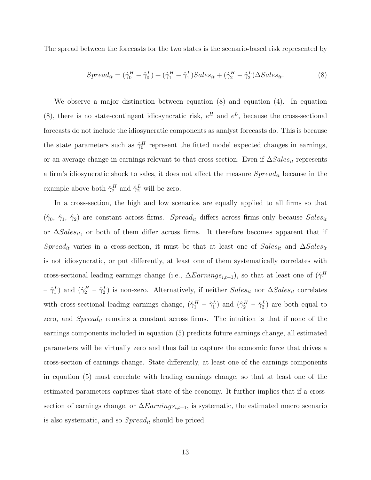The spread between the forecasts for the two states is the scenario-based risk represented by

$$
Spread_{it} = (\hat{\gamma}_0^H - \hat{\gamma}_0^L) + (\hat{\gamma}_1^H - \hat{\gamma}_1^L) Sales_{it} + (\hat{\gamma}_2^H - \hat{\gamma}_2^L)\Delta Sales_{it}.
$$
\n(8)

We observe a major distinction between equation (8) and equation (4). In equation (8), there is no state-contingent idiosyncratic risk,  $e^{H}$  and  $e^{L}$ , because the cross-sectional forecasts do not include the idiosyncratic components as analyst forecasts do. This is because the state parameters such as  $\hat{\gamma}_0^H$  represent the fitted model expected changes in earnings, or an average change in earnings relevant to that cross-section. Even if  $\Delta Sales_{it}$  represents a firm's idiosyncratic shock to sales, it does not affect the measure  $Spread_{it}$  because in the example above both  $\hat{\gamma}_2^H$  and  $\hat{\gamma}_2^L$  will be zero.

In a cross-section, the high and low scenarios are equally applied to all firms so that  $(\hat{\gamma}_0, \hat{\gamma}_1, \hat{\gamma}_2)$  are constant across firms. Spread<sub>it</sub> differs across firms only because Sales<sub>it</sub> or  $\Delta Sales_{it}$ , or both of them differ across firms. It therefore becomes apparent that if  $Spread_{it}$  varies in a cross-section, it must be that at least one of  $Sales_{it}$  and  $\Delta Sales_{it}$ is not idiosyncratic, or put differently, at least one of them systematically correlates with cross-sectional leading earnings change (i.e.,  $\Delta Earning_{i,t+1}$ ), so that at least one of  $(\hat{\gamma}_1^H)$  $-\hat{\gamma}_1^L$ ) and  $(\hat{\gamma}_2^H - \hat{\gamma}_2^L)$  is non-zero. Alternatively, if neither  $Sales_{it}$  nor  $\Delta Sales_{it}$  correlates with cross-sectional leading earnings change,  $(\hat{\gamma}_1^H - \hat{\gamma}_1^L)$  and  $(\hat{\gamma}_2^H - \hat{\gamma}_2^L)$  are both equal to zero, and  $Spread_{it}$  remains a constant across firms. The intuition is that if none of the earnings components included in equation (5) predicts future earnings change, all estimated parameters will be virtually zero and thus fail to capture the economic force that drives a cross-section of earnings change. State differently, at least one of the earnings components in equation (5) must correlate with leading earnings change, so that at least one of the estimated parameters captures that state of the economy. It further implies that if a crosssection of earnings change, or  $\Delta Earnings_{i,t+1}$ , is systematic, the estimated macro scenario is also systematic, and so  $Spred_{it}$  should be priced.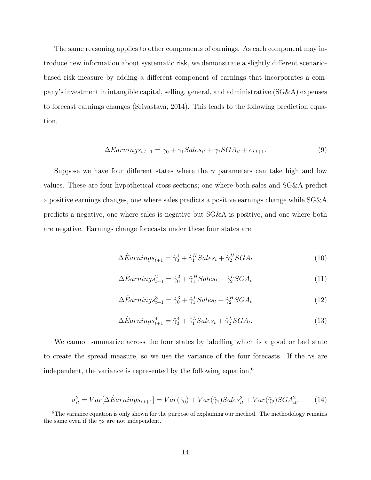The same reasoning applies to other components of earnings. As each component may introduce new information about systematic risk, we demonstrate a slightly different scenariobased risk measure by adding a different component of earnings that incorporates a company's investment in intangible capital, selling, general, and administrative (SG&A) expenses to forecast earnings changes (Srivastava, 2014). This leads to the following prediction equation,

$$
\Delta Earning_{i,t+1} = \gamma_0 + \gamma_1 Sales_{it} + \gamma_2 SGA_{it} + e_{i,t+1}.
$$
\n(9)

Suppose we have four different states where the  $\gamma$  parameters can take high and low values. These are four hypothetical cross-sections; one where both sales and SG&A predict a positive earnings changes, one where sales predicts a positive earnings change while SG&A predicts a negative, one where sales is negative but SG&A is positive, and one where both are negative. Earnings change forecasts under these four states are

$$
\Delta\hat{E}arning_{t+1}^{1} = \hat{\gamma}_{0}^{1} + \hat{\gamma}_{1}^{H}Sales_{t} + \hat{\gamma}_{2}^{H}SGA_{t}
$$
\n(10)

$$
\Delta\hat{E}arning_{t+1}^2 = \hat{\gamma}_0^2 + \hat{\gamma}_1^H Sales_t + \hat{\gamma}_2^L SGA_t
$$
\n(11)

$$
\Delta\hat{E}arning_{t+1}^3 = \hat{\gamma}_0^3 + \hat{\gamma}_1^LSales_t + \hat{\gamma}_2^HSGA_t
$$
\n(12)

$$
\Delta\hat{E}arnings_{t+1}^4 = \hat{\gamma}_0^4 + \hat{\gamma}_1^LSales_t + \hat{\gamma}_2^LSGA_t.
$$
\n(13)

We cannot summarize across the four states by labelling which is a good or bad state to create the spread measure, so we use the variance of the four forecasts. If the  $\gamma s$  are independent, the variance is represented by the following equation, $6$ 

$$
\sigma_{it}^2 = Var[\Delta \hat{E}arnings_{i,t+1}] = Var(\hat{\gamma}_0) + Var(\hat{\gamma}_1) Sales_{it}^2 + Var(\hat{\gamma}_2)SGA_{it}^2.
$$
 (14)

<sup>&</sup>lt;sup>6</sup>The variance equation is only shown for the purpose of explaining our method. The methodology remains the same even if the  $\gamma s$  are not independent.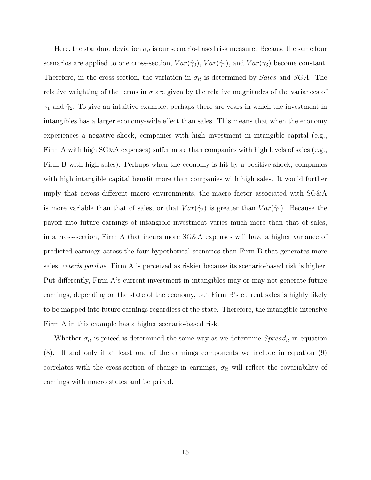Here, the standard deviation  $\sigma_{it}$  is our scenario-based risk measure. Because the same four scenarios are applied to one cross-section,  $Var(\hat{\gamma}_0)$ ,  $Var(\hat{\gamma}_2)$ , and  $Var(\hat{\gamma}_3)$  become constant. Therefore, in the cross-section, the variation in  $\sigma_{it}$  is determined by Sales and SGA. The relative weighting of the terms in  $\sigma$  are given by the relative magnitudes of the variances of  $\hat{\gamma}_1$  and  $\hat{\gamma}_2$ . To give an intuitive example, perhaps there are years in which the investment in intangibles has a larger economy-wide effect than sales. This means that when the economy experiences a negative shock, companies with high investment in intangible capital (e.g., Firm A with high SG&A expenses) suffer more than companies with high levels of sales (e.g., Firm B with high sales). Perhaps when the economy is hit by a positive shock, companies with high intangible capital benefit more than companies with high sales. It would further imply that across different macro environments, the macro factor associated with SG&A is more variable than that of sales, or that  $Var(\hat{\gamma}_2)$  is greater than  $Var(\hat{\gamma}_1)$ . Because the payoff into future earnings of intangible investment varies much more than that of sales, in a cross-section, Firm A that incurs more SG&A expenses will have a higher variance of predicted earnings across the four hypothetical scenarios than Firm B that generates more sales, ceteris paribus. Firm A is perceived as riskier because its scenario-based risk is higher. Put differently, Firm A's current investment in intangibles may or may not generate future earnings, depending on the state of the economy, but Firm B's current sales is highly likely to be mapped into future earnings regardless of the state. Therefore, the intangible-intensive Firm A in this example has a higher scenario-based risk.

Whether  $\sigma_{it}$  is priced is determined the same way as we determine  $Spread_{it}$  in equation (8). If and only if at least one of the earnings components we include in equation (9) correlates with the cross-section of change in earnings,  $\sigma_{it}$  will reflect the covariability of earnings with macro states and be priced.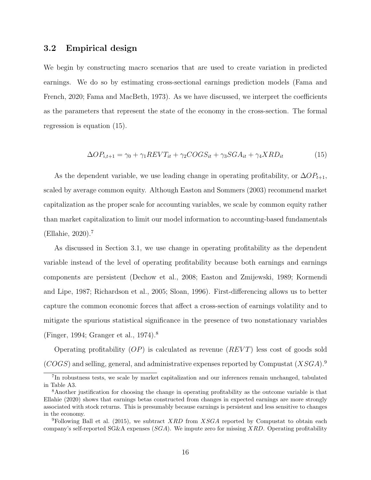#### 3.2 Empirical design

We begin by constructing macro scenarios that are used to create variation in predicted earnings. We do so by estimating cross-sectional earnings prediction models (Fama and French, 2020; Fama and MacBeth, 1973). As we have discussed, we interpret the coefficients as the parameters that represent the state of the economy in the cross-section. The formal regression is equation (15).

$$
\Delta OP_{i,t+1} = \gamma_0 + \gamma_1 REVT_{it} + \gamma_2 COGS_{it} + \gamma_3 SGA_{it} + \gamma_4 XRD_{it}
$$
\n
$$
(15)
$$

As the dependent variable, we use leading change in operating profitability, or  $\Delta OP_{t+1}$ , scaled by average common equity. Although Easton and Sommers (2003) recommend market capitalization as the proper scale for accounting variables, we scale by common equity rather than market capitalization to limit our model information to accounting-based fundamentals (Ellahie, 2020).<sup>7</sup>

As discussed in Section 3.1, we use change in operating profitability as the dependent variable instead of the level of operating profitability because both earnings and earnings components are persistent (Dechow et al., 2008; Easton and Zmijewski, 1989; Kormendi and Lipe, 1987; Richardson et al., 2005; Sloan, 1996). First-differencing allows us to better capture the common economic forces that affect a cross-section of earnings volatility and to mitigate the spurious statistical significance in the presence of two nonstationary variables (Finger, 1994; Granger et al., 1974).<sup>8</sup>

Operating profitability  $OP$  is calculated as revenue  $(REVT)$  less cost of goods sold  $(COGS)$  and selling, general, and administrative expenses reported by Compustat  $(XSGA).<sup>9</sup>$ 

<sup>&</sup>lt;sup>7</sup>In robustness tests, we scale by market capitalization and our inferences remain unchanged, tabulated in Table A3.

<sup>8</sup>Another justification for choosing the change in operating profitability as the outcome variable is that Ellahie (2020) shows that earnings betas constructed from changes in expected earnings are more strongly associated with stock returns. This is presumably because earnings is persistent and less sensitive to changes in the economy.

<sup>&</sup>lt;sup>9</sup>Following Ball et al. (2015), we subtract XRD from XSGA reported by Compustat to obtain each company's self-reported SG&A expenses  $(SGA)$ . We impute zero for missing XRD. Operating profitability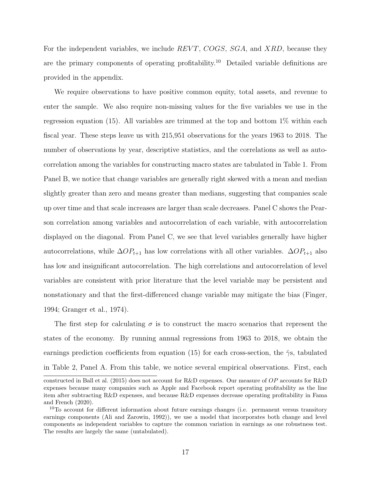For the independent variables, we include REVT, COGS, SGA, and XRD, because they are the primary components of operating profitability.<sup>10</sup> Detailed variable definitions are provided in the appendix.

We require observations to have positive common equity, total assets, and revenue to enter the sample. We also require non-missing values for the five variables we use in the regression equation (15). All variables are trimmed at the top and bottom  $1\%$  within each fiscal year. These steps leave us with 215,951 observations for the years 1963 to 2018. The number of observations by year, descriptive statistics, and the correlations as well as autocorrelation among the variables for constructing macro states are tabulated in Table 1. From Panel B, we notice that change variables are generally right skewed with a mean and median slightly greater than zero and means greater than medians, suggesting that companies scale up over time and that scale increases are larger than scale decreases. Panel C shows the Pearson correlation among variables and autocorrelation of each variable, with autocorrelation displayed on the diagonal. From Panel C, we see that level variables generally have higher autocorrelations, while  $\Delta OP_{t+1}$  has low correlations with all other variables.  $\Delta OP_{t+1}$  also has low and insignificant autocorrelation. The high correlations and autocorrelation of level variables are consistent with prior literature that the level variable may be persistent and nonstationary and that the first-differenced change variable may mitigate the bias (Finger, 1994; Granger et al., 1974).

The first step for calculating  $\sigma$  is to construct the macro scenarios that represent the states of the economy. By running annual regressions from 1963 to 2018, we obtain the earnings prediction coefficients from equation (15) for each cross-section, the  $\hat{\gamma}$ s, tabulated in Table 2, Panel A. From this table, we notice several empirical observations. First, each

constructed in Ball et al. (2015) does not account for R&D expenses. Our measure of OP accounts for R&D expenses because many companies such as Apple and Facebook report operating profitability as the line item after subtracting R&D expenses, and because R&D expenses decrease operating profitability in Fama and French (2020).

<sup>10</sup>To account for different information about future earnings changes (i.e. permanent versus transitory earnings components (Ali and Zarowin, 1992)), we use a model that incorporates both change and level components as independent variables to capture the common variation in earnings as one robustness test. The results are largely the same (untabulated).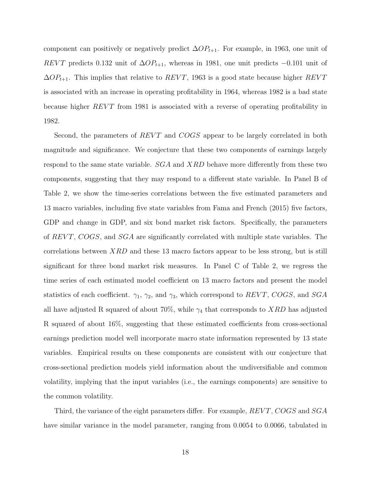component can positively or negatively predict  $\Delta OP_{t+1}$ . For example, in 1963, one unit of REVT predicts 0.132 unit of  $\Delta OP_{t+1}$ , whereas in 1981, one unit predicts −0.101 unit of  $\Delta OP_{t+1}$ . This implies that relative to  $REVT$ , 1963 is a good state because higher  $REVT$ is associated with an increase in operating profitability in 1964, whereas 1982 is a bad state because higher  $REVT$  from 1981 is associated with a reverse of operating profitability in 1982.

Second, the parameters of  $REVT$  and  $COGS$  appear to be largely correlated in both magnitude and significance. We conjecture that these two components of earnings largely respond to the same state variable.  $SGA$  and  $XRD$  behave more differently from these two components, suggesting that they may respond to a different state variable. In Panel B of Table 2, we show the time-series correlations between the five estimated parameters and 13 macro variables, including five state variables from Fama and French (2015) five factors, GDP and change in GDP, and six bond market risk factors. Specifically, the parameters of  $REVT$ ,  $COGS$ , and  $SGA$  are significantly correlated with multiple state variables. The correlations between  $XRD$  and these 13 macro factors appear to be less strong, but is still significant for three bond market risk measures. In Panel C of Table 2, we regress the time series of each estimated model coefficient on 13 macro factors and present the model statistics of each coefficient.  $\gamma_1$ ,  $\gamma_2$ , and  $\gamma_3$ , which correspond to REVT, COGS, and SGA all have adjusted R squared of about 70%, while  $\gamma_4$  that corresponds to XRD has adjusted R squared of about 16%, suggesting that these estimated coefficients from cross-sectional earnings prediction model well incorporate macro state information represented by 13 state variables. Empirical results on these components are consistent with our conjecture that cross-sectional prediction models yield information about the undiversifiable and common volatility, implying that the input variables (i.e., the earnings components) are sensitive to the common volatility.

Third, the variance of the eight parameters differ. For example,  $REVT$ ,  $COGS$  and  $SGA$ have similar variance in the model parameter, ranging from 0.0054 to 0.0066, tabulated in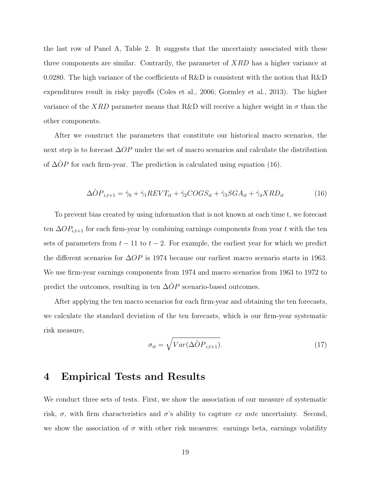the last row of Panel A, Table 2. It suggests that the uncertainty associated with these three components are similar. Contrarily, the parameter of XRD has a higher variance at 0.0280. The high variance of the coefficients of R&D is consistent with the notion that R&D expenditures result in risky payoffs (Coles et al., 2006; Gormley et al., 2013). The higher variance of the XRD parameter means that R&D will receive a higher weight in  $\sigma$  than the other components.

After we construct the parameters that constitute our historical macro scenarios, the next step is to forecast ∆OP under the set of macro scenarios and calculate the distribution of  $\Delta \hat{O}P$  for each firm-year. The prediction is calculated using equation (16).

$$
\Delta \hat{O} P_{i,t+1} = \hat{\gamma}_0 + \hat{\gamma}_1 REVT_{it} + \hat{\gamma}_2 COGS_{it} + \hat{\gamma}_3 SGA_{it} + \hat{\gamma}_4 XRD_{it}
$$
(16)

To prevent bias created by using information that is not known at each time t, we forecast ten  $\Delta OP_{i,t+1}$  for each firm-year by combining earnings components from year t with the ten sets of parameters from  $t - 11$  to  $t - 2$ . For example, the earliest year for which we predict the different scenarios for  $\Delta OP$  is 1974 because our earliest macro scenario starts in 1963. We use firm-year earnings components from 1974 and macro scenarios from 1963 to 1972 to predict the outcomes, resulting in ten  $\Delta \hat{O}P$  scenario-based outcomes.

After applying the ten macro scenarios for each firm-year and obtaining the ten forecasts, we calculate the standard deviation of the ten forecasts, which is our firm-year systematic risk measure,

$$
\sigma_{it} = \sqrt{Var(\Delta \hat{O} P_{i,t+1})}.
$$
\n(17)

### 4 Empirical Tests and Results

We conduct three sets of tests. First, we show the association of our measure of systematic risk,  $\sigma$ , with firm characteristics and  $\sigma$ 's ability to capture *ex ante* uncertainty. Second, we show the association of  $\sigma$  with other risk measures: earnings beta, earnings volatility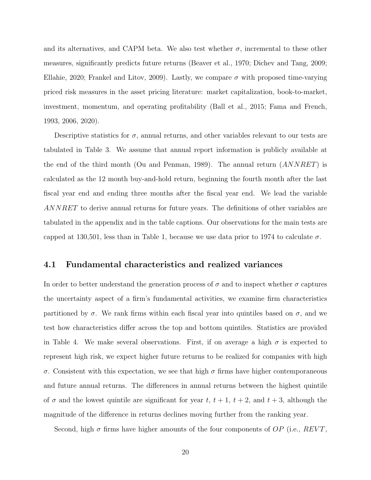and its alternatives, and CAPM beta. We also test whether  $\sigma$ , incremental to these other measures, significantly predicts future returns (Beaver et al., 1970; Dichev and Tang, 2009; Ellahie, 2020; Frankel and Litov, 2009). Lastly, we compare  $\sigma$  with proposed time-varying priced risk measures in the asset pricing literature: market capitalization, book-to-market, investment, momentum, and operating profitability (Ball et al., 2015; Fama and French, 1993, 2006, 2020).

Descriptive statistics for  $\sigma$ , annual returns, and other variables relevant to our tests are tabulated in Table 3. We assume that annual report information is publicly available at the end of the third month (Ou and Penman, 1989). The annual return (ANNRET) is calculated as the 12 month buy-and-hold return, beginning the fourth month after the last fiscal year end and ending three months after the fiscal year end. We lead the variable ANNRET to derive annual returns for future years. The definitions of other variables are tabulated in the appendix and in the table captions. Our observations for the main tests are capped at 130,501, less than in Table 1, because we use data prior to 1974 to calculate  $\sigma$ .

#### 4.1 Fundamental characteristics and realized variances

In order to better understand the generation process of  $\sigma$  and to inspect whether  $\sigma$  captures the uncertainty aspect of a firm's fundamental activities, we examine firm characteristics partitioned by  $\sigma$ . We rank firms within each fiscal year into quintiles based on  $\sigma$ , and we test how characteristics differ across the top and bottom quintiles. Statistics are provided in Table 4. We make several observations. First, if on average a high  $\sigma$  is expected to represent high risk, we expect higher future returns to be realized for companies with high σ. Consistent with this expectation, we see that high σ firms have higher contemporaneous and future annual returns. The differences in annual returns between the highest quintile of  $\sigma$  and the lowest quintile are significant for year t,  $t + 1$ ,  $t + 2$ , and  $t + 3$ , although the magnitude of the difference in returns declines moving further from the ranking year.

Second, high  $\sigma$  firms have higher amounts of the four components of OP (i.e., REVT,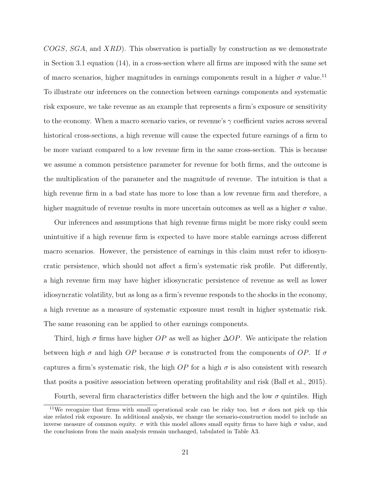COGS, SGA, and XRD). This observation is partially by construction as we demonstrate in Section 3.1 equation (14), in a cross-section where all firms are imposed with the same set of macro scenarios, higher magnitudes in earnings components result in a higher  $\sigma$  value.<sup>11</sup> To illustrate our inferences on the connection between earnings components and systematic risk exposure, we take revenue as an example that represents a firm's exposure or sensitivity to the economy. When a macro scenario varies, or revenue's  $\gamma$  coefficient varies across several historical cross-sections, a high revenue will cause the expected future earnings of a firm to be more variant compared to a low revenue firm in the same cross-section. This is because we assume a common persistence parameter for revenue for both firms, and the outcome is the multiplication of the parameter and the magnitude of revenue. The intuition is that a high revenue firm in a bad state has more to lose than a low revenue firm and therefore, a higher magnitude of revenue results in more uncertain outcomes as well as a higher  $\sigma$  value.

Our inferences and assumptions that high revenue firms might be more risky could seem unintuitive if a high revenue firm is expected to have more stable earnings across different macro scenarios. However, the persistence of earnings in this claim must refer to idiosyncratic persistence, which should not affect a firm's systematic risk profile. Put differently, a high revenue firm may have higher idiosyncratic persistence of revenue as well as lower idiosyncratic volatility, but as long as a firm's revenue responds to the shocks in the economy, a high revenue as a measure of systematic exposure must result in higher systematic risk. The same reasoning can be applied to other earnings components.

Third, high  $\sigma$  firms have higher  $OP$  as well as higher  $\Delta OP$ . We anticipate the relation between high  $\sigma$  and high OP because  $\sigma$  is constructed from the components of OP. If  $\sigma$ captures a firm's systematic risk, the high  $OP$  for a high  $\sigma$  is also consistent with research that posits a positive association between operating profitability and risk (Ball et al., 2015).

Fourth, several firm characteristics differ between the high and the low  $\sigma$  quintiles. High

<sup>&</sup>lt;sup>11</sup>We recognize that firms with small operational scale can be risky too, but  $\sigma$  does not pick up this size related risk exposure. In additional analysis, we change the scenario-construction model to include an inverse measure of common equity.  $\sigma$  with this model allows small equity firms to have high  $\sigma$  value, and the conclusions from the main analysis remain unchanged, tabulated in Table A3.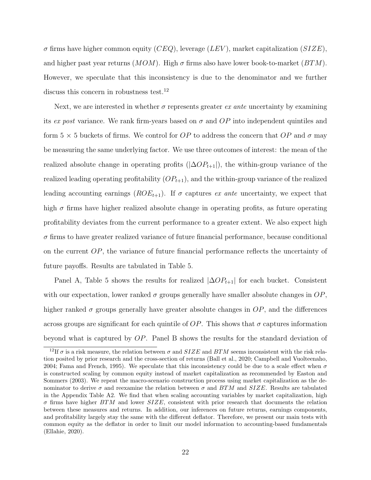$\sigma$  firms have higher common equity (CEQ), leverage (LEV), market capitalization (SIZE), and higher past year returns  $(MOM)$ . High  $\sigma$  firms also have lower book-to-market  $(BTM)$ . However, we speculate that this inconsistency is due to the denominator and we further discuss this concern in robustness test.<sup>12</sup>

Next, we are interested in whether  $\sigma$  represents greater ex ante uncertainty by examining its ex post variance. We rank firm-years based on  $\sigma$  and  $OP$  into independent quintiles and form  $5 \times 5$  buckets of firms. We control for OP to address the concern that OP and  $\sigma$  may be measuring the same underlying factor. We use three outcomes of interest: the mean of the realized absolute change in operating profits  $(|\Delta OP_{t+1}|)$ , the within-group variance of the realized leading operating profitability  $OP_{t+1}$ , and the within-group variance of the realized leading accounting earnings  $(ROE_{t+1})$ . If  $\sigma$  captures ex ante uncertainty, we expect that high  $\sigma$  firms have higher realized absolute change in operating profits, as future operating profitability deviates from the current performance to a greater extent. We also expect high  $\sigma$  firms to have greater realized variance of future financial performance, because conditional on the current OP, the variance of future financial performance reflects the uncertainty of future payoffs. Results are tabulated in Table 5.

Panel A, Table 5 shows the results for realized  $|\Delta OP_{t+1}|$  for each bucket. Consistent with our expectation, lower ranked  $\sigma$  groups generally have smaller absolute changes in  $OP$ , higher ranked  $\sigma$  groups generally have greater absolute changes in  $OP$ , and the differences across groups are significant for each quintile of  $OP$ . This shows that  $\sigma$  captures information beyond what is captured by OP. Panel B shows the results for the standard deviation of

<sup>&</sup>lt;sup>12</sup>If  $\sigma$  is a risk measure, the relation between  $\sigma$  and  $SIZE$  and  $BTM$  seems inconsistent with the risk relation posited by prior research and the cross-section of returns (Ball et al., 2020; Campbell and Vuolteenaho, 2004; Fama and French, 1995). We speculate that this inconsistency could be due to a scale effect when  $\sigma$ is constructed scaling by common equity instead of market capitalization as recommended by Easton and Sommers (2003). We repeat the macro-scenario construction process using market capitalization as the denominator to derive  $\sigma$  and reexamine the relation between  $\sigma$  and BTM and SIZE. Results are tabulated in the Appendix Table A2. We find that when scaling accounting variables by market capitalization, high  $\sigma$  firms have higher  $BTM$  and lower  $SIZE$ , consistent with prior research that documents the relation between these measures and returns. In addition, our inferences on future returns, earnings components, and profitability largely stay the same with the different deflator. Therefore, we present our main tests with common equity as the deflator in order to limit our model information to accounting-based fundamentals (Ellahie, 2020).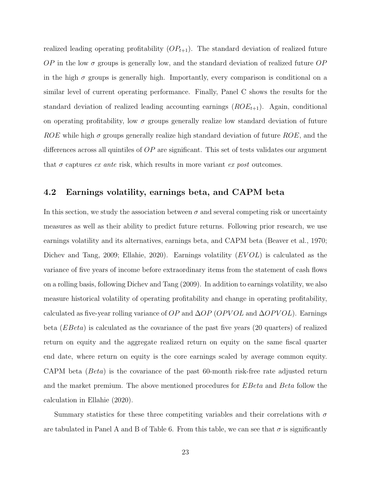realized leading operating profitability  $OP_{t+1}$ . The standard deviation of realized future  $OP$  in the low  $\sigma$  groups is generally low, and the standard deviation of realized future  $OP$ in the high  $\sigma$  groups is generally high. Importantly, every comparison is conditional on a similar level of current operating performance. Finally, Panel C shows the results for the standard deviation of realized leading accounting earnings  $(ROE_{t+1})$ . Again, conditional on operating profitability, low  $\sigma$  groups generally realize low standard deviation of future ROE while high  $\sigma$  groups generally realize high standard deviation of future ROE, and the differences across all quintiles of OP are significant. This set of tests validates our argument that  $\sigma$  captures ex ante risk, which results in more variant ex post outcomes.

#### 4.2 Earnings volatility, earnings beta, and CAPM beta

In this section, we study the association between  $\sigma$  and several competing risk or uncertainty measures as well as their ability to predict future returns. Following prior research, we use earnings volatility and its alternatives, earnings beta, and CAPM beta (Beaver et al., 1970; Dichev and Tang, 2009; Ellahie, 2020). Earnings volatility  $(EVOL)$  is calculated as the variance of five years of income before extraordinary items from the statement of cash flows on a rolling basis, following Dichev and Tang (2009). In addition to earnings volatility, we also measure historical volatility of operating profitability and change in operating profitability, calculated as five-year rolling variance of  $OP$  and  $\Delta OP$  (OPVOL) and  $\Delta OPVOL$ ). Earnings beta  $(EBeta)$  is calculated as the covariance of the past five years (20 quarters) of realized return on equity and the aggregate realized return on equity on the same fiscal quarter end date, where return on equity is the core earnings scaled by average common equity. CAPM beta  $(Beta)$  is the covariance of the past 60-month risk-free rate adjusted return and the market premium. The above mentioned procedures for *EBeta* and *Beta* follow the calculation in Ellahie (2020).

Summary statistics for these three competiting variables and their correlations with  $\sigma$ are tabulated in Panel A and B of Table 6. From this table, we can see that  $\sigma$  is significantly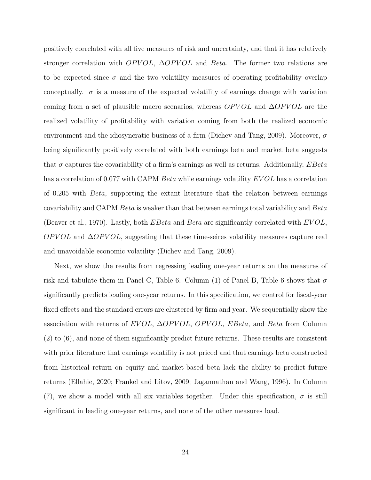positively correlated with all five measures of risk and uncertainty, and that it has relatively stronger correlation with  $OPVOL$ ,  $\Delta OPVOL$  and Beta. The former two relations are to be expected since  $\sigma$  and the two volatility measures of operating profitability overlap conceptually.  $\sigma$  is a measure of the expected volatility of earnings change with variation coming from a set of plausible macro scenarios, whereas  $OPVOL$  and  $\Delta OPVOL$  are the realized volatility of profitability with variation coming from both the realized economic environment and the idiosyncratic business of a firm (Dichev and Tang, 2009). Moreover,  $\sigma$ being significantly positively correlated with both earnings beta and market beta suggests that  $\sigma$  captures the covariability of a firm's earnings as well as returns. Additionally,  $EBeta$ has a correlation of 0.077 with CAPM Beta while earnings volatility EVOL has a correlation of 0.205 with Beta, supporting the extant literature that the relation between earnings covariability and CAPM Beta is weaker than that between earnings total variability and Beta (Beaver et al., 1970). Lastly, both  $EBeta$  and  $Beta$  are significantly correlated with  $EVOL$ ,  $OPVOL$  and  $\Delta OPVOL$ , suggesting that these time-seires volatility measures capture real and unavoidable economic volatility (Dichev and Tang, 2009).

Next, we show the results from regressing leading one-year returns on the measures of risk and tabulate them in Panel C, Table 6. Column (1) of Panel B, Table 6 shows that  $\sigma$ significantly predicts leading one-year returns. In this specification, we control for fiscal-year fixed effects and the standard errors are clustered by firm and year. We sequentially show the association with returns of  $EVOL$ ,  $\Delta OPVOL$ ,  $OPVOL$ ,  $EBeta$ , and  $Beta$  from Column (2) to (6), and none of them significantly predict future returns. These results are consistent with prior literature that earnings volatility is not priced and that earnings beta constructed from historical return on equity and market-based beta lack the ability to predict future returns (Ellahie, 2020; Frankel and Litov, 2009; Jagannathan and Wang, 1996). In Column (7), we show a model with all six variables together. Under this specification,  $\sigma$  is still significant in leading one-year returns, and none of the other measures load.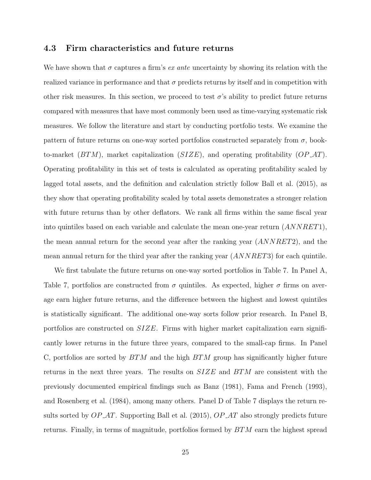### 4.3 Firm characteristics and future returns

We have shown that  $\sigma$  captures a firm's *ex ante* uncertainty by showing its relation with the realized variance in performance and that  $\sigma$  predicts returns by itself and in competition with other risk measures. In this section, we proceed to test  $\sigma$ 's ability to predict future returns compared with measures that have most commonly been used as time-varying systematic risk measures. We follow the literature and start by conducting portfolio tests. We examine the pattern of future returns on one-way sorted portfolios constructed separately from  $\sigma$ , bookto-market  $(BTM)$ , market capitalization  $(SIZE)$ , and operating profitability  $OPAT$ ). Operating profitability in this set of tests is calculated as operating profitability scaled by lagged total assets, and the definition and calculation strictly follow Ball et al. (2015), as they show that operating profitability scaled by total assets demonstrates a stronger relation with future returns than by other deflators. We rank all firms within the same fiscal year into quintiles based on each variable and calculate the mean one-year return  $(ANNRET1)$ , the mean annual return for the second year after the ranking year (ANNRET2), and the mean annual return for the third year after the ranking year  $(ANNRET3)$  for each quintile.

We first tabulate the future returns on one-way sorted portfolios in Table 7. In Panel A, Table 7, portfolios are constructed from  $\sigma$  quintiles. As expected, higher  $\sigma$  firms on average earn higher future returns, and the difference between the highest and lowest quintiles is statistically significant. The additional one-way sorts follow prior research. In Panel B, portfolios are constructed on  $SIZE$ . Firms with higher market capitalization earn significantly lower returns in the future three years, compared to the small-cap firms. In Panel C, portfolios are sorted by  $BTM$  and the high  $BTM$  group has significantly higher future returns in the next three years. The results on  $SIZE$  and  $BTM$  are consistent with the previously documented empirical findings such as Banz (1981), Fama and French (1993), and Rosenberg et al. (1984), among many others. Panel D of Table 7 displays the return results sorted by  $OP\_AT$ . Supporting Ball et al. (2015),  $OP\_AT$  also strongly predicts future returns. Finally, in terms of magnitude, portfolios formed by BTM earn the highest spread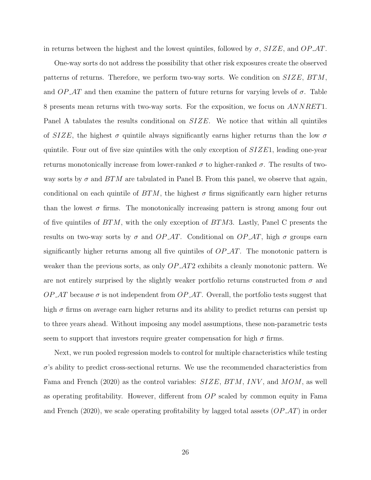in returns between the highest and the lowest quintiles, followed by  $\sigma$ ,  $SIZE$ , and  $OP\_AT$ .

One-way sorts do not address the possibility that other risk exposures create the observed patterns of returns. Therefore, we perform two-way sorts. We condition on  $SIZE, BTM,$ and  $OP\_AT$  and then examine the pattern of future returns for varying levels of  $\sigma$ . Table 8 presents mean returns with two-way sorts. For the exposition, we focus on ANNRET1. Panel A tabulates the results conditional on  $SIZE$ . We notice that within all quintiles of  $SIZE$ , the highest  $\sigma$  quintile always significantly earns higher returns than the low  $\sigma$ quintile. Four out of five size quintiles with the only exception of  $SIZE1$ , leading one-year returns monotonically increase from lower-ranked  $\sigma$  to higher-ranked  $\sigma$ . The results of twoway sorts by  $\sigma$  and  $BTM$  are tabulated in Panel B. From this panel, we observe that again, conditional on each quintile of  $BTM$ , the highest  $\sigma$  firms significantly earn higher returns than the lowest  $\sigma$  firms. The monotonically increasing pattern is strong among four out of five quintiles of  $BTM$ , with the only exception of  $BTM3$ . Lastly, Panel C presents the results on two-way sorts by  $\sigma$  and  $OP_AT$ . Conditional on  $OP_AT$ , high  $\sigma$  groups earn significantly higher returns among all five quintiles of  $OP\_AT$ . The monotonic pattern is weaker than the previous sorts, as only  $OP_A T2$  exhibits a cleanly monotonic pattern. We are not entirely surprised by the slightly weaker portfolio returns constructed from  $\sigma$  and  $OP \text{-}AT$  because  $\sigma$  is not independent from  $OP \text{-}AT$ . Overall, the portfolio tests suggest that high  $\sigma$  firms on average earn higher returns and its ability to predict returns can persist up to three years ahead. Without imposing any model assumptions, these non-parametric tests seem to support that investors require greater compensation for high  $\sigma$  firms.

Next, we run pooled regression models to control for multiple characteristics while testing  $\sigma$ 's ability to predict cross-sectional returns. We use the recommended characteristics from Fama and French (2020) as the control variables:  $SIZE, BTM, INV,$  and  $MOM$ , as well as operating profitability. However, different from OP scaled by common equity in Fama and French (2020), we scale operating profitability by lagged total assets  $(\mathcal{OP} \_AT)$  in order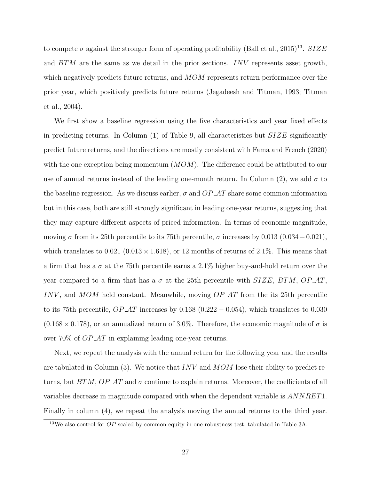to compete  $\sigma$  against the stronger form of operating profitability (Ball et al., 2015)<sup>13</sup>. SIZE and BTM are the same as we detail in the prior sections. INV represents asset growth, which negatively predicts future returns, and MOM represents return performance over the prior year, which positively predicts future returns (Jegadeesh and Titman, 1993; Titman et al., 2004).

We first show a baseline regression using the five characteristics and year fixed effects in predicting returns. In Column  $(1)$  of Table 9, all characteristics but  $SIZE$  significantly predict future returns, and the directions are mostly consistent with Fama and French (2020) with the one exception being momentum  $(MOM)$ . The difference could be attributed to our use of annual returns instead of the leading one-month return. In Column (2), we add  $\sigma$  to the baseline regression. As we discuss earlier,  $\sigma$  and  $OP$ -AT share some common information but in this case, both are still strongly significant in leading one-year returns, suggesting that they may capture different aspects of priced information. In terms of economic magnitude, moving  $\sigma$  from its 25th percentile to its 75th percentile,  $\sigma$  increases by 0.013 (0.034 – 0.021), which translates to 0.021 (0.013  $\times$  1.618), or 12 months of returns of 2.1%. This means that a firm that has a  $\sigma$  at the 75th percentile earns a 2.1% higher buy-and-hold return over the year compared to a firm that has a  $\sigma$  at the 25th percentile with SIZE, BTM, OP\_AT, INV, and  $MOM$  held constant. Meanwhile, moving  $OP\_AT$  from the its 25th percentile to its 75th percentile,  $OP\_AT$  increases by 0.168 (0.222 – 0.054), which translates to 0.030  $(0.168 \times 0.178)$ , or an annualized return of 3.0%. Therefore, the economic magnitude of  $\sigma$  is over 70% of OP AT in explaining leading one-year returns.

Next, we repeat the analysis with the annual return for the following year and the results are tabulated in Column (3). We notice that  $INV$  and  $MOM$  lose their ability to predict returns, but  $BTM$ ,  $OP$   $AT$  and  $\sigma$  continue to explain returns. Moreover, the coefficients of all variables decrease in magnitude compared with when the dependent variable is ANNRET1. Finally in column (4), we repeat the analysis moving the annual returns to the third year.

<sup>&</sup>lt;sup>13</sup>We also control for  $OP$  scaled by common equity in one robustness test, tabulated in Table 3A.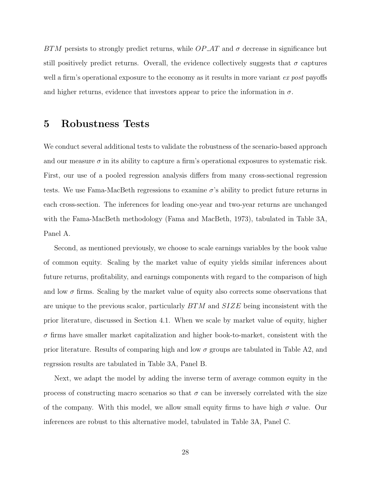BTM persists to strongly predict returns, while  $OP$ -AT and  $\sigma$  decrease in significance but still positively predict returns. Overall, the evidence collectively suggests that  $\sigma$  captures well a firm's operational exposure to the economy as it results in more variant ex post payoffs and higher returns, evidence that investors appear to price the information in  $\sigma$ .

### 5 Robustness Tests

We conduct several additional tests to validate the robustness of the scenario-based approach and our measure  $\sigma$  in its ability to capture a firm's operational exposures to systematic risk. First, our use of a pooled regression analysis differs from many cross-sectional regression tests. We use Fama-MacBeth regressions to examine  $\sigma$ 's ability to predict future returns in each cross-section. The inferences for leading one-year and two-year returns are unchanged with the Fama-MacBeth methodology (Fama and MacBeth, 1973), tabulated in Table 3A, Panel A.

Second, as mentioned previously, we choose to scale earnings variables by the book value of common equity. Scaling by the market value of equity yields similar inferences about future returns, profitability, and earnings components with regard to the comparison of high and low  $\sigma$  firms. Scaling by the market value of equity also corrects some observations that are unique to the previous scalor, particularly BTM and SIZE being inconsistent with the prior literature, discussed in Section 4.1. When we scale by market value of equity, higher  $\sigma$  firms have smaller market capitalization and higher book-to-market, consistent with the prior literature. Results of comparing high and low  $\sigma$  groups are tabulated in Table A2, and regrssion results are tabulated in Table 3A, Panel B.

Next, we adapt the model by adding the inverse term of average common equity in the process of constructing macro scenarios so that  $\sigma$  can be inversely correlated with the size of the company. With this model, we allow small equity firms to have high  $\sigma$  value. Our inferences are robust to this alternative model, tabulated in Table 3A, Panel C.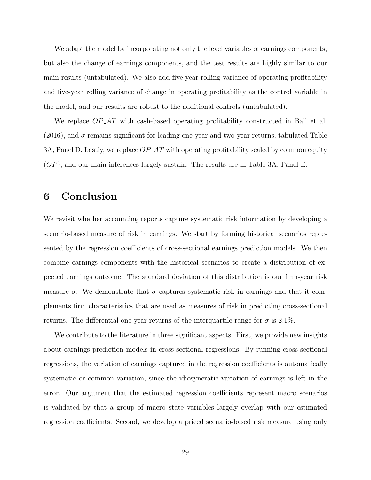We adapt the model by incorporating not only the level variables of earnings components, but also the change of earnings components, and the test results are highly similar to our main results (untabulated). We also add five-year rolling variance of operating profitability and five-year rolling variance of change in operating profitability as the control variable in the model, and our results are robust to the additional controls (untabulated).

We replace  $OP \text{-}AT$  with cash-based operating profitability constructed in Ball et al. (2016), and  $\sigma$  remains significant for leading one-year and two-year returns, tabulated Table 3A, Panel D. Lastly, we replace  $OP\_AT$  with operating profitability scaled by common equity (OP), and our main inferences largely sustain. The results are in Table 3A, Panel E.

## 6 Conclusion

We revisit whether accounting reports capture systematic risk information by developing a scenario-based measure of risk in earnings. We start by forming historical scenarios represented by the regression coefficients of cross-sectional earnings prediction models. We then combine earnings components with the historical scenarios to create a distribution of expected earnings outcome. The standard deviation of this distribution is our firm-year risk measure  $\sigma$ . We demonstrate that  $\sigma$  captures systematic risk in earnings and that it complements firm characteristics that are used as measures of risk in predicting cross-sectional returns. The differential one-year returns of the interquartile range for  $\sigma$  is 2.1%.

We contribute to the literature in three significant aspects. First, we provide new insights about earnings prediction models in cross-sectional regressions. By running cross-sectional regressions, the variation of earnings captured in the regression coefficients is automatically systematic or common variation, since the idiosyncratic variation of earnings is left in the error. Our argument that the estimated regression coefficients represent macro scenarios is validated by that a group of macro state variables largely overlap with our estimated regression coefficients. Second, we develop a priced scenario-based risk measure using only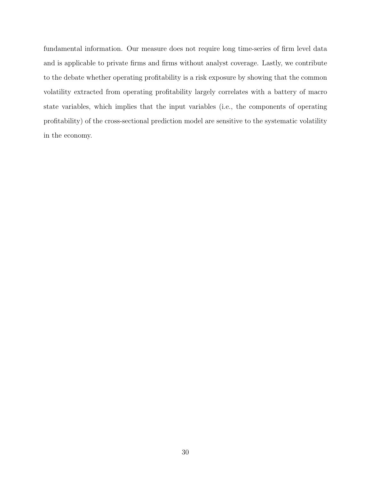fundamental information. Our measure does not require long time-series of firm level data and is applicable to private firms and firms without analyst coverage. Lastly, we contribute to the debate whether operating profitability is a risk exposure by showing that the common volatility extracted from operating profitability largely correlates with a battery of macro state variables, which implies that the input variables (i.e., the components of operating profitability) of the cross-sectional prediction model are sensitive to the systematic volatility in the economy.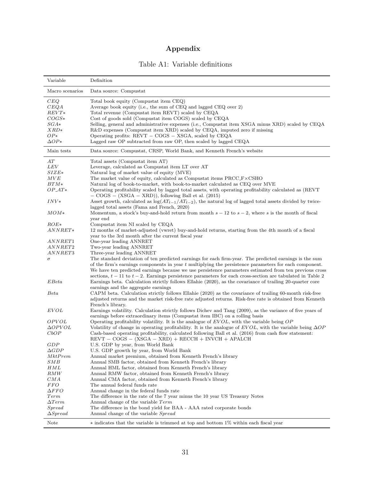# Appendix

| Variable              | Definition                                                                                                                                                                                                               |
|-----------------------|--------------------------------------------------------------------------------------------------------------------------------------------------------------------------------------------------------------------------|
| Macro scenarios       | Data source: Compustat                                                                                                                                                                                                   |
| CEQ                   | Total book equity (Compustat item CEQ)                                                                                                                                                                                   |
| CEQA                  | Average book equity (i.e., the sum of CEQ and lagged CEQ over 2)                                                                                                                                                         |
| $REVT*$               | Total revenue (Compustat item REVT) scaled by CEQA                                                                                                                                                                       |
| $COGS*$               | Cost of goods sold (Compustat item COGS) scaled by CEQA                                                                                                                                                                  |
| $_{SGA\ast}$          | Selling, general and administrative expenses (i.e., Compustat item XSGA minus XRD) scaled by CEQA                                                                                                                        |
| $_{XRD*}$             | R&D expenses (Compustat item XRD) scaled by CEQA, imputed zero if missing                                                                                                                                                |
| $OP*$                 | Operating profits: $REVT - COGS - XSGA$ , scaled by $CEQA$                                                                                                                                                               |
| $\Delta OP*$          | Lagged raw OP subtracted from raw OP, then scaled by lagged CEQA                                                                                                                                                         |
| Main tests            | Data source: Compustat, CRSP, World Bank, and Kenneth French's website                                                                                                                                                   |
| AT                    | Total assets (Compustat item AT)                                                                                                                                                                                         |
| LEV                   | Leverage, calculated as Compustat item LT over AT                                                                                                                                                                        |
| $\mathit{SIZE}$ *     | Natural log of market value of equity (MVE)                                                                                                                                                                              |
| MVE                   | The market value of equity, calculated as Compustat items $\text{PRCC}\text{-}F \times \text{CSHO}$                                                                                                                      |
| $BTM*$                | Natural log of book-to-market, with book-to-market calculated as CEQ over MVE                                                                                                                                            |
| $OP_AT*$              | Operating profitability scaled by lagged total assets, with operating profitability calculated as (REVT)<br>$-$ COGS $-$ (XSGA $-$ XRD)), following Ball et al. (2015)                                                   |
| $INV*$                | Asset growth, calculated as $\log(AT_{t-1}/AT_{t-2})$ , the natural log of lagged total assets divided by twice-                                                                                                         |
|                       | lagged total assets (Fama and French, 2020)                                                                                                                                                                              |
| $_{MOM*}$             | Momentum, a stock's buy-and-hold return from month $s-12$ to $s-2$ , where s is the month of fiscal                                                                                                                      |
|                       | year end                                                                                                                                                                                                                 |
| $ROE*$                | Compustat item NI scaled by CEQA                                                                                                                                                                                         |
| $ANNRET*$             | 12 months of market-adjusted (vwret) buy-and-hold returns, starting from the 4th month of a fiscal                                                                                                                       |
|                       | year to the 3rd month after the current fiscal year                                                                                                                                                                      |
| ANNRET1               | One-year leading ANNRET                                                                                                                                                                                                  |
| ANNRET2               | Two-year leading ANNRET                                                                                                                                                                                                  |
| ANNRET3               | Three-year leading ANNRET                                                                                                                                                                                                |
| σ                     | The standard deviation of ten predicted earnings for each firm-year. The predicted earnings is the sum                                                                                                                   |
|                       | of the firm's earnings components in year $t$ multiplying the persistence parameters for each component.                                                                                                                 |
|                       | We have ten predicted earnings because we use persistence parameters estimated from ten previous cross                                                                                                                   |
| EBeta                 | sections, $t-11$ to $t-2$ . Earnings persistence parameters for each cross-section are tabulated in Table 2<br>Earnings beta. Calculation strictly follows Ellahie (2020), as the covariance of trailing 20-quarter core |
|                       | earnings and the aggregate earnings                                                                                                                                                                                      |
| Beta                  | CAPM beta. Calculation strictly follows Ellahie (2020) as the covariance of trailing 60-month risk-free                                                                                                                  |
|                       | adjusted returns and the market risk-free rate adjusted returns. Risk-free rate is obtained from Kenneth                                                                                                                 |
|                       | French's library.                                                                                                                                                                                                        |
| <b>EVOL</b>           | Earnings volatility. Calculation strictly follows Dichev and Tang (2009), as the variance of five years of                                                                                                               |
|                       | earnings before extraordinary items (Compustat item IBC) on a rolling basis                                                                                                                                              |
| OPVOL                 | Operating profitability volatility. It is the analogue of $EVOL$ , with the variable being $OP$                                                                                                                          |
| $\Delta OPVOL$        | Volatility of change in operating profitability. It is the analogue of EVOL, with the variable being $\Delta OP$                                                                                                         |
| CbOP                  | Cash-based operating profitability, calculated following Ball et al. (2016) from cash flow statement:                                                                                                                    |
|                       | $REVT - COGS - (XSGA - XRD) + RECCH + INVCH + APALCH$                                                                                                                                                                    |
| GDP                   | U.S. GDP by year, from World Bank                                                                                                                                                                                        |
| $\Delta GDP$          | U.S. GDP growth by year, from World Bank                                                                                                                                                                                 |
| MktPrem               | Annual market premium, obtained from Kenneth French's library                                                                                                                                                            |
| $_{SMB}$              | Annual SMB factor, obtained from Kenneth French's library                                                                                                                                                                |
| HML                   | Annual HML factor, obtained from Kenneth French's library                                                                                                                                                                |
| $\mathcal{R}MW$       | Annual RMW factor, obtained from Kenneth French's library                                                                                                                                                                |
| $_{CMA}$              | Annual CMA factor, obtained from Kenneth French's library                                                                                                                                                                |
| <i>FFO</i>            | The annual federal funds rate                                                                                                                                                                                            |
| $\Delta FFO$          | Annual change in the federal funds rate                                                                                                                                                                                  |
| Term<br>$\Delta Term$ | The difference in the rate of the 7 year minus the 10 year US Treasury Notes<br>Annual change of the variable Term                                                                                                       |
| $S$ <i>pread</i>      | The difference in the bond yield for BAA - AAA rated corporate bonds                                                                                                                                                     |
| $\Delta Spread$       | Annual change of the variable Spread                                                                                                                                                                                     |
|                       |                                                                                                                                                                                                                          |
| Note                  | * indicates that the variable is trimmed at top and bottom 1% within each fiscal year                                                                                                                                    |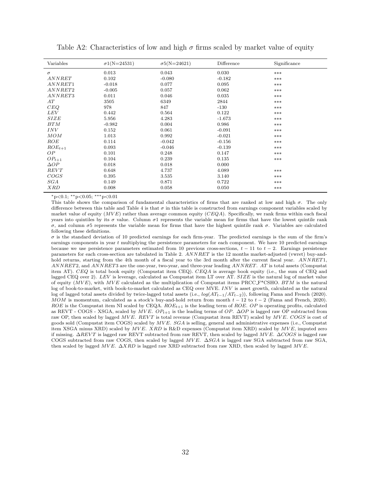| Variables           | $\sigma1(N=24531)$ | $\sigma$ 5(N=24621) | Difference | Significance |
|---------------------|--------------------|---------------------|------------|--------------|
| $\sigma$            | 0.013              | 0.043               | 0.030      | ***          |
| ANNRET              | 0.102              | $-0.080$            | $-0.182$   | ***          |
| ANNRET1             | $-0.018$           | 0.077               | 0.095      | $***$        |
| ANNRET <sub>2</sub> | $-0.005$           | 0.057               | 0.062      | ***          |
| ANNRET3             | 0.011              | 0.046               | 0.035      | ***          |
| AT                  | 3505               | 6349                | 2844       | $***$        |
| CEQ                 | 978                | 847                 | $-130$     | ***          |
| <b>LEV</b>          | 0.442              | 0.564               | 0.122      | ***          |
| SIZE                | 5.956              | 4.283               | $-1.673$   | $***$        |
| BTM                 | $-0.982$           | 0.004               | 0.986      | ***          |
| INV                 | 0.152              | 0.061               | $-0.091$   | ***          |
| MOM                 | 1.013              | 0.992               | $-0.021$   | $***$        |
| ROE                 | 0.114              | $-0.042$            | $-0.156$   | ***          |
| $ROE_{t+1}$         | 0.093              | $-0.046$            | $-0.139$   | ***          |
| OP                  | 0.101              | 0.248               | 0.147      | $***$        |
| $OP_{t+1}$          | 0.104              | 0.239               | 0.135      | ***          |
| $\Delta OP$         | 0.018              | 0.018               | 0.000      |              |
| REVT                | 0.648              | 4.737               | 4.089      | $***$        |
| COGS                | 0.395              | 3.535               | 3.140      | ***          |
| SGA                 | 0.149              | 0.871               | 0.722      | $***$        |
| XRD                 | 0.008              | 0.058               | 0.050      | $***$        |

Table A2: Characteristics of low and high  $\sigma$  firms scaled by market value of equity

 $*p<0.1$ ;  $*p<0.05$ ;  $***p<0.01$ 

This table shows the comparison of fundamental characteristics of firms that are ranked at low and high  $\sigma$ . The only difference between this table and Table 4 is that  $\sigma$  in this table is constructed from earnings component variables scaled by market value of equity  $(MVE)$  rather than average common equity  $(CEQA)$ . Specifically, we rank firms within each fiscal years into quintiles by its  $\sigma$  value. Column  $\sigma$ 1 represents the variable mean for firms that have the lowest quintile rank σ, and column σ5 represents the variable mean for firms that have the highest quintile rank σ. Variables are calculated following these definitions.

 $\sigma$  is the standard deviation of 10 predicted earnings for each firm-year. The predicted earnings is the sum of the firm's earnings components in year t multiplying the persistence parameters for each component. We have 10 predicted earnings because we use persistence parameters estimated from 10 previous cross-sections,  $t - 11$  to  $t - 2$ . Earnings persistence parameters for each cross-section are tabulated in Table 2. ANNRET is the 12 months market-adjusted (vwret) buy-andhold returns, starting from the 4th month of a fiscal year to the 3rd month after the current fiscal year. ANNRET1, ANNRET2, and ANNRET3 are the one-year, two-year, and three-year leading ANNRET. AT is total assets (Compustat item AT). CEQ is total book equity (Compustat item CEQ). CEQA is average book equity (i.e., the sum of CEQ and lagged CEQ over 2). LEV is leverage, calculated as Compustat item LT over AT. SIZE is the natural log of market value of equity  $(MVE)$ , with  $MVE$  calculated as the multiplication of Compustat items PRCC F\*CSHO. BTM is the natural log of book-to-market, with book-to-market calculated as CEQ over MVE. INV is asset growth, calculated as the natural log of lagged total assets divided by twice-lagged total assets (i.e.,  $log(AT_{t-1}/AT_{t-2})$ ), following Fama and French (2020). MOM is momentum, calculated as a stock's buy-and-hold return from month  $t - 12$  to  $t - 2$  (Fama and French, 2020). ROE is the Compustat item NI scaled by CEQA.  $ROE_{t+1}$  is the leading term of ROE. OP is operating profits, calculated as REVT - COGS - XSGA, scaled by MVE.  $OP_{t+1}$  is the leading terms of  $OP$ .  $\Delta OP$  is lagged raw OP subtracted from raw OP, then scaled by lagged MVE. REVT is total revenue (Compustat item REVT) scaled by MVE. COGS is cost of goods sold (Compustat item COGS) scaled by MV E. SGA is selling, general and administrative expenses (i.e., Compustat item XSGA minus XRD) scaled by  $MVE$ . XRD is R&D expenses (Compustat item XRD) scaled by  $MVE$ , imputed zero if missing.  $\Delta REVT$  is lagged raw REVT subtracted from raw REVT, then scaled by lagged  $MVE$ .  $\Delta COGS$  is lagged raw COGS subtracted from raw COGS, then scaled by lagged MVE. △SGA is lagged raw SGA subtracted from raw SGA, then scaled by lagged  $MVE$ .  $\Delta XRD$  is lagged raw XRD subtracted from raw XRD, then scaled by lagged  $MVE$ .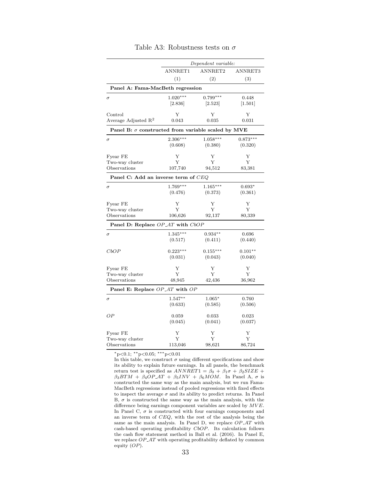|                                                           | Dependent variable: |            |            |  |  |  |
|-----------------------------------------------------------|---------------------|------------|------------|--|--|--|
|                                                           | ANNRET1             | ANNRET2    | ANNRET3    |  |  |  |
|                                                           | (1)                 | (2)        | (3)        |  |  |  |
| Panel A: Fama-MacBeth regression                          |                     |            |            |  |  |  |
| $\sigma$                                                  | $1.020***$          | $0.799***$ | 0.448      |  |  |  |
|                                                           | [2.836]             | 2.523      | [1.501]    |  |  |  |
| Control                                                   | Υ                   | Y          | Υ          |  |  |  |
| Average Adjusted $\mathbb{R}^2$                           | 0.043               | 0.035      | 0.031      |  |  |  |
| Panel B: $\sigma$ constructed from variable scaled by MVE |                     |            |            |  |  |  |
| $\sigma$                                                  | 2.306***            | $1.058***$ | $0.873***$ |  |  |  |
|                                                           | (0.608)             | (0.380)    | (0.320)    |  |  |  |
| Fyear FE                                                  | Υ                   | Y          | Υ          |  |  |  |
| Two-way cluster                                           | Υ                   | Y          | Υ          |  |  |  |
| Observations                                              | 107,740             | 94,512     | 83,381     |  |  |  |
| Panel C: Add an inverse term of CEQ                       |                     |            |            |  |  |  |
| $\sigma$                                                  | $1.769***$          | $1.165***$ | $0.693*$   |  |  |  |
|                                                           | (0.476)             | (0.373)    | (0.361)    |  |  |  |
| Fyear FE                                                  | Υ                   | Y          | Υ          |  |  |  |
| Two-way cluster                                           | Υ                   | Υ          | Υ          |  |  |  |
| Observations                                              | 106,626             | 92,137     | 80,339     |  |  |  |
| Panel D: Replace OP_AT with CbOP                          |                     |            |            |  |  |  |
| $\sigma$                                                  | $1.345***$          | $0.934**$  | 0.696      |  |  |  |
|                                                           | (0.517)             | (0.411)    | (0.440)    |  |  |  |
| $_{CbOP}$                                                 | $0.223***$          | $0.155***$ | $0.101**$  |  |  |  |
|                                                           | (0.031)             | (0.043)    | (0.040)    |  |  |  |
| Fyear FE                                                  | Υ                   | Y          | Υ          |  |  |  |
| Two-way cluster                                           | Y                   | Y          | Y          |  |  |  |
| Observations                                              | 48,945              | 42,436     | 36,962     |  |  |  |
| Panel E: Replace OP_AT with OP                            |                     |            |            |  |  |  |
| $\sigma$                                                  | $1.547**$           | $1.065*$   | 0.760      |  |  |  |
|                                                           | (0.633)             | (0.585)    | (0.506)    |  |  |  |
| ОP                                                        | 0.059               | 0.033      | 0.023      |  |  |  |
|                                                           | (0.045)             | (0.041)    | (0.037)    |  |  |  |
| Fyear FE                                                  | Υ                   | Y          | Υ          |  |  |  |
| Two-way cluster                                           | Υ                   | Y          | Υ          |  |  |  |
| Observations                                              | 113,046             | 98,621     | 86,724     |  |  |  |

#### Table A3: Robustness tests on  $\sigma$

<sup>∗</sup>p<0.1; ∗∗p<0.05; ∗∗∗p<0.01

In this table, we construct  $\sigma$  using different specifications and show its ability to explain future earnings. In all panels, the benchmark return test is specified as  $ANNRET1 = \beta_0 + \beta_1 \sigma + \beta_2 SIZE +$  $\beta_3BTM + \beta_4OP_AT + \beta_5INV + \beta_6MOM$ . In Panel A,  $\sigma$  is constructed the same way as the main analysis, but we run Fama-MacBeth regressions instead of pooled regressions with fixed effects to inspect the average  $\sigma$  and its ability to predict returns. In Panel B,  $\sigma$  is constructed the same way as the main analysis, with the difference being earnings component variables are scaled by  $MVE$ . In Panel C,  $\sigma$  is constructed with four earnings components and an inverse term of CEQ, with the rest of the analysis being the same as the main analysis. In Panel D, we replace  $OP\_AT$  with cash-based operating profitability CbOP. Its calculation follows the cash flow statement method in Ball et al. (2016). In Panel E, we replace  $OP\_AT$  with operating profitability deflated by common equity (OP).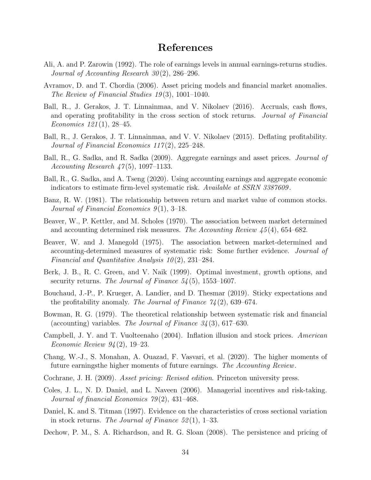## References

- Ali, A. and P. Zarowin (1992). The role of earnings levels in annual earnings-returns studies. Journal of Accounting Research 30(2), 286-296.
- Avramov, D. and T. Chordia (2006). Asset pricing models and financial market anomalies. The Review of Financial Studies 19 (3), 1001–1040.
- Ball, R., J. Gerakos, J. T. Linnainmaa, and V. Nikolaev (2016). Accruals, cash flows, and operating profitability in the cross section of stock returns. Journal of Financial Economics  $121(1)$ ,  $28-45$ .
- Ball, R., J. Gerakos, J. T. Linnainmaa, and V. V. Nikolaev (2015). Deflating profitability. Journal of Financial Economics  $117(2)$ ,  $225-248$ .
- Ball, R., G. Sadka, and R. Sadka (2009). Aggregate earnings and asset prices. *Journal of* Accounting Research  $47(5)$ , 1097-1133.
- Ball, R., G. Sadka, and A. Tseng (2020). Using accounting earnings and aggregate economic indicators to estimate firm-level systematic risk. Available at SSRN 3387609.
- Banz, R. W. (1981). The relationship between return and market value of common stocks. Journal of Financial Economics  $9(1)$ , 3-18.
- Beaver, W., P. Kettler, and M. Scholes (1970). The association between market determined and accounting determined risk measures. The Accounting Review 45 (4), 654–682.
- Beaver, W. and J. Manegold (1975). The association between market-determined and accounting-determined measures of systematic risk: Some further evidence. Journal of Financial and Quantitative Analysis  $10(2)$ , 231–284.
- Berk, J. B., R. C. Green, and V. Naik (1999). Optimal investment, growth options, and security returns. The Journal of Finance  $54(5)$ , 1553–1607.
- Bouchaud, J.-P., P. Krueger, A. Landier, and D. Thesmar (2019). Sticky expectations and the profitability anomaly. The Journal of Finance  $74(2)$ , 639–674.
- Bowman, R. G. (1979). The theoretical relationship between systematic risk and financial (accounting) variables. The Journal of Finance  $34(3)$ , 617–630.
- Campbell, J. Y. and T. Vuolteenaho (2004). Inflation illusion and stock prices. American Economic Review 94 (2), 19–23.
- Chang, W.-J., S. Monahan, A. Ouazad, F. Vasvari, et al. (2020). The higher moments of future earningsthe higher moments of future earnings. The Accounting Review.
- Cochrane, J. H. (2009). Asset pricing: Revised edition. Princeton university press.
- Coles, J. L., N. D. Daniel, and L. Naveen (2006). Managerial incentives and risk-taking. Journal of financial Economics  $79(2)$ , 431-468.
- Daniel, K. and S. Titman (1997). Evidence on the characteristics of cross sectional variation in stock returns. The Journal of Finance  $52(1)$ , 1–33.
- Dechow, P. M., S. A. Richardson, and R. G. Sloan (2008). The persistence and pricing of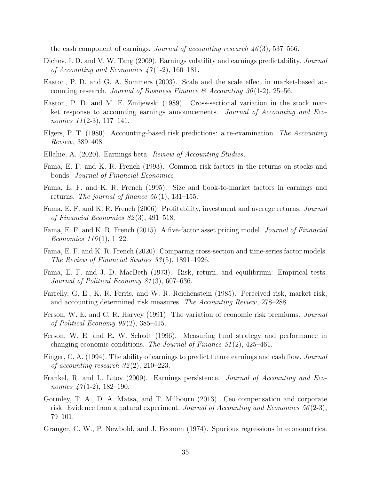the cash component of earnings. Journal of accounting research  $46(3)$ , 537–566.

- Dichev, I. D. and V. W. Tang (2009). Earnings volatility and earnings predictability. Journal of Accounting and Economics  $47(1-2)$ , 160-181.
- Easton, P. D. and G. A. Sommers (2003). Scale and the scale effect in market-based accounting research. Journal of Business Finance  $\mathcal C$  Accounting 30(1-2), 25–56.
- Easton, P. D. and M. E. Zmijewski (1989). Cross-sectional variation in the stock market response to accounting earnings announcements. Journal of Accounting and Economics  $11(2-3)$ , 117-141.
- Elgers, P. T. (1980). Accounting-based risk predictions: a re-examination. The Accounting Review, 389–408.
- Ellahie, A. (2020). Earnings beta. Review of Accounting Studies.
- Fama, E. F. and K. R. French (1993). Common risk factors in the returns on stocks and bonds. Journal of Financial Economics.
- Fama, E. F. and K. R. French (1995). Size and book-to-market factors in earnings and returns. The journal of finance  $50(1)$ , 131–155.
- Fama, E. F. and K. R. French (2006). Profitability, investment and average returns. Journal of Financial Economics 82 (3), 491–518.
- Fama, E. F. and K. R. French (2015). A five-factor asset pricing model. Journal of Financial Economics  $116(1)$ , 1–22.
- Fama, E. F. and K. R. French (2020). Comparing cross-section and time-series factor models. The Review of Financial Studies 33 (5), 1891–1926.
- Fama, E. F. and J. D. MacBeth (1973). Risk, return, and equilibrium: Empirical tests. Journal of Political Economy 81 (3), 607–636.
- Farrelly, G. E., K. R. Ferris, and W. R. Reichenstein (1985). Perceived risk, market risk, and accounting determined risk measures. The Accounting Review, 278–288.
- Ferson, W. E. and C. R. Harvey (1991). The variation of economic risk premiums. Journal of Political Economy  $99(2)$ , 385-415.
- Ferson, W. E. and R. W. Schadt (1996). Measuring fund strategy and performance in changing economic conditions. The Journal of Finance  $51(2)$ , 425–461.
- Finger, C. A. (1994). The ability of earnings to predict future earnings and cash flow. *Journal* of accounting research  $32(2)$ ,  $210-223$ .
- Frankel, R. and L. Litov (2009). Earnings persistence. Journal of Accounting and Economics  $47(1-2)$ , 182-190.
- Gormley, T. A., D. A. Matsa, and T. Milbourn (2013). Ceo compensation and corporate risk: Evidence from a natural experiment. Journal of Accounting and Economics  $56(2-3)$ , 79–101.
- Granger, C. W., P. Newbold, and J. Econom (1974). Spurious regressions in econometrics.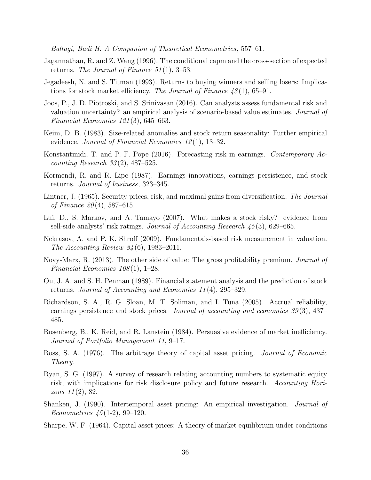Baltagi, Badi H. A Companion of Theoretical Econometrics, 557–61.

- Jagannathan, R. and Z. Wang (1996). The conditional capm and the cross-section of expected returns. The Journal of Finance  $51(1)$ , 3–53.
- Jegadeesh, N. and S. Titman (1993). Returns to buying winners and selling losers: Implications for stock market efficiency. The Journal of Finance  $48(1)$ , 65–91.
- Joos, P., J. D. Piotroski, and S. Srinivasan (2016). Can analysts assess fundamental risk and valuation uncertainty? an empirical analysis of scenario-based value estimates. Journal of Financial Economics 121 (3), 645–663.
- Keim, D. B. (1983). Size-related anomalies and stock return seasonality: Further empirical evidence. *Journal of Financial Economics* 12(1), 13–32.
- Konstantinidi, T. and P. F. Pope (2016). Forecasting risk in earnings. Contemporary Accounting Research  $33(2)$ , 487–525.
- Kormendi, R. and R. Lipe (1987). Earnings innovations, earnings persistence, and stock returns. Journal of business, 323–345.
- Lintner, J. (1965). Security prices, risk, and maximal gains from diversification. The Journal of Finance  $20(4)$ , 587–615.
- Lui, D., S. Markov, and A. Tamayo (2007). What makes a stock risky? evidence from sell-side analysts' risk ratings. Journal of Accounting Research 45 (3), 629–665.
- Nekrasov, A. and P. K. Shroff (2009). Fundamentals-based risk measurement in valuation. The Accounting Review 84 (6), 1983–2011.
- Novy-Marx, R. (2013). The other side of value: The gross profitability premium. Journal of Financial Economics  $108(1)$ , 1–28.
- Ou, J. A. and S. H. Penman (1989). Financial statement analysis and the prediction of stock returns. Journal of Accounting and Economics 11 (4), 295–329.
- Richardson, S. A., R. G. Sloan, M. T. Soliman, and I. Tuna (2005). Accrual reliability, earnings persistence and stock prices. Journal of accounting and economics  $39(3)$ ,  $437-$ 485.
- Rosenberg, B., K. Reid, and R. Lanstein (1984). Persuasive evidence of market inefficiency. Journal of Portfolio Management 11, 9–17.
- Ross, S. A. (1976). The arbitrage theory of capital asset pricing. Journal of Economic Theory.
- Ryan, S. G. (1997). A survey of research relating accounting numbers to systematic equity risk, with implications for risk disclosure policy and future research. Accounting Horizons 11 (2), 82.
- Shanken, J. (1990). Intertemporal asset pricing: An empirical investigation. Journal of Econometrics  $45(1-2)$ , 99-120.
- Sharpe, W. F. (1964). Capital asset prices: A theory of market equilibrium under conditions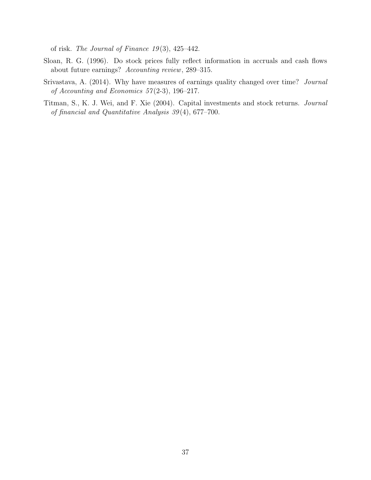of risk. The Journal of Finance  $19(3)$ , 425-442.

- Sloan, R. G. (1996). Do stock prices fully reflect information in accruals and cash flows about future earnings? Accounting review, 289–315.
- Srivastava, A. (2014). Why have measures of earnings quality changed over time? Journal of Accounting and Economics  $57(2-3)$ , 196-217.
- Titman, S., K. J. Wei, and F. Xie (2004). Capital investments and stock returns. Journal of financial and Quantitative Analysis 39 (4), 677–700.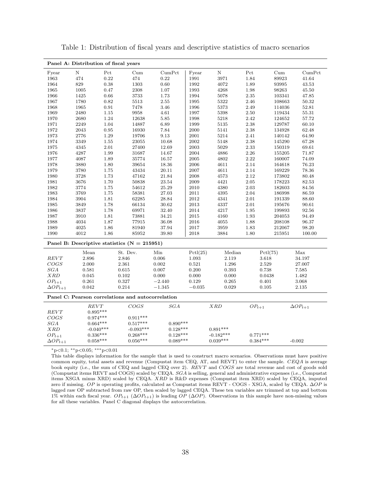|                   | Panel A: Distribution of fiscal years |                                          |                                                   |            |          |                                   |                                          |            |                   |
|-------------------|---------------------------------------|------------------------------------------|---------------------------------------------------|------------|----------|-----------------------------------|------------------------------------------|------------|-------------------|
| Fyear             | $\mathbf N$                           | $\ensuremath{\mathop{\rm Pet}\nolimits}$ | Cum                                               | CumPet     | Fyear    | N                                 | $\ensuremath{\mathop{\rm Pet}\nolimits}$ | Cum        | CumPet            |
| 1963              | 474                                   | 0.22                                     | 474                                               | 0.22       | 1991     | 3971                              | 1.84                                     | 89923      | 41.64             |
| 1964              | 829                                   | $0.38\,$                                 | 1303                                              | 0.60       | 1992     | 4072                              | 1.89                                     | 93995      | 43.53             |
| 1965              | 1005                                  | $0.47\,$                                 | 2308                                              | 1.07       | 1993     | 4268                              | 1.98                                     | 98263      | 45.50             |
| 1966              | 1425                                  | $\,0.66\,$                               | 3733                                              | 1.73       | 1994     | 5078                              | 2.35                                     | 103341     | 47.85             |
| 1967              | 1780                                  | 0.82                                     | 5513                                              | 2.55       | 1995     | 5322                              | 2.46                                     | 108663     | 50.32             |
| 1968              | 1965                                  | $\rm 0.91$                               | 7478                                              | 3.46       | 1996     | $5373\,$                          | 2.49                                     | 114036     | 52.81             |
| 1969              | 2480                                  | 1.15                                     | 9958                                              | 4.61       | 1997     | 5398                              | 2.50                                     | 119434     | 55.31             |
| 1970              | 2680                                  | 1.24                                     | 12638                                             | 5.85       | 1998     | 5218                              | 2.42                                     | 124652     | 57.72             |
| 1971              | 2249                                  | 1.04                                     | 14887                                             | 6.89       | 1999     | $5135\,$                          | 2.38                                     | 129787     | 60.10             |
| 1972              | 2043                                  | $\rm 0.95$                               | 16930                                             | 7.84       | 2000     | 5141                              | 2.38                                     | 134928     | 62.48             |
| 1973              | 2776                                  | $1.29\,$                                 | 19706                                             | 9.13       | 2001     | 5214                              | 2.41                                     | 140142     | 64.90             |
| 1974              | 3349                                  | $1.55\,$                                 | 23055                                             | 10.68      | 2002     | 5148                              | $2.38\,$                                 | 145290     | 67.28             |
| 1975              | 4345                                  | $2.01\,$                                 | 27400                                             | 12.69      | 2003     | 5029                              | 2.33                                     | 150319     | 69.61             |
| 1976              | 4287                                  | 1.99                                     | 31687                                             | 14.67      | 2004     | 4886                              | 2.26                                     | 155205     | 71.87             |
| 1977              | 4087                                  | 1.89                                     | 35774                                             | 16.57      | 2005     | 4802                              | 2.22                                     | 160007     | 74.09             |
| 1978              | 3880                                  | 1.80                                     | 39654                                             | 18.36      | 2006     | 4611                              | 2.14                                     | 164618     | 76.23             |
| 1979              | 3780                                  | $1.75\,$                                 | 43434                                             | 20.11      | 2007     | 4611                              | 2.14                                     | 169229     | 78.36             |
| 1980              | 3728                                  | 1.73                                     | 47162                                             | 21.84      | 2008     | 4573                              | 2.12                                     | 173802     | 80.48             |
| 1981              | 3676                                  | 1.70                                     | 50838                                             | 23.54      | 2009     | 4421                              | 2.05                                     | 178223     | 82.53             |
| 1982              | 3774                                  | $1.75\,$                                 | 54612                                             | 25.29      | 2010     | 4380                              | $2.03\,$                                 | 182603     | 84.56             |
| 1983              | 3769                                  | 1.75                                     | 58381                                             | 27.03      | 2011     | 4395                              | 2.04                                     | 186998     | 86.59             |
| 1984              | 3904                                  | $1.81\,$                                 | 62285                                             | 28.84      | 2012     | 4341                              | $2.01\,$                                 | 191339     | 88.60             |
| 1985              | 3849                                  | 1.78                                     | 66134                                             | 30.62      | 2013     | 4337                              | 2.01                                     | 195676     | 90.61             |
| 1986              | 3837                                  | 1.78                                     | 69971                                             | 32.40      | $\,2014$ | 4217                              | 1.95                                     | 199893     | 92.56             |
| 1987              | 3910                                  | $1.81\,$                                 | 73881                                             | 34.21      | 2015     | 4160                              | 1.93                                     | 204053     | 94.49             |
| 1988              | 4034                                  | 1.87                                     | 77915                                             | 36.08      | 2016     | 4055                              | 1.88                                     | 208108     | 96.37             |
| 1989              | 4025                                  | 1.86                                     | 81940                                             | 37.94      | 2017     | $3959\,$                          | 1.83                                     | 212067     | 98.20             |
| 1990              | 4012                                  | 1.86                                     | 85952                                             | 39.80      | 2018     | 3884                              | 1.80                                     | 215951     | 100.00            |
|                   |                                       |                                          | Panel B: Descriptive statistics $(N = 215951)$    |            |          |                                   |                                          |            |                   |
|                   | Mean                                  |                                          | St. Dev.                                          | $\rm{Min}$ | Pctl(25) | Median                            |                                          | Pctl(75)   | ${\rm Max}$       |
| REVT              | 2.896                                 |                                          | 2.846                                             | $0.006\,$  | 1.093    | 2.119                             |                                          | 3.618      | 34.197            |
| COGS              | 2.000                                 |                                          | 2.361                                             | 0.002      | 0.521    | 1.296                             |                                          | 2.529      | 27.007            |
| SGA               | 0.581                                 |                                          | 0.615                                             | 0.007      | 0.200    | 0.393                             |                                          | 0.738      | 7.585             |
| <b>XRD</b>        | 0.045                                 |                                          | 0.102                                             | 0.000      | 0.000    | 0.000                             |                                          | 0.0438     | 1.482             |
| $OP_{t+1}$        | 0.261                                 |                                          | 0.327                                             | $-2.440$   | 0.129    | 0.265                             |                                          | 0.401      | 3.068             |
| $\Delta OP_{t+1}$ | 0.042                                 |                                          | 0.214                                             | $-1.345$   | $-0.035$ | 0.029                             |                                          | 0.105      | 2.135             |
|                   |                                       |                                          | Panel C: Pearson correlations and autocorrelation |            |          |                                   |                                          |            |                   |
|                   | REVT                                  |                                          | COGS                                              | $SGA$      |          | ${X} {\mathcal{R}} {\mathcal{D}}$ | $OP_{t+1}$                               |            | $\Delta OP_{t+1}$ |
| REVT              | $0.895***$                            |                                          |                                                   |            |          |                                   |                                          |            |                   |
| COGS              | $0.974***$                            |                                          | $0.911***$                                        |            |          |                                   |                                          |            |                   |
| $SGA$             | $0.664***$                            |                                          | $0.517***$                                        | $0.890***$ |          |                                   |                                          |            |                   |
| XRD               | $-0.040***$                           |                                          | $-0.093***$                                       | $0.128***$ |          | $0.891***$                        |                                          |            |                   |
| $OP_{t+1}$        | $0.336***$                            |                                          | $0.268***$                                        | $0.128***$ |          | $-0.182***$                       |                                          | $0.771***$ |                   |
| $\Delta OP_{t+1}$ | $0.058***$                            |                                          | $0.056***$                                        | $0.089***$ |          | $0.039***$                        |                                          | $0.384***$ | $-0.002$          |
|                   |                                       |                                          |                                                   |            |          |                                   |                                          |            |                   |

Table 1: Distribution of fiscal years and descriptive statistics of macro scenarios

 $*p<0.1$ ;  $*p<0.05$ ;  $***p<0.01$ 

This table displays information for the sample that is used to construct macro scenarios. Observations must have positive common equity, total assets and revenue (Compustat item CEQ, AT, and REVT) to enter the sample. CEQA is average book equity (i.e., the sum of CEQ and lagged CEQ over 2). REVT and COGS are total revenue and cost of goods sold (Compustat items REVT and COGS) scaled by CEQA.  $SG\AA$  is selling, general and administrative expenses (i.e., Compustat items XSGA minus XRD) scaled by CEQA. XRD is R&D expenses (Compustat item XRD) scaled by CEQA, imputed zero if missing. OP is operating profits, calculated as Compustat items REVT - COGS - XSGA, scaled by CEQA. ∆OP is lagged raw OP subtracted from raw OP, then scaled by lagged CEQA. These ten variables are trimmed at top and bottom 1% within each fiscal year.  $OP_{t+1}$  ( $ΔOP_{t+1}$ ) is leading  $OP$  ( $ΔOP$ ). Observations in this sample have non-missing values for all these variables. Panel C diagonal displays the autocorrelation.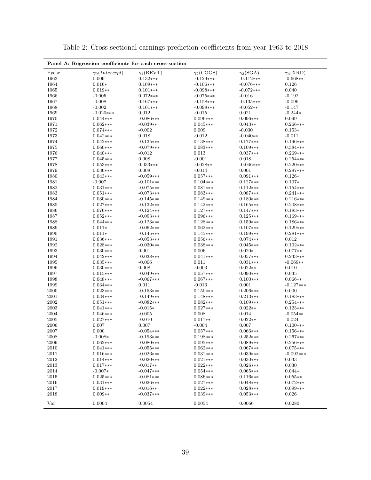| $\gamma_3(SGA)$<br>$\gamma_4(\text{XRD})$<br>Fyear<br>$\gamma_0(Intercept)$<br>$\gamma_1(\rm REVT)$<br>$\gamma_2({\rm COGS})$<br>1963<br>0.009<br>$-0.129***$<br>$-0.112***$<br>$-0.668**$<br>$0.132***$<br>1964<br>$0.016*$<br>$-0.076***$<br>0.126<br>$0.109***$<br>$-0.106***$<br>1965<br>$0.019**$<br>$0.101***$<br>$-0.098***$<br>$-0.072***$<br>0.040<br>$-0.016$<br>1966<br>$-0.005$<br>$0.072***$<br>$-0.075***$<br>$-0.192$<br>1967<br>$-0.008$<br>$0.167***$<br>$-0.158***$<br>$-0.135***$<br>$-0.096$<br>$-0.002$<br>1968<br>$0.101***$<br>$-0.098***$<br>$-0.052**$<br>$-0.147$<br>1969<br>0.012<br>0.021<br>$-0.020***$<br>$-0.015$<br>$-0.244*$<br>1970<br>$0.096***$<br>$0.096***$<br>0.099<br>$0.044***$<br>$-0.086***$<br>1971<br>$0.045***$<br>$0.043**$<br>$0.062***$<br>$-0.039**$<br>$0.266***$<br>1972<br>$-0.030$<br>$0.074***$<br>$-0.002$<br>0.009<br>$0.153*$<br>1973<br>0.018<br>$-0.012$<br>$-0.040**$<br>$-0.011$<br>$0.042***$<br>1974<br>$-0.135***$<br>$0.138***$<br>$0.177***$<br>$0.042***$<br>$0.196***$<br>1975<br>$0.060***$<br>$-0.079***$<br>$0.083***$<br>$0.109***$<br>$0.384***$<br>1976<br>$-0.012$<br>0.013<br>$0.037***$<br>$0.040***$<br>$0.269***$<br>1977<br>0.008<br>$-0.001$<br>0.018<br>$0.045***$<br>$0.254***$<br>1978<br>$0.033***$<br>$-0.046***$<br>$0.053***$<br>$-0.028**$<br>$0.220***$<br>1979<br>$0.036***$<br>0.008<br>$-0.014$<br>0.001<br>$0.297***$<br>1980<br>$0.043***$<br>$-0.059***$<br>$0.057***$<br>$0.091***$<br>$0.126*$<br>1981<br>$-0.007$<br>$-0.101***$<br>$0.104***$<br>$0.127***$<br>$0.107*$<br>1982<br>$0.031***$<br>$-0.075***$<br>$0.081***$<br>$0.112***$<br>$0.154***$<br>1983<br>$0.051***$<br>$-0.073***$<br>$0.083***$<br>$0.087***$<br>$0.241***$<br>1984<br>$0.180***$<br>$0.030***$<br>$-0.145***$<br>$0.149***$<br>$0.216***$<br>1985<br>$0.165***$<br>$0.027***$<br>$-0.132***$<br>$0.142***$<br>$0.208***$<br>1986<br>$0.127***$<br>$0.076***$<br>$-0.124***$<br>$0.147***$<br>$0.183***$<br>1987<br>$0.052***$<br>$-0.093***$<br>$0.096***$<br>$0.125***$<br>$0.169***$<br>1988<br>$0.044***$<br>$-0.123***$<br>$0.128***$<br>$0.159***$<br>$0.186***$<br>1989<br>$0.011*$<br>$0.062***$<br>$-0.062***$<br>$0.107***$<br>$0.129***$<br>1990<br>$0.011*$<br>$-0.145***$<br>$0.145***$<br>$0.199***$<br>$0.281***$<br>1991<br>$0.036***$<br>$-0.053***$<br>$0.056***$<br>$0.074***$<br>0.012<br>1992<br>$0.028***$<br>$-0.030***$<br>$0.038***$<br>$0.045***$<br>$0.102***$<br>1993<br>0.001<br>0.006<br>$0.020*$<br>$0.077**$<br>$0.030***$<br>1994<br>$0.042***$<br>$-0.038***$<br>$0.041***$<br>$0.057***$<br>$0.233***$<br>1995<br>$0.035***$<br>$-0.006$<br>0.011<br>$0.031***$<br>$-0.069**$<br>1996<br>0.008<br>$-0.003$<br>$0.022**$<br>$0.030***$<br>0.010<br>$0.090***$<br>0.035<br>1997<br>$0.015***$<br>$-0.049***$<br>$0.057***$<br>1998<br>$0.048***$<br>$-0.067***$<br>$0.067***$<br>$0.100***$<br>$0.066**$<br>1999<br>0.001<br>$0.034***$<br>0.011<br>$-0.013$<br>$-0.127***$<br>$2000\,$<br>0.000<br>$0.023***$<br>$-0.153***$<br>$0.150***$<br>$0.206***$<br>2001<br>$0.148***$<br>$0.034***$<br>$-0.149***$<br>$0.213***$<br>$0.183***$<br>2002<br>$0.051***$<br>$-0.082***$<br>$0.082***$<br>$0.109***$<br>$0.254***$<br>2003<br>$0.041***$<br>$-0.015*$<br>$0.027***$<br>$0.022**$<br>$0.123***$<br>2004<br>0.008<br>0.014<br>$0.046***$<br>$-0.005$<br>$-0.054**$<br>2005<br>$0.022**$<br>$0.027***$<br>$-0.010$<br>$0.017**$<br>$-0.024$<br>0.007<br>0.007<br>$0.100***$<br>2006<br>0.007<br>$-0.004$<br>2007<br>0.000<br>$-0.054***$<br>$0.057***$<br>$0.066***$<br>$0.156***$<br>$-0.008*$<br>$-0.193***$<br>$0.198***$<br>$0.252***$<br>2008<br>$0.267***$<br>2009<br>$0.062***$<br>$-0.080***$<br>$0.095***$<br>$0.089***$<br>$0.256***$<br>2010<br>$0.041***$<br>$-0.055***$<br>$0.062***$<br>$0.067***$<br>$0.075***$<br>2011<br>$0.016***$<br>$-0.026***$<br>$0.031***$<br>$0.039***$<br>$-0.092***$<br>2012<br>$0.014***$<br>$-0.020***$<br>$0.021***$<br>0.033<br>$0.030***$<br>2013<br>$0.017***$<br>$-0.017**$<br>$0.022***$<br>$0.026***$<br>0.030<br>2014<br>$-0.007*$<br>$-0.047***$<br>$0.054***$<br>$0.065***$<br>$0.044*$<br>2015<br>$0.086***$<br>$0.025***$<br>$-0.081***$<br>$0.116***$<br>$0.055**$<br>2016<br>$0.027***$<br>$0.031***$<br>$-0.026***$<br>$0.048***$<br>$0.072***$<br>$2017\,$<br>$-0.016**$<br>$0.022***$<br>$0.028***$<br>$0.099***$<br>$0.019***$<br>2018<br>$0.009**$<br>$-0.037***$<br>$0.039***$<br>$0.053***$<br>0.026<br>Var<br>0.0004<br>0.0054<br>0.0054<br>0.0066<br>0.0280 | Panel A: Regression coefficients for each cross-section |  |  |  |  |  |  |  |  |
|--------------------------------------------------------------------------------------------------------------------------------------------------------------------------------------------------------------------------------------------------------------------------------------------------------------------------------------------------------------------------------------------------------------------------------------------------------------------------------------------------------------------------------------------------------------------------------------------------------------------------------------------------------------------------------------------------------------------------------------------------------------------------------------------------------------------------------------------------------------------------------------------------------------------------------------------------------------------------------------------------------------------------------------------------------------------------------------------------------------------------------------------------------------------------------------------------------------------------------------------------------------------------------------------------------------------------------------------------------------------------------------------------------------------------------------------------------------------------------------------------------------------------------------------------------------------------------------------------------------------------------------------------------------------------------------------------------------------------------------------------------------------------------------------------------------------------------------------------------------------------------------------------------------------------------------------------------------------------------------------------------------------------------------------------------------------------------------------------------------------------------------------------------------------------------------------------------------------------------------------------------------------------------------------------------------------------------------------------------------------------------------------------------------------------------------------------------------------------------------------------------------------------------------------------------------------------------------------------------------------------------------------------------------------------------------------------------------------------------------------------------------------------------------------------------------------------------------------------------------------------------------------------------------------------------------------------------------------------------------------------------------------------------------------------------------------------------------------------------------------------------------------------------------------------------------------------------------------------------------------------------------------------------------------------------------------------------------------------------------------------------------------------------------------------------------------------------------------------------------------------------------------------------------------------------------------------------------------------------------------------------------------------------------------------------------------------------------------------------------------------------------------------------------------------------------------------------------------------------------------------------------------------------------------------------------------------------------------------------------------------------------------------------------------------------------------------------------------------------------------------------------------------------------------------------------------------------------------------------------------------------------------------------------------------------------------------------------------------------------------------------------------------------------------------------------------------------------------------------------------------------------------------------------------------|---------------------------------------------------------|--|--|--|--|--|--|--|--|
|                                                                                                                                                                                                                                                                                                                                                                                                                                                                                                                                                                                                                                                                                                                                                                                                                                                                                                                                                                                                                                                                                                                                                                                                                                                                                                                                                                                                                                                                                                                                                                                                                                                                                                                                                                                                                                                                                                                                                                                                                                                                                                                                                                                                                                                                                                                                                                                                                                                                                                                                                                                                                                                                                                                                                                                                                                                                                                                                                                                                                                                                                                                                                                                                                                                                                                                                                                                                                                                                                                                                                                                                                                                                                                                                                                                                                                                                                                                                                                                                                                                                                                                                                                                                                                                                                                                                                                                                                                                                                                                                                  |                                                         |  |  |  |  |  |  |  |  |
|                                                                                                                                                                                                                                                                                                                                                                                                                                                                                                                                                                                                                                                                                                                                                                                                                                                                                                                                                                                                                                                                                                                                                                                                                                                                                                                                                                                                                                                                                                                                                                                                                                                                                                                                                                                                                                                                                                                                                                                                                                                                                                                                                                                                                                                                                                                                                                                                                                                                                                                                                                                                                                                                                                                                                                                                                                                                                                                                                                                                                                                                                                                                                                                                                                                                                                                                                                                                                                                                                                                                                                                                                                                                                                                                                                                                                                                                                                                                                                                                                                                                                                                                                                                                                                                                                                                                                                                                                                                                                                                                                  |                                                         |  |  |  |  |  |  |  |  |
|                                                                                                                                                                                                                                                                                                                                                                                                                                                                                                                                                                                                                                                                                                                                                                                                                                                                                                                                                                                                                                                                                                                                                                                                                                                                                                                                                                                                                                                                                                                                                                                                                                                                                                                                                                                                                                                                                                                                                                                                                                                                                                                                                                                                                                                                                                                                                                                                                                                                                                                                                                                                                                                                                                                                                                                                                                                                                                                                                                                                                                                                                                                                                                                                                                                                                                                                                                                                                                                                                                                                                                                                                                                                                                                                                                                                                                                                                                                                                                                                                                                                                                                                                                                                                                                                                                                                                                                                                                                                                                                                                  |                                                         |  |  |  |  |  |  |  |  |
|                                                                                                                                                                                                                                                                                                                                                                                                                                                                                                                                                                                                                                                                                                                                                                                                                                                                                                                                                                                                                                                                                                                                                                                                                                                                                                                                                                                                                                                                                                                                                                                                                                                                                                                                                                                                                                                                                                                                                                                                                                                                                                                                                                                                                                                                                                                                                                                                                                                                                                                                                                                                                                                                                                                                                                                                                                                                                                                                                                                                                                                                                                                                                                                                                                                                                                                                                                                                                                                                                                                                                                                                                                                                                                                                                                                                                                                                                                                                                                                                                                                                                                                                                                                                                                                                                                                                                                                                                                                                                                                                                  |                                                         |  |  |  |  |  |  |  |  |
|                                                                                                                                                                                                                                                                                                                                                                                                                                                                                                                                                                                                                                                                                                                                                                                                                                                                                                                                                                                                                                                                                                                                                                                                                                                                                                                                                                                                                                                                                                                                                                                                                                                                                                                                                                                                                                                                                                                                                                                                                                                                                                                                                                                                                                                                                                                                                                                                                                                                                                                                                                                                                                                                                                                                                                                                                                                                                                                                                                                                                                                                                                                                                                                                                                                                                                                                                                                                                                                                                                                                                                                                                                                                                                                                                                                                                                                                                                                                                                                                                                                                                                                                                                                                                                                                                                                                                                                                                                                                                                                                                  |                                                         |  |  |  |  |  |  |  |  |
|                                                                                                                                                                                                                                                                                                                                                                                                                                                                                                                                                                                                                                                                                                                                                                                                                                                                                                                                                                                                                                                                                                                                                                                                                                                                                                                                                                                                                                                                                                                                                                                                                                                                                                                                                                                                                                                                                                                                                                                                                                                                                                                                                                                                                                                                                                                                                                                                                                                                                                                                                                                                                                                                                                                                                                                                                                                                                                                                                                                                                                                                                                                                                                                                                                                                                                                                                                                                                                                                                                                                                                                                                                                                                                                                                                                                                                                                                                                                                                                                                                                                                                                                                                                                                                                                                                                                                                                                                                                                                                                                                  |                                                         |  |  |  |  |  |  |  |  |
|                                                                                                                                                                                                                                                                                                                                                                                                                                                                                                                                                                                                                                                                                                                                                                                                                                                                                                                                                                                                                                                                                                                                                                                                                                                                                                                                                                                                                                                                                                                                                                                                                                                                                                                                                                                                                                                                                                                                                                                                                                                                                                                                                                                                                                                                                                                                                                                                                                                                                                                                                                                                                                                                                                                                                                                                                                                                                                                                                                                                                                                                                                                                                                                                                                                                                                                                                                                                                                                                                                                                                                                                                                                                                                                                                                                                                                                                                                                                                                                                                                                                                                                                                                                                                                                                                                                                                                                                                                                                                                                                                  |                                                         |  |  |  |  |  |  |  |  |
|                                                                                                                                                                                                                                                                                                                                                                                                                                                                                                                                                                                                                                                                                                                                                                                                                                                                                                                                                                                                                                                                                                                                                                                                                                                                                                                                                                                                                                                                                                                                                                                                                                                                                                                                                                                                                                                                                                                                                                                                                                                                                                                                                                                                                                                                                                                                                                                                                                                                                                                                                                                                                                                                                                                                                                                                                                                                                                                                                                                                                                                                                                                                                                                                                                                                                                                                                                                                                                                                                                                                                                                                                                                                                                                                                                                                                                                                                                                                                                                                                                                                                                                                                                                                                                                                                                                                                                                                                                                                                                                                                  |                                                         |  |  |  |  |  |  |  |  |
|                                                                                                                                                                                                                                                                                                                                                                                                                                                                                                                                                                                                                                                                                                                                                                                                                                                                                                                                                                                                                                                                                                                                                                                                                                                                                                                                                                                                                                                                                                                                                                                                                                                                                                                                                                                                                                                                                                                                                                                                                                                                                                                                                                                                                                                                                                                                                                                                                                                                                                                                                                                                                                                                                                                                                                                                                                                                                                                                                                                                                                                                                                                                                                                                                                                                                                                                                                                                                                                                                                                                                                                                                                                                                                                                                                                                                                                                                                                                                                                                                                                                                                                                                                                                                                                                                                                                                                                                                                                                                                                                                  |                                                         |  |  |  |  |  |  |  |  |
|                                                                                                                                                                                                                                                                                                                                                                                                                                                                                                                                                                                                                                                                                                                                                                                                                                                                                                                                                                                                                                                                                                                                                                                                                                                                                                                                                                                                                                                                                                                                                                                                                                                                                                                                                                                                                                                                                                                                                                                                                                                                                                                                                                                                                                                                                                                                                                                                                                                                                                                                                                                                                                                                                                                                                                                                                                                                                                                                                                                                                                                                                                                                                                                                                                                                                                                                                                                                                                                                                                                                                                                                                                                                                                                                                                                                                                                                                                                                                                                                                                                                                                                                                                                                                                                                                                                                                                                                                                                                                                                                                  |                                                         |  |  |  |  |  |  |  |  |
|                                                                                                                                                                                                                                                                                                                                                                                                                                                                                                                                                                                                                                                                                                                                                                                                                                                                                                                                                                                                                                                                                                                                                                                                                                                                                                                                                                                                                                                                                                                                                                                                                                                                                                                                                                                                                                                                                                                                                                                                                                                                                                                                                                                                                                                                                                                                                                                                                                                                                                                                                                                                                                                                                                                                                                                                                                                                                                                                                                                                                                                                                                                                                                                                                                                                                                                                                                                                                                                                                                                                                                                                                                                                                                                                                                                                                                                                                                                                                                                                                                                                                                                                                                                                                                                                                                                                                                                                                                                                                                                                                  |                                                         |  |  |  |  |  |  |  |  |
|                                                                                                                                                                                                                                                                                                                                                                                                                                                                                                                                                                                                                                                                                                                                                                                                                                                                                                                                                                                                                                                                                                                                                                                                                                                                                                                                                                                                                                                                                                                                                                                                                                                                                                                                                                                                                                                                                                                                                                                                                                                                                                                                                                                                                                                                                                                                                                                                                                                                                                                                                                                                                                                                                                                                                                                                                                                                                                                                                                                                                                                                                                                                                                                                                                                                                                                                                                                                                                                                                                                                                                                                                                                                                                                                                                                                                                                                                                                                                                                                                                                                                                                                                                                                                                                                                                                                                                                                                                                                                                                                                  |                                                         |  |  |  |  |  |  |  |  |
|                                                                                                                                                                                                                                                                                                                                                                                                                                                                                                                                                                                                                                                                                                                                                                                                                                                                                                                                                                                                                                                                                                                                                                                                                                                                                                                                                                                                                                                                                                                                                                                                                                                                                                                                                                                                                                                                                                                                                                                                                                                                                                                                                                                                                                                                                                                                                                                                                                                                                                                                                                                                                                                                                                                                                                                                                                                                                                                                                                                                                                                                                                                                                                                                                                                                                                                                                                                                                                                                                                                                                                                                                                                                                                                                                                                                                                                                                                                                                                                                                                                                                                                                                                                                                                                                                                                                                                                                                                                                                                                                                  |                                                         |  |  |  |  |  |  |  |  |
|                                                                                                                                                                                                                                                                                                                                                                                                                                                                                                                                                                                                                                                                                                                                                                                                                                                                                                                                                                                                                                                                                                                                                                                                                                                                                                                                                                                                                                                                                                                                                                                                                                                                                                                                                                                                                                                                                                                                                                                                                                                                                                                                                                                                                                                                                                                                                                                                                                                                                                                                                                                                                                                                                                                                                                                                                                                                                                                                                                                                                                                                                                                                                                                                                                                                                                                                                                                                                                                                                                                                                                                                                                                                                                                                                                                                                                                                                                                                                                                                                                                                                                                                                                                                                                                                                                                                                                                                                                                                                                                                                  |                                                         |  |  |  |  |  |  |  |  |
|                                                                                                                                                                                                                                                                                                                                                                                                                                                                                                                                                                                                                                                                                                                                                                                                                                                                                                                                                                                                                                                                                                                                                                                                                                                                                                                                                                                                                                                                                                                                                                                                                                                                                                                                                                                                                                                                                                                                                                                                                                                                                                                                                                                                                                                                                                                                                                                                                                                                                                                                                                                                                                                                                                                                                                                                                                                                                                                                                                                                                                                                                                                                                                                                                                                                                                                                                                                                                                                                                                                                                                                                                                                                                                                                                                                                                                                                                                                                                                                                                                                                                                                                                                                                                                                                                                                                                                                                                                                                                                                                                  |                                                         |  |  |  |  |  |  |  |  |
|                                                                                                                                                                                                                                                                                                                                                                                                                                                                                                                                                                                                                                                                                                                                                                                                                                                                                                                                                                                                                                                                                                                                                                                                                                                                                                                                                                                                                                                                                                                                                                                                                                                                                                                                                                                                                                                                                                                                                                                                                                                                                                                                                                                                                                                                                                                                                                                                                                                                                                                                                                                                                                                                                                                                                                                                                                                                                                                                                                                                                                                                                                                                                                                                                                                                                                                                                                                                                                                                                                                                                                                                                                                                                                                                                                                                                                                                                                                                                                                                                                                                                                                                                                                                                                                                                                                                                                                                                                                                                                                                                  |                                                         |  |  |  |  |  |  |  |  |
|                                                                                                                                                                                                                                                                                                                                                                                                                                                                                                                                                                                                                                                                                                                                                                                                                                                                                                                                                                                                                                                                                                                                                                                                                                                                                                                                                                                                                                                                                                                                                                                                                                                                                                                                                                                                                                                                                                                                                                                                                                                                                                                                                                                                                                                                                                                                                                                                                                                                                                                                                                                                                                                                                                                                                                                                                                                                                                                                                                                                                                                                                                                                                                                                                                                                                                                                                                                                                                                                                                                                                                                                                                                                                                                                                                                                                                                                                                                                                                                                                                                                                                                                                                                                                                                                                                                                                                                                                                                                                                                                                  |                                                         |  |  |  |  |  |  |  |  |
|                                                                                                                                                                                                                                                                                                                                                                                                                                                                                                                                                                                                                                                                                                                                                                                                                                                                                                                                                                                                                                                                                                                                                                                                                                                                                                                                                                                                                                                                                                                                                                                                                                                                                                                                                                                                                                                                                                                                                                                                                                                                                                                                                                                                                                                                                                                                                                                                                                                                                                                                                                                                                                                                                                                                                                                                                                                                                                                                                                                                                                                                                                                                                                                                                                                                                                                                                                                                                                                                                                                                                                                                                                                                                                                                                                                                                                                                                                                                                                                                                                                                                                                                                                                                                                                                                                                                                                                                                                                                                                                                                  |                                                         |  |  |  |  |  |  |  |  |
|                                                                                                                                                                                                                                                                                                                                                                                                                                                                                                                                                                                                                                                                                                                                                                                                                                                                                                                                                                                                                                                                                                                                                                                                                                                                                                                                                                                                                                                                                                                                                                                                                                                                                                                                                                                                                                                                                                                                                                                                                                                                                                                                                                                                                                                                                                                                                                                                                                                                                                                                                                                                                                                                                                                                                                                                                                                                                                                                                                                                                                                                                                                                                                                                                                                                                                                                                                                                                                                                                                                                                                                                                                                                                                                                                                                                                                                                                                                                                                                                                                                                                                                                                                                                                                                                                                                                                                                                                                                                                                                                                  |                                                         |  |  |  |  |  |  |  |  |
|                                                                                                                                                                                                                                                                                                                                                                                                                                                                                                                                                                                                                                                                                                                                                                                                                                                                                                                                                                                                                                                                                                                                                                                                                                                                                                                                                                                                                                                                                                                                                                                                                                                                                                                                                                                                                                                                                                                                                                                                                                                                                                                                                                                                                                                                                                                                                                                                                                                                                                                                                                                                                                                                                                                                                                                                                                                                                                                                                                                                                                                                                                                                                                                                                                                                                                                                                                                                                                                                                                                                                                                                                                                                                                                                                                                                                                                                                                                                                                                                                                                                                                                                                                                                                                                                                                                                                                                                                                                                                                                                                  |                                                         |  |  |  |  |  |  |  |  |
|                                                                                                                                                                                                                                                                                                                                                                                                                                                                                                                                                                                                                                                                                                                                                                                                                                                                                                                                                                                                                                                                                                                                                                                                                                                                                                                                                                                                                                                                                                                                                                                                                                                                                                                                                                                                                                                                                                                                                                                                                                                                                                                                                                                                                                                                                                                                                                                                                                                                                                                                                                                                                                                                                                                                                                                                                                                                                                                                                                                                                                                                                                                                                                                                                                                                                                                                                                                                                                                                                                                                                                                                                                                                                                                                                                                                                                                                                                                                                                                                                                                                                                                                                                                                                                                                                                                                                                                                                                                                                                                                                  |                                                         |  |  |  |  |  |  |  |  |
|                                                                                                                                                                                                                                                                                                                                                                                                                                                                                                                                                                                                                                                                                                                                                                                                                                                                                                                                                                                                                                                                                                                                                                                                                                                                                                                                                                                                                                                                                                                                                                                                                                                                                                                                                                                                                                                                                                                                                                                                                                                                                                                                                                                                                                                                                                                                                                                                                                                                                                                                                                                                                                                                                                                                                                                                                                                                                                                                                                                                                                                                                                                                                                                                                                                                                                                                                                                                                                                                                                                                                                                                                                                                                                                                                                                                                                                                                                                                                                                                                                                                                                                                                                                                                                                                                                                                                                                                                                                                                                                                                  |                                                         |  |  |  |  |  |  |  |  |
|                                                                                                                                                                                                                                                                                                                                                                                                                                                                                                                                                                                                                                                                                                                                                                                                                                                                                                                                                                                                                                                                                                                                                                                                                                                                                                                                                                                                                                                                                                                                                                                                                                                                                                                                                                                                                                                                                                                                                                                                                                                                                                                                                                                                                                                                                                                                                                                                                                                                                                                                                                                                                                                                                                                                                                                                                                                                                                                                                                                                                                                                                                                                                                                                                                                                                                                                                                                                                                                                                                                                                                                                                                                                                                                                                                                                                                                                                                                                                                                                                                                                                                                                                                                                                                                                                                                                                                                                                                                                                                                                                  |                                                         |  |  |  |  |  |  |  |  |
|                                                                                                                                                                                                                                                                                                                                                                                                                                                                                                                                                                                                                                                                                                                                                                                                                                                                                                                                                                                                                                                                                                                                                                                                                                                                                                                                                                                                                                                                                                                                                                                                                                                                                                                                                                                                                                                                                                                                                                                                                                                                                                                                                                                                                                                                                                                                                                                                                                                                                                                                                                                                                                                                                                                                                                                                                                                                                                                                                                                                                                                                                                                                                                                                                                                                                                                                                                                                                                                                                                                                                                                                                                                                                                                                                                                                                                                                                                                                                                                                                                                                                                                                                                                                                                                                                                                                                                                                                                                                                                                                                  |                                                         |  |  |  |  |  |  |  |  |
|                                                                                                                                                                                                                                                                                                                                                                                                                                                                                                                                                                                                                                                                                                                                                                                                                                                                                                                                                                                                                                                                                                                                                                                                                                                                                                                                                                                                                                                                                                                                                                                                                                                                                                                                                                                                                                                                                                                                                                                                                                                                                                                                                                                                                                                                                                                                                                                                                                                                                                                                                                                                                                                                                                                                                                                                                                                                                                                                                                                                                                                                                                                                                                                                                                                                                                                                                                                                                                                                                                                                                                                                                                                                                                                                                                                                                                                                                                                                                                                                                                                                                                                                                                                                                                                                                                                                                                                                                                                                                                                                                  |                                                         |  |  |  |  |  |  |  |  |
|                                                                                                                                                                                                                                                                                                                                                                                                                                                                                                                                                                                                                                                                                                                                                                                                                                                                                                                                                                                                                                                                                                                                                                                                                                                                                                                                                                                                                                                                                                                                                                                                                                                                                                                                                                                                                                                                                                                                                                                                                                                                                                                                                                                                                                                                                                                                                                                                                                                                                                                                                                                                                                                                                                                                                                                                                                                                                                                                                                                                                                                                                                                                                                                                                                                                                                                                                                                                                                                                                                                                                                                                                                                                                                                                                                                                                                                                                                                                                                                                                                                                                                                                                                                                                                                                                                                                                                                                                                                                                                                                                  |                                                         |  |  |  |  |  |  |  |  |
|                                                                                                                                                                                                                                                                                                                                                                                                                                                                                                                                                                                                                                                                                                                                                                                                                                                                                                                                                                                                                                                                                                                                                                                                                                                                                                                                                                                                                                                                                                                                                                                                                                                                                                                                                                                                                                                                                                                                                                                                                                                                                                                                                                                                                                                                                                                                                                                                                                                                                                                                                                                                                                                                                                                                                                                                                                                                                                                                                                                                                                                                                                                                                                                                                                                                                                                                                                                                                                                                                                                                                                                                                                                                                                                                                                                                                                                                                                                                                                                                                                                                                                                                                                                                                                                                                                                                                                                                                                                                                                                                                  |                                                         |  |  |  |  |  |  |  |  |
|                                                                                                                                                                                                                                                                                                                                                                                                                                                                                                                                                                                                                                                                                                                                                                                                                                                                                                                                                                                                                                                                                                                                                                                                                                                                                                                                                                                                                                                                                                                                                                                                                                                                                                                                                                                                                                                                                                                                                                                                                                                                                                                                                                                                                                                                                                                                                                                                                                                                                                                                                                                                                                                                                                                                                                                                                                                                                                                                                                                                                                                                                                                                                                                                                                                                                                                                                                                                                                                                                                                                                                                                                                                                                                                                                                                                                                                                                                                                                                                                                                                                                                                                                                                                                                                                                                                                                                                                                                                                                                                                                  |                                                         |  |  |  |  |  |  |  |  |
|                                                                                                                                                                                                                                                                                                                                                                                                                                                                                                                                                                                                                                                                                                                                                                                                                                                                                                                                                                                                                                                                                                                                                                                                                                                                                                                                                                                                                                                                                                                                                                                                                                                                                                                                                                                                                                                                                                                                                                                                                                                                                                                                                                                                                                                                                                                                                                                                                                                                                                                                                                                                                                                                                                                                                                                                                                                                                                                                                                                                                                                                                                                                                                                                                                                                                                                                                                                                                                                                                                                                                                                                                                                                                                                                                                                                                                                                                                                                                                                                                                                                                                                                                                                                                                                                                                                                                                                                                                                                                                                                                  |                                                         |  |  |  |  |  |  |  |  |
|                                                                                                                                                                                                                                                                                                                                                                                                                                                                                                                                                                                                                                                                                                                                                                                                                                                                                                                                                                                                                                                                                                                                                                                                                                                                                                                                                                                                                                                                                                                                                                                                                                                                                                                                                                                                                                                                                                                                                                                                                                                                                                                                                                                                                                                                                                                                                                                                                                                                                                                                                                                                                                                                                                                                                                                                                                                                                                                                                                                                                                                                                                                                                                                                                                                                                                                                                                                                                                                                                                                                                                                                                                                                                                                                                                                                                                                                                                                                                                                                                                                                                                                                                                                                                                                                                                                                                                                                                                                                                                                                                  |                                                         |  |  |  |  |  |  |  |  |
|                                                                                                                                                                                                                                                                                                                                                                                                                                                                                                                                                                                                                                                                                                                                                                                                                                                                                                                                                                                                                                                                                                                                                                                                                                                                                                                                                                                                                                                                                                                                                                                                                                                                                                                                                                                                                                                                                                                                                                                                                                                                                                                                                                                                                                                                                                                                                                                                                                                                                                                                                                                                                                                                                                                                                                                                                                                                                                                                                                                                                                                                                                                                                                                                                                                                                                                                                                                                                                                                                                                                                                                                                                                                                                                                                                                                                                                                                                                                                                                                                                                                                                                                                                                                                                                                                                                                                                                                                                                                                                                                                  |                                                         |  |  |  |  |  |  |  |  |
|                                                                                                                                                                                                                                                                                                                                                                                                                                                                                                                                                                                                                                                                                                                                                                                                                                                                                                                                                                                                                                                                                                                                                                                                                                                                                                                                                                                                                                                                                                                                                                                                                                                                                                                                                                                                                                                                                                                                                                                                                                                                                                                                                                                                                                                                                                                                                                                                                                                                                                                                                                                                                                                                                                                                                                                                                                                                                                                                                                                                                                                                                                                                                                                                                                                                                                                                                                                                                                                                                                                                                                                                                                                                                                                                                                                                                                                                                                                                                                                                                                                                                                                                                                                                                                                                                                                                                                                                                                                                                                                                                  |                                                         |  |  |  |  |  |  |  |  |
|                                                                                                                                                                                                                                                                                                                                                                                                                                                                                                                                                                                                                                                                                                                                                                                                                                                                                                                                                                                                                                                                                                                                                                                                                                                                                                                                                                                                                                                                                                                                                                                                                                                                                                                                                                                                                                                                                                                                                                                                                                                                                                                                                                                                                                                                                                                                                                                                                                                                                                                                                                                                                                                                                                                                                                                                                                                                                                                                                                                                                                                                                                                                                                                                                                                                                                                                                                                                                                                                                                                                                                                                                                                                                                                                                                                                                                                                                                                                                                                                                                                                                                                                                                                                                                                                                                                                                                                                                                                                                                                                                  |                                                         |  |  |  |  |  |  |  |  |
|                                                                                                                                                                                                                                                                                                                                                                                                                                                                                                                                                                                                                                                                                                                                                                                                                                                                                                                                                                                                                                                                                                                                                                                                                                                                                                                                                                                                                                                                                                                                                                                                                                                                                                                                                                                                                                                                                                                                                                                                                                                                                                                                                                                                                                                                                                                                                                                                                                                                                                                                                                                                                                                                                                                                                                                                                                                                                                                                                                                                                                                                                                                                                                                                                                                                                                                                                                                                                                                                                                                                                                                                                                                                                                                                                                                                                                                                                                                                                                                                                                                                                                                                                                                                                                                                                                                                                                                                                                                                                                                                                  |                                                         |  |  |  |  |  |  |  |  |
|                                                                                                                                                                                                                                                                                                                                                                                                                                                                                                                                                                                                                                                                                                                                                                                                                                                                                                                                                                                                                                                                                                                                                                                                                                                                                                                                                                                                                                                                                                                                                                                                                                                                                                                                                                                                                                                                                                                                                                                                                                                                                                                                                                                                                                                                                                                                                                                                                                                                                                                                                                                                                                                                                                                                                                                                                                                                                                                                                                                                                                                                                                                                                                                                                                                                                                                                                                                                                                                                                                                                                                                                                                                                                                                                                                                                                                                                                                                                                                                                                                                                                                                                                                                                                                                                                                                                                                                                                                                                                                                                                  |                                                         |  |  |  |  |  |  |  |  |
|                                                                                                                                                                                                                                                                                                                                                                                                                                                                                                                                                                                                                                                                                                                                                                                                                                                                                                                                                                                                                                                                                                                                                                                                                                                                                                                                                                                                                                                                                                                                                                                                                                                                                                                                                                                                                                                                                                                                                                                                                                                                                                                                                                                                                                                                                                                                                                                                                                                                                                                                                                                                                                                                                                                                                                                                                                                                                                                                                                                                                                                                                                                                                                                                                                                                                                                                                                                                                                                                                                                                                                                                                                                                                                                                                                                                                                                                                                                                                                                                                                                                                                                                                                                                                                                                                                                                                                                                                                                                                                                                                  |                                                         |  |  |  |  |  |  |  |  |
|                                                                                                                                                                                                                                                                                                                                                                                                                                                                                                                                                                                                                                                                                                                                                                                                                                                                                                                                                                                                                                                                                                                                                                                                                                                                                                                                                                                                                                                                                                                                                                                                                                                                                                                                                                                                                                                                                                                                                                                                                                                                                                                                                                                                                                                                                                                                                                                                                                                                                                                                                                                                                                                                                                                                                                                                                                                                                                                                                                                                                                                                                                                                                                                                                                                                                                                                                                                                                                                                                                                                                                                                                                                                                                                                                                                                                                                                                                                                                                                                                                                                                                                                                                                                                                                                                                                                                                                                                                                                                                                                                  |                                                         |  |  |  |  |  |  |  |  |
|                                                                                                                                                                                                                                                                                                                                                                                                                                                                                                                                                                                                                                                                                                                                                                                                                                                                                                                                                                                                                                                                                                                                                                                                                                                                                                                                                                                                                                                                                                                                                                                                                                                                                                                                                                                                                                                                                                                                                                                                                                                                                                                                                                                                                                                                                                                                                                                                                                                                                                                                                                                                                                                                                                                                                                                                                                                                                                                                                                                                                                                                                                                                                                                                                                                                                                                                                                                                                                                                                                                                                                                                                                                                                                                                                                                                                                                                                                                                                                                                                                                                                                                                                                                                                                                                                                                                                                                                                                                                                                                                                  |                                                         |  |  |  |  |  |  |  |  |
|                                                                                                                                                                                                                                                                                                                                                                                                                                                                                                                                                                                                                                                                                                                                                                                                                                                                                                                                                                                                                                                                                                                                                                                                                                                                                                                                                                                                                                                                                                                                                                                                                                                                                                                                                                                                                                                                                                                                                                                                                                                                                                                                                                                                                                                                                                                                                                                                                                                                                                                                                                                                                                                                                                                                                                                                                                                                                                                                                                                                                                                                                                                                                                                                                                                                                                                                                                                                                                                                                                                                                                                                                                                                                                                                                                                                                                                                                                                                                                                                                                                                                                                                                                                                                                                                                                                                                                                                                                                                                                                                                  |                                                         |  |  |  |  |  |  |  |  |
|                                                                                                                                                                                                                                                                                                                                                                                                                                                                                                                                                                                                                                                                                                                                                                                                                                                                                                                                                                                                                                                                                                                                                                                                                                                                                                                                                                                                                                                                                                                                                                                                                                                                                                                                                                                                                                                                                                                                                                                                                                                                                                                                                                                                                                                                                                                                                                                                                                                                                                                                                                                                                                                                                                                                                                                                                                                                                                                                                                                                                                                                                                                                                                                                                                                                                                                                                                                                                                                                                                                                                                                                                                                                                                                                                                                                                                                                                                                                                                                                                                                                                                                                                                                                                                                                                                                                                                                                                                                                                                                                                  |                                                         |  |  |  |  |  |  |  |  |
|                                                                                                                                                                                                                                                                                                                                                                                                                                                                                                                                                                                                                                                                                                                                                                                                                                                                                                                                                                                                                                                                                                                                                                                                                                                                                                                                                                                                                                                                                                                                                                                                                                                                                                                                                                                                                                                                                                                                                                                                                                                                                                                                                                                                                                                                                                                                                                                                                                                                                                                                                                                                                                                                                                                                                                                                                                                                                                                                                                                                                                                                                                                                                                                                                                                                                                                                                                                                                                                                                                                                                                                                                                                                                                                                                                                                                                                                                                                                                                                                                                                                                                                                                                                                                                                                                                                                                                                                                                                                                                                                                  |                                                         |  |  |  |  |  |  |  |  |
|                                                                                                                                                                                                                                                                                                                                                                                                                                                                                                                                                                                                                                                                                                                                                                                                                                                                                                                                                                                                                                                                                                                                                                                                                                                                                                                                                                                                                                                                                                                                                                                                                                                                                                                                                                                                                                                                                                                                                                                                                                                                                                                                                                                                                                                                                                                                                                                                                                                                                                                                                                                                                                                                                                                                                                                                                                                                                                                                                                                                                                                                                                                                                                                                                                                                                                                                                                                                                                                                                                                                                                                                                                                                                                                                                                                                                                                                                                                                                                                                                                                                                                                                                                                                                                                                                                                                                                                                                                                                                                                                                  |                                                         |  |  |  |  |  |  |  |  |
|                                                                                                                                                                                                                                                                                                                                                                                                                                                                                                                                                                                                                                                                                                                                                                                                                                                                                                                                                                                                                                                                                                                                                                                                                                                                                                                                                                                                                                                                                                                                                                                                                                                                                                                                                                                                                                                                                                                                                                                                                                                                                                                                                                                                                                                                                                                                                                                                                                                                                                                                                                                                                                                                                                                                                                                                                                                                                                                                                                                                                                                                                                                                                                                                                                                                                                                                                                                                                                                                                                                                                                                                                                                                                                                                                                                                                                                                                                                                                                                                                                                                                                                                                                                                                                                                                                                                                                                                                                                                                                                                                  |                                                         |  |  |  |  |  |  |  |  |
|                                                                                                                                                                                                                                                                                                                                                                                                                                                                                                                                                                                                                                                                                                                                                                                                                                                                                                                                                                                                                                                                                                                                                                                                                                                                                                                                                                                                                                                                                                                                                                                                                                                                                                                                                                                                                                                                                                                                                                                                                                                                                                                                                                                                                                                                                                                                                                                                                                                                                                                                                                                                                                                                                                                                                                                                                                                                                                                                                                                                                                                                                                                                                                                                                                                                                                                                                                                                                                                                                                                                                                                                                                                                                                                                                                                                                                                                                                                                                                                                                                                                                                                                                                                                                                                                                                                                                                                                                                                                                                                                                  |                                                         |  |  |  |  |  |  |  |  |
|                                                                                                                                                                                                                                                                                                                                                                                                                                                                                                                                                                                                                                                                                                                                                                                                                                                                                                                                                                                                                                                                                                                                                                                                                                                                                                                                                                                                                                                                                                                                                                                                                                                                                                                                                                                                                                                                                                                                                                                                                                                                                                                                                                                                                                                                                                                                                                                                                                                                                                                                                                                                                                                                                                                                                                                                                                                                                                                                                                                                                                                                                                                                                                                                                                                                                                                                                                                                                                                                                                                                                                                                                                                                                                                                                                                                                                                                                                                                                                                                                                                                                                                                                                                                                                                                                                                                                                                                                                                                                                                                                  |                                                         |  |  |  |  |  |  |  |  |
|                                                                                                                                                                                                                                                                                                                                                                                                                                                                                                                                                                                                                                                                                                                                                                                                                                                                                                                                                                                                                                                                                                                                                                                                                                                                                                                                                                                                                                                                                                                                                                                                                                                                                                                                                                                                                                                                                                                                                                                                                                                                                                                                                                                                                                                                                                                                                                                                                                                                                                                                                                                                                                                                                                                                                                                                                                                                                                                                                                                                                                                                                                                                                                                                                                                                                                                                                                                                                                                                                                                                                                                                                                                                                                                                                                                                                                                                                                                                                                                                                                                                                                                                                                                                                                                                                                                                                                                                                                                                                                                                                  |                                                         |  |  |  |  |  |  |  |  |
|                                                                                                                                                                                                                                                                                                                                                                                                                                                                                                                                                                                                                                                                                                                                                                                                                                                                                                                                                                                                                                                                                                                                                                                                                                                                                                                                                                                                                                                                                                                                                                                                                                                                                                                                                                                                                                                                                                                                                                                                                                                                                                                                                                                                                                                                                                                                                                                                                                                                                                                                                                                                                                                                                                                                                                                                                                                                                                                                                                                                                                                                                                                                                                                                                                                                                                                                                                                                                                                                                                                                                                                                                                                                                                                                                                                                                                                                                                                                                                                                                                                                                                                                                                                                                                                                                                                                                                                                                                                                                                                                                  |                                                         |  |  |  |  |  |  |  |  |
|                                                                                                                                                                                                                                                                                                                                                                                                                                                                                                                                                                                                                                                                                                                                                                                                                                                                                                                                                                                                                                                                                                                                                                                                                                                                                                                                                                                                                                                                                                                                                                                                                                                                                                                                                                                                                                                                                                                                                                                                                                                                                                                                                                                                                                                                                                                                                                                                                                                                                                                                                                                                                                                                                                                                                                                                                                                                                                                                                                                                                                                                                                                                                                                                                                                                                                                                                                                                                                                                                                                                                                                                                                                                                                                                                                                                                                                                                                                                                                                                                                                                                                                                                                                                                                                                                                                                                                                                                                                                                                                                                  |                                                         |  |  |  |  |  |  |  |  |
|                                                                                                                                                                                                                                                                                                                                                                                                                                                                                                                                                                                                                                                                                                                                                                                                                                                                                                                                                                                                                                                                                                                                                                                                                                                                                                                                                                                                                                                                                                                                                                                                                                                                                                                                                                                                                                                                                                                                                                                                                                                                                                                                                                                                                                                                                                                                                                                                                                                                                                                                                                                                                                                                                                                                                                                                                                                                                                                                                                                                                                                                                                                                                                                                                                                                                                                                                                                                                                                                                                                                                                                                                                                                                                                                                                                                                                                                                                                                                                                                                                                                                                                                                                                                                                                                                                                                                                                                                                                                                                                                                  |                                                         |  |  |  |  |  |  |  |  |
|                                                                                                                                                                                                                                                                                                                                                                                                                                                                                                                                                                                                                                                                                                                                                                                                                                                                                                                                                                                                                                                                                                                                                                                                                                                                                                                                                                                                                                                                                                                                                                                                                                                                                                                                                                                                                                                                                                                                                                                                                                                                                                                                                                                                                                                                                                                                                                                                                                                                                                                                                                                                                                                                                                                                                                                                                                                                                                                                                                                                                                                                                                                                                                                                                                                                                                                                                                                                                                                                                                                                                                                                                                                                                                                                                                                                                                                                                                                                                                                                                                                                                                                                                                                                                                                                                                                                                                                                                                                                                                                                                  |                                                         |  |  |  |  |  |  |  |  |
|                                                                                                                                                                                                                                                                                                                                                                                                                                                                                                                                                                                                                                                                                                                                                                                                                                                                                                                                                                                                                                                                                                                                                                                                                                                                                                                                                                                                                                                                                                                                                                                                                                                                                                                                                                                                                                                                                                                                                                                                                                                                                                                                                                                                                                                                                                                                                                                                                                                                                                                                                                                                                                                                                                                                                                                                                                                                                                                                                                                                                                                                                                                                                                                                                                                                                                                                                                                                                                                                                                                                                                                                                                                                                                                                                                                                                                                                                                                                                                                                                                                                                                                                                                                                                                                                                                                                                                                                                                                                                                                                                  |                                                         |  |  |  |  |  |  |  |  |
|                                                                                                                                                                                                                                                                                                                                                                                                                                                                                                                                                                                                                                                                                                                                                                                                                                                                                                                                                                                                                                                                                                                                                                                                                                                                                                                                                                                                                                                                                                                                                                                                                                                                                                                                                                                                                                                                                                                                                                                                                                                                                                                                                                                                                                                                                                                                                                                                                                                                                                                                                                                                                                                                                                                                                                                                                                                                                                                                                                                                                                                                                                                                                                                                                                                                                                                                                                                                                                                                                                                                                                                                                                                                                                                                                                                                                                                                                                                                                                                                                                                                                                                                                                                                                                                                                                                                                                                                                                                                                                                                                  |                                                         |  |  |  |  |  |  |  |  |
|                                                                                                                                                                                                                                                                                                                                                                                                                                                                                                                                                                                                                                                                                                                                                                                                                                                                                                                                                                                                                                                                                                                                                                                                                                                                                                                                                                                                                                                                                                                                                                                                                                                                                                                                                                                                                                                                                                                                                                                                                                                                                                                                                                                                                                                                                                                                                                                                                                                                                                                                                                                                                                                                                                                                                                                                                                                                                                                                                                                                                                                                                                                                                                                                                                                                                                                                                                                                                                                                                                                                                                                                                                                                                                                                                                                                                                                                                                                                                                                                                                                                                                                                                                                                                                                                                                                                                                                                                                                                                                                                                  |                                                         |  |  |  |  |  |  |  |  |
|                                                                                                                                                                                                                                                                                                                                                                                                                                                                                                                                                                                                                                                                                                                                                                                                                                                                                                                                                                                                                                                                                                                                                                                                                                                                                                                                                                                                                                                                                                                                                                                                                                                                                                                                                                                                                                                                                                                                                                                                                                                                                                                                                                                                                                                                                                                                                                                                                                                                                                                                                                                                                                                                                                                                                                                                                                                                                                                                                                                                                                                                                                                                                                                                                                                                                                                                                                                                                                                                                                                                                                                                                                                                                                                                                                                                                                                                                                                                                                                                                                                                                                                                                                                                                                                                                                                                                                                                                                                                                                                                                  |                                                         |  |  |  |  |  |  |  |  |
|                                                                                                                                                                                                                                                                                                                                                                                                                                                                                                                                                                                                                                                                                                                                                                                                                                                                                                                                                                                                                                                                                                                                                                                                                                                                                                                                                                                                                                                                                                                                                                                                                                                                                                                                                                                                                                                                                                                                                                                                                                                                                                                                                                                                                                                                                                                                                                                                                                                                                                                                                                                                                                                                                                                                                                                                                                                                                                                                                                                                                                                                                                                                                                                                                                                                                                                                                                                                                                                                                                                                                                                                                                                                                                                                                                                                                                                                                                                                                                                                                                                                                                                                                                                                                                                                                                                                                                                                                                                                                                                                                  |                                                         |  |  |  |  |  |  |  |  |
|                                                                                                                                                                                                                                                                                                                                                                                                                                                                                                                                                                                                                                                                                                                                                                                                                                                                                                                                                                                                                                                                                                                                                                                                                                                                                                                                                                                                                                                                                                                                                                                                                                                                                                                                                                                                                                                                                                                                                                                                                                                                                                                                                                                                                                                                                                                                                                                                                                                                                                                                                                                                                                                                                                                                                                                                                                                                                                                                                                                                                                                                                                                                                                                                                                                                                                                                                                                                                                                                                                                                                                                                                                                                                                                                                                                                                                                                                                                                                                                                                                                                                                                                                                                                                                                                                                                                                                                                                                                                                                                                                  |                                                         |  |  |  |  |  |  |  |  |
|                                                                                                                                                                                                                                                                                                                                                                                                                                                                                                                                                                                                                                                                                                                                                                                                                                                                                                                                                                                                                                                                                                                                                                                                                                                                                                                                                                                                                                                                                                                                                                                                                                                                                                                                                                                                                                                                                                                                                                                                                                                                                                                                                                                                                                                                                                                                                                                                                                                                                                                                                                                                                                                                                                                                                                                                                                                                                                                                                                                                                                                                                                                                                                                                                                                                                                                                                                                                                                                                                                                                                                                                                                                                                                                                                                                                                                                                                                                                                                                                                                                                                                                                                                                                                                                                                                                                                                                                                                                                                                                                                  |                                                         |  |  |  |  |  |  |  |  |
|                                                                                                                                                                                                                                                                                                                                                                                                                                                                                                                                                                                                                                                                                                                                                                                                                                                                                                                                                                                                                                                                                                                                                                                                                                                                                                                                                                                                                                                                                                                                                                                                                                                                                                                                                                                                                                                                                                                                                                                                                                                                                                                                                                                                                                                                                                                                                                                                                                                                                                                                                                                                                                                                                                                                                                                                                                                                                                                                                                                                                                                                                                                                                                                                                                                                                                                                                                                                                                                                                                                                                                                                                                                                                                                                                                                                                                                                                                                                                                                                                                                                                                                                                                                                                                                                                                                                                                                                                                                                                                                                                  |                                                         |  |  |  |  |  |  |  |  |

Table 2: Cross-sectional earnings prediction coefficients from year 1963 to 2018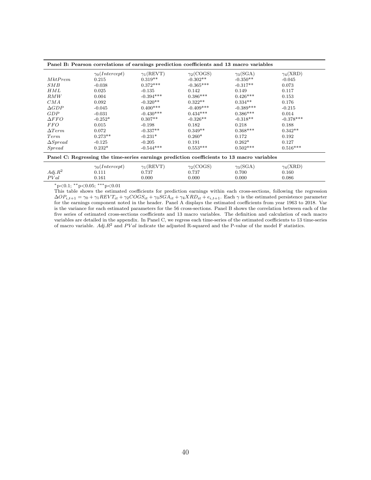| Panel B: Pearson correlations of earnings prediction coefficients and 13 macro variables   |                       |                      |                        |                 |                        |  |  |  |
|--------------------------------------------------------------------------------------------|-----------------------|----------------------|------------------------|-----------------|------------------------|--|--|--|
|                                                                                            | $\gamma_0(Intercept)$ | $\gamma_1(\rm REVT)$ | $\gamma_2({\rm COGS})$ | $\gamma_3(SGA)$ | $\gamma_4(\text{XRD})$ |  |  |  |
| MktPrem                                                                                    | 0.215                 | $0.319**$            | $-0.302**$             | $-0.350**$      | $-0.045$               |  |  |  |
| SMB                                                                                        | $-0.038$              | $0.372***$           | $-0.365***$            | $-0.317**$      | 0.073                  |  |  |  |
| HML                                                                                        | 0.025                 | $-0.135$             | 0.142                  | 0.149           | 0.117                  |  |  |  |
| RMW                                                                                        | 0.004                 | $-0.394***$          | $0.386***$             | $0.426***$      | 0.153                  |  |  |  |
| CMA                                                                                        | 0.092                 | $-0.320**$           | $0.322**$              | $0.334**$       | 0.176                  |  |  |  |
| $\triangle GDP$                                                                            | $-0.045$              | $0.400***$           | $-0.409***$            | $-0.389***$     | $-0.215$               |  |  |  |
| GDP                                                                                        | $-0.031$              | $-0.430***$          | $0.434***$             | $0.386***$      | 0.014                  |  |  |  |
| $\Delta FFO$                                                                               | $-0.252*$             | $0.307**$            | $-0.326**$             | $-0.318**$      | $-0.378***$            |  |  |  |
| <i>FFO</i>                                                                                 | 0.015                 | $-0.198$             | 0.182                  | 0.218           | 0.188                  |  |  |  |
| $\Delta Term$                                                                              | 0.072                 | $-0.337**$           | $0.349**$              | $0.368***$      | $0.342**$              |  |  |  |
| Term                                                                                       | $0.273**$             | $-0.231*$            | $0.260*$               | 0.172           | 0.192                  |  |  |  |
| $\Delta S$ <i>pread</i>                                                                    | $-0.125$              | $-0.205$             | 0.191                  | $0.262*$        | 0.127                  |  |  |  |
| $S$ <i>pread</i>                                                                           | $0.232*$              | $-0.544***$          | $0.553***$             | $0.502***$      | $0.516***$             |  |  |  |
| Panel C: Regressing the time-series earnings prediction coefficients to 13 macro variables |                       |                      |                        |                 |                        |  |  |  |
|                                                                                            | $\gamma_0(Intercept)$ | $\gamma_1(\rm REVT)$ | $\gamma_2({\rm COGS})$ | $\gamma_3(SGA)$ | $\gamma_4(\text{XRD})$ |  |  |  |
| $Adj R^2$                                                                                  | 0.111                 | 0.737                | 0.737                  | 0.700           | 0.160                  |  |  |  |
| PVal                                                                                       | 0.161                 | 0.000                | 0.000                  | 0.000           | 0.086                  |  |  |  |

This table shows the estimated coefficients for prediction earnings within each cross-sections, following the regression  $\Delta OP_{i,t+1} = \gamma_0 + \gamma_1 REVT_{it} + \gamma_2 COGS_{it} + \gamma_3 SGA_{it} + \gamma_4 XRD_{it} + e_{i,t+1}$ . Each  $\gamma$  is the estimated persistence parameter for the earnings component noted in the header. Panel A displays the estimated coefficients from year 1963 to 2018. Var is the variance for each estimated parameters for the 56 cross-sections. Panel B shows the correlation between each of the five series of estimated cross-sections coefficients and 13 macro variables. The definition and calculation of each macro variables are detailed in the appendix. In Panel C, we regress each time-series of the estimated coefficients to 13 time-series of macro variable. Adj. $R^2$  and PV al indicate the adjusted R-squared and the P-value of the model F statistics.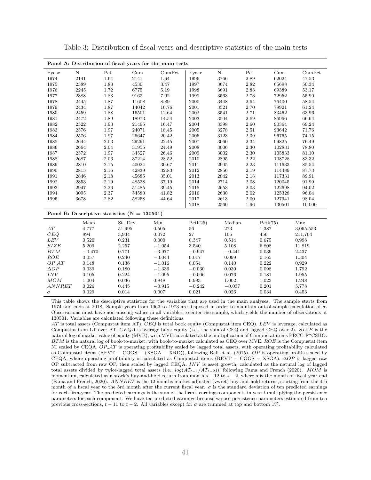| Panel A: Distribution of fiscal years for the main tests |            |          |                                                |          |          |             |          |           |             |
|----------------------------------------------------------|------------|----------|------------------------------------------------|----------|----------|-------------|----------|-----------|-------------|
| Fyear                                                    | $\rm N$    | Pct      | Cum                                            | CumPet   | Fyear    | $\mathbf N$ | Pct      | Cum       | CumPct      |
| 1974                                                     | 2141       | $1.64\,$ | 2141                                           | $1.64\,$ | 1996     | 3766        | 2.89     | 62024     | 47.53       |
| 1975                                                     | 2389       | 1.83     | 4530                                           | 3.47     | 1997     | 3674        | 2.82     | 65698     | 50.34       |
| 1976                                                     | 2245       | 1.72     | 6775                                           | 5.19     | 1998     | 3691        | 2.83     | 69389     | 53.17       |
| 1977                                                     | $\bf 2388$ | 1.83     | 9163                                           | 7.02     | 1999     | 3563        | 2.73     | 72952     | 55.90       |
| 1978                                                     | 2445       | 1.87     | 11608                                          | 8.89     | 2000     | 3448        | 2.64     | 76400     | 58.54       |
| 1979                                                     | $\bf 2434$ | $1.87\,$ | 14042                                          | 10.76    | 2001     | $3521\,$    | $2.70\,$ | 79921     | $61.24\,$   |
| 1980                                                     | 2459       | 1.88     | 16501                                          | 12.64    | 2002     | 3541        | $2.71\,$ | 83462     | 63.96       |
| 1981                                                     | 2472       | 1.89     | 18973                                          | 14.54    | 2003     | 3504        | 2.69     | 86966     | 66.64       |
| 1982                                                     | $2522\,$   | 1.93     | 21495                                          | 16.47    | 2004     | 3398        | 2.60     | 90364     | 69.24       |
| 1983                                                     | $2576\,$   | $1.97\,$ | 24071                                          | 18.45    | 2005     | 3278        | 2.51     | 93642     | 71.76       |
| 1984                                                     | $2576\,$   | $1.97\,$ | 26647                                          | 20.42    | 2006     | $3123\,$    | 2.39     | 96765     | 74.15       |
| 1985                                                     | 2644       | 2.03     | 29291                                          | 22.45    | 2007     | 3060        | 2.34     | 99825     | 76.49       |
| 1986                                                     | 2664       | $2.04\,$ | 31955                                          | 24.49    | 2008     | 3006        | 2.30     | 102831    | 78.80       |
| 1987                                                     | 2572       | 1.97     | 34527                                          | 26.46    | 2009     | 3002        | 2.30     | 105833    | 81.10       |
| 1988                                                     | 2687       | 2.06     | 37214                                          | 28.52    | 2010     | 2895        | 2.22     | 108728    | 83.32       |
| 1989                                                     | $2810\,$   | $2.15\,$ | 40024                                          | 30.67    | 2011     | $\,2905\,$  | $2.23\,$ | 111633    | $85.54\,$   |
| 1990                                                     | $2815\,$   | 2.16     | 42839                                          | 32.83    | 2012     | 2856        | 2.19     | 114489    | 87.73       |
| 1991                                                     | 2846       | $2.18\,$ | 45685                                          | 35.01    | 2013     | 2842        | 2.18     | 117331    | 89.91       |
| 1992                                                     | 2853       | 2.19     | 48538                                          | 37.19    | 2014     | 2714        | 2.08     | 120045    | 91.99       |
| 1993                                                     | 2947       | 2.26     | 51485                                          | 39.45    | 2015     | 2653        | 2.03     | 122698    | 94.02       |
| 1994                                                     | 3095       | $2.37\,$ | 54580                                          | 41.82    | 2016     | $2630\,$    | 2.02     | 125328    | 96.04       |
| 1995                                                     | 3678       | 2.82     | 58258                                          | 44.64    | 2017     | 2613        | 2.00     | 127941    | 98.04       |
|                                                          |            |          |                                                |          | 2018     | 2560        | 1.96     | 130501    | 100.00      |
|                                                          |            |          | Panel B: Descriptive statistics $(N = 130501)$ |          |          |             |          |           |             |
|                                                          | Mean       |          | St. Dev.                                       | Min      | Pctl(25) | Median      |          | Pctl(75)  | Max         |
| $\cal AT$                                                | 4,777      |          | 51,995                                         | 0.505    | 56       | 273         |          | 1,387     | 3,065,553   |
| CEQ                                                      | 894        |          | 3,934                                          | 0.072    | 27       | 106         |          | 456       | 211,704     |
| LEV                                                      | 0.520      |          | 0.231                                          | 0.000    | 0.347    | 0.514       |          | 0.675     | 0.998       |
| SIZE                                                     | 5.209      |          | 2.257                                          | $-1.054$ | 3.540    | 5.108       |          | 6.808     | 11.819      |
| $BTM$                                                    | $-0.470$   |          | 0.771                                          | $-3.977$ | $-0.947$ | $-0.441$    |          | 0.039     | $2.437\,$   |
| ROE                                                      | 0.057      |          | 0.240                                          | $-3.044$ | 0.017    | 0.099       |          | 0.165     | 1.304       |
| $OP\_AT$                                                 | 0.148      |          | 0.136                                          | $-1.016$ | 0.054    | 0.140       |          | 0.222     | $\,0.929\,$ |
| $\triangle OP$                                           | 0.039      |          | 0.180                                          | $-1.336$ | $-0.030$ | 0.030       |          | 0.098     | 1.792       |
| INV                                                      | 0.105      |          | 0.224                                          | $-1.095$ | $-0.006$ | 0.076       |          | 0.181     | 1.955       |
| $MOM$                                                    | $1.004\,$  |          | $\,0.036\,$                                    | 0.848    | 0.983    | 1.002       |          | $1.023\,$ | $1.248\,$   |
| ANNRET                                                   | 0.026      |          | 0.445                                          | $-0.915$ | $-0.242$ | $-0.037$    |          | 0.201     | 5.778       |
| $\sigma$                                                 | 0.029      |          | 0.014                                          | 0.007    | 0.021    | 0.026       |          | 0.034     | 0.453       |

Table 3: Distribution of fiscal years and descriptive statistics of the main tests

This table shows the descriptive statistics for the variables that are used in the main analyses. The sample starts from 1974 and ends at 2018. Sample years from 1963 to 1973 are disposed in order to maintain out-of-sample calculation of  $\sigma$ . Observations must have non-missing values in all variables to enter the sample, which yields the number of observations at 130501. Variables are calculated following these definitions.

AT is total assets (Compustat item AT). CEQ is total book equity (Compustat item CEQ). LEV is leverage, calculated as Compustat item LT over AT.  $CEQA$  is average book equity (i.e., the sum of CEQ and lagged CEQ over 2).  $SIZE$  is the natural log of market value of equity (MVE), with MVE calculated as the multiplication of Compustat items PRCC F\*CSHO. BTM is the natural log of book-to-market, with book-to-market calculated as CEQ over MVE. ROE is the Compustat item NI scaled by CEQA. OP\_AT is operating profitability scaled by lagged total assets, with operating profitability calculated as Compustat items (REVT − COGS − (XSGA − XRD)), following Ball et al. (2015). OP is operating profits scaled by CEQA, where operating profitability is calculated as Compustat items (REVT – COGS – XSGA).  $\Delta OP$  is lagged raw OP subtracted from raw OP, then scaled by lagged CEQA. INV is asset growth, calculated as the natural log of lagged total assets divided by twice-lagged total assets (i.e.,  $log(AT_{t-1}/AT_{t-2})$ ), following Fama and French (2020). MOM is momentum, calculated as a stock's buy-and-hold return from month  $s - 12$  to  $s - 2$ , where s is the month of fiscal year end (Fama and French, 2020). ANNRET is the 12 months market-adjusted (vwret) buy-and-hold returns, starting from the 4th month of a fiscal year to the 3rd month after the current fiscal year.  $\sigma$  is the standard deviation of ten predicted earnings for each firm-year. The predicted earnings is the sum of the firm's earnings components in year  $t$  multiplying the persistence parameters for each component. We have ten predicted earnings because we use persistence parameters estimated from ten previous cross-sections,  $t - 11$  to  $t - 2$ . All variables except for  $\sigma$  are trimmed at top and bottom 1%.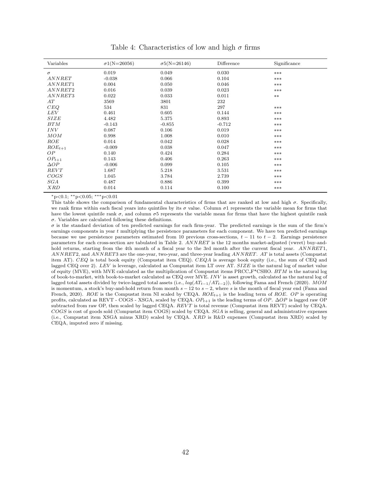| Variables      | $\sigma$ 1(N=26056) | $\sigma$ 5(N=26146) | Difference | Significance |
|----------------|---------------------|---------------------|------------|--------------|
| $\sigma$       | 0.019               | 0.049               | 0.030      | $***$        |
| ANNRET         | $-0.038$            | 0.066               | 0.104      | $***$        |
| ANNRET1        | 0.004               | 0.050               | 0.046      | ***          |
| ANNRET2        | 0.016               | 0.039               | 0.023      | $***$        |
| ANNRET3        | 0.022               | 0.033               | 0.011      | $***$        |
| AT             | 3569                | 3801                | 232        |              |
| CEQ            | 534                 | 831                 | 297        | $***$        |
| <b>LEV</b>     | 0.461               | 0.605               | 0.144      | $***$        |
| SIZE           | 4.482               | 5.375               | 0.893      | $***$        |
| BTM            | $-0.143$            | $-0.855$            | $-0.712$   | ***          |
| INV            | 0.087               | 0.106               | 0.019      | ***          |
| MOM            | 0.998               | 1.008               | 0.010      | $***$        |
| ROE            | 0.014               | 0.042               | 0.028      | ***          |
| $ROE_{t+1}$    | $-0.009$            | 0.038               | 0.047      | $***$        |
| OP             | 0.140               | 0.424               | 0.284      | ***          |
| $OP_{t+1}$     | 0.143               | 0.406               | 0.263      | ***          |
| $\triangle OP$ | $-0.006$            | 0.099               | 0.105      | ***          |
| REVT           | 1.687               | 5.218               | 3.531      | $***$        |
| COGS           | 1.045               | 3.784               | 2.739      | $***$        |
| SGA            | 0.487               | 0.886               | 0.399      | $***$        |
| <b>XRD</b>     | 0.014               | 0.114               | 0.100      | $***$        |

Table 4: Characteristics of low and high  $\sigma$  firms

 $*p<0.1$ ;  $*p<0.05$ ;  $***p<0.01$ 

This table shows the comparison of fundamental characteristics of firms that are ranked at low and high  $\sigma$ . Specifically, we rank firms within each fiscal years into quintiles by its  $\sigma$  value. Column  $\sigma$ 1 represents the variable mean for firms that have the lowest quintile rank  $\sigma$ , and column  $\sigma$ 5 represents the variable mean for firms that have the highest quintile rank σ. Variables are calculated following these definitions.

 $\sigma$  is the standard deviation of ten predicted earnings for each firm-year. The predicted earnings is the sum of the firm's earnings components in year  $t$  multiplying the persistence parameters for each component. We have ten predicted earnings because we use persistence parameters estimated from 10 previous cross-sections,  $t - 11$  to  $t - 2$ . Earnings persistence parameters for each cross-section are tabulated in Table 2. ANNRET is the 12 months market-adjusted (vwret) buy-andhold returns, starting from the 4th month of a fiscal year to the 3rd month after the current fiscal year. ANNRET1, ANNRET2, and ANNRET3 are the one-year, two-year, and three-year leading ANNRET. AT is total assets (Compustat item AT). CEQ is total book equity (Compustat item CEQ). CEQA is average book equity (i.e., the sum of CEQ and lagged CEQ over 2). LEV is leverage, calculated as Compustat item LT over AT. SIZE is the natural log of market value of equity (MVE), with MVE calculated as the multiplication of Compustat items  $\text{PRCC-F}^*\text{CSHO}$ . BTM is the natural log of book-to-market, with book-to-market calculated as CEQ over MVE. INV is asset growth, calculated as the natural log of lagged total assets divided by twice-lagged total assets (i.e.,  $log(AT_{t-1}/AT_{t-2})$ ), following Fama and French (2020). MOM is momentum, a stock's buy-and-hold return from month  $s - 12$  to  $s - 2$ , where s is the month of fiscal year end (Fama and French, 2020). ROE is the Compustat item NI scaled by CEQA.  $ROE_{t+1}$  is the leading term of ROE. OP is operating profits, calculated as REVT - COGS - XSGA, scaled by CEQA.  $OP_{t+1}$  is the leading terms of  $OP$ .  $\Delta OP$  is lagged raw OP subtracted from raw OP, then scaled by lagged CEQA. REVT is total revenue (Compustat item REVT) scaled by CEQA. COGS is cost of goods sold (Compustat item COGS) scaled by CEQA. SGA is selling, general and administrative expenses (i.e., Compustat item XSGA minus XRD) scaled by CEQA. XRD is R&D expenses (Compustat item XRD) scaled by CEQA, imputed zero if missing.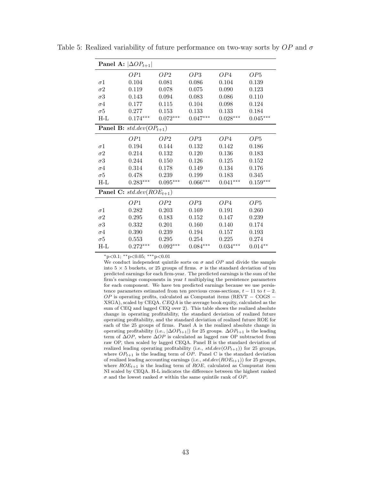| <b>Panel A:</b> $ \Delta OP_{t+1} $ |                                       |                 |            |            |                 |  |  |  |
|-------------------------------------|---------------------------------------|-----------------|------------|------------|-----------------|--|--|--|
|                                     | OP1                                   | OP <sub>2</sub> | OP3        | OP4        | OP <sub>5</sub> |  |  |  |
| $\sigma 1$                          | 0.104                                 | 0.081           | 0.086      | 0.104      | 0.139           |  |  |  |
| $\sigma 2$                          | 0.119                                 | 0.078           | 0.075      | 0.090      | 0.123           |  |  |  |
| $\sigma 3$                          | 0.143                                 | 0.094           | 0.083      | 0.086      | 0.110           |  |  |  |
| $\sigma 4$                          | 0.177                                 | 0.115           | 0.104      | 0.098      | 0.124           |  |  |  |
| $\sigma 5$                          | 0.277                                 | 0.153           | 0.133      | 0.133      | 0.184           |  |  |  |
| $H-L$                               | $0.174***$                            | $0.072***$      | $0.047***$ | $0.028***$ | $0.045***$      |  |  |  |
|                                     | <b>Panel B:</b> std.dev( $OP_{t+1}$ ) |                 |            |            |                 |  |  |  |
|                                     | OP1                                   | OP <sub>2</sub> | OP3        | OP4        | OP <sub>5</sub> |  |  |  |
| $\sigma$ 1                          | 0.194                                 | 0.144           | 0.132      | 0.142      | 0.186           |  |  |  |
| $\sigma 2$                          | 0.214                                 | 0.132           | 0.120      | 0.136      | 0.183           |  |  |  |
| $\sigma 3$                          | 0.244                                 | 0.150           | 0.126      | 0.125      | 0.152           |  |  |  |
| $\sigma 4$                          | 0.314                                 | 0.178           | 0.149      | 0.134      | 0.176           |  |  |  |
| $\sigma 5$                          | 0.478                                 | 0.239           | 0.199      | 0.183      | 0.345           |  |  |  |
| $H-L$                               | $0.283***$                            | $0.095***$      | $0.066***$ | $0.041***$ | $0.159***$      |  |  |  |
|                                     | <b>Panel C:</b> $std.dev(ROE_{t+1})$  |                 |            |            |                 |  |  |  |
|                                     | OP1                                   | OP <sub>2</sub> | OP3        | OP4        | OP <sub>5</sub> |  |  |  |
| $\sigma$ 1                          | 0.282                                 | 0.203           | 0.169      | 0.191      | 0.260           |  |  |  |
| $\sigma 2$                          | 0.295                                 | 0.183           | 0.152      | 0.147      | 0.239           |  |  |  |
| $\sigma 3$                          | 0.332                                 | 0.201           | 0.160      | 0.140      | 0.174           |  |  |  |
| $\sigma 4$                          | 0.390                                 | 0.239           | 0.194      | 0.157      | 0.193           |  |  |  |
| $\sigma 5$                          | 0.553                                 | 0.295           | 0.254      | 0.225      | 0.274           |  |  |  |
| H-L                                 | $0.272***$                            | $0.092***$      | $0.084***$ | $0.034***$ | $0.014**$       |  |  |  |

Table 5: Realized variability of future performance on two-way sorts by  $OP$  and  $\sigma$ 

We conduct independent quintile sorts on  $\sigma$  and  $OP$  and divide the sample into 5  $\times$  5 buckets, or 25 groups of firms.  $\sigma$  is the standard deviation of ten predicted earnings for each firm-year. The predicted earnings is the sum of the firm's earnings components in year  $t$  multiplying the persistence parameters for each component. We have ten predicted earnings because we use persistence parameters estimated from ten previous cross-sections,  $t - 11$  to  $t - 2$ .  $OP$  is operating profits, calculated as Compustat items (REVT – COGS – XSGA), scaled by CEQA. CEQA is the average book equity, calculated as the sum of CEQ and lagged CEQ over 2). This table shows the realized absolute change in operating profitability, the standard deviation of realized future operating profitability, and the standard deviation of realized future ROE for each of the 25 groups of firms. Panel A is the realized absolute change in operating profitability (i.e.,  $|\Delta OP_{t+1}|$ ) for 25 groups.  $\Delta OP_{t+1}$  is the leading term of  $\Delta OP$ , where  $\Delta OP$  is calculated as lagged raw OP subtracted from raw OP, then scaled by lagged CEQA. Panel B is the standard deviation of realized leading operating profitability (i.e.,  $std.dev(OP_{t+1})$ ) for 25 groups, where  $OP_{t+1}$  is the leading term of  $OP$ . Panel C is the standard deviation of realized leading accounting earnings (i.e.,  $std.dev(ROE_{t+1})$ ) for 25 groups, where  $ROE_{t+1}$  is the leading term of  $ROE$ , calculated as Compustat item NI scaled by CEQA. H-L indicates the difference between the highest ranked  $\sigma$  and the lowest ranked  $\sigma$  within the same quintile rank of  $OP.$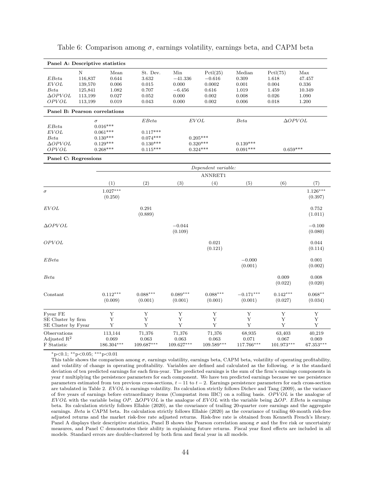| Panel A: Descriptive statistics               |          |                                |                               |                               |                               |                               |                               |                              |
|-----------------------------------------------|----------|--------------------------------|-------------------------------|-------------------------------|-------------------------------|-------------------------------|-------------------------------|------------------------------|
|                                               | N        | Mean                           | St. Dev.                      | Min                           | Pctl(25)                      | Median                        | Pctl(75)                      | Max                          |
| EBeta                                         | 116,837  | 0.644                          | 3.632                         | $-41.336$                     | $-0.616$                      | 0.309                         | 1.618                         | 47.457                       |
| EVOL                                          | 139,570  | 0.006                          | 0.015                         | 0.000                         | 0.0002                        | 0.001                         | 0.004                         | 0.336                        |
| Beta                                          | 125,841  | 1.082                          | 0.707                         | $-6.456$                      | 0.616                         | 1.019                         | 1.459                         | 10.349                       |
| $\Delta OPVOL$                                | 113,199  | 0.027                          | 0.052                         | 0.000                         | 0.002                         | 0.008                         | 0.026                         | 1.090                        |
| OPVOL                                         | 113,199  | 0.019                          | 0.043                         | 0.000                         | 0.002                         | 0.006                         | 0.018                         | 1.200                        |
| Panel B: Pearson correlations                 |          |                                |                               |                               |                               |                               |                               |                              |
|                                               | $\sigma$ |                                | EBeta                         | <b>EVOL</b>                   |                               | Beta                          |                               | $\Delta OPVOL$               |
| EBeta                                         |          | $0.016***$                     |                               |                               |                               |                               |                               |                              |
| EVOL                                          |          | $0.061***$                     | $0.117***$                    |                               |                               |                               |                               |                              |
| Beta                                          |          | $0.130***$                     | $0.074***$                    |                               | $0.205***$                    |                               |                               |                              |
| $\Delta OPVOL$                                |          | $0.129***$<br>$0.268***$       | $0.130***$<br>$0.115***$      |                               | $0.320***$                    | $0.139***$<br>$0.091***$      | $0.659***$                    |                              |
| OPVOL                                         |          |                                |                               |                               | $0.324***$                    |                               |                               |                              |
| Panel C: Regressions                          |          |                                |                               |                               |                               |                               |                               |                              |
|                                               |          |                                |                               |                               | Dependent variable:           |                               |                               |                              |
|                                               |          |                                |                               |                               | ANNRET1                       |                               |                               |                              |
|                                               |          | (1)                            | (2)                           | (3)                           | (4)                           | (5)                           | (6)                           | (7)                          |
| $\sigma$                                      |          | $1.027***$<br>(0.250)          |                               |                               |                               |                               |                               | $1.126***$<br>(0.397)        |
| <b>EVOL</b>                                   |          |                                | 0.291<br>(0.889)              |                               |                               |                               |                               | 0.752<br>(1.011)             |
| $\Delta OPVOL$                                |          |                                |                               | $-0.044$<br>(0.109)           |                               |                               |                               | $-0.100$<br>(0.080)          |
| OPVOL                                         |          |                                |                               |                               | 0.021<br>(0.121)              |                               |                               | 0.044<br>(0.114)             |
| EBeta                                         |          |                                |                               |                               |                               | $-0.000$<br>(0.001)           |                               | 0.001<br>(0.002)             |
| Beta                                          |          |                                |                               |                               |                               |                               | 0.009<br>(0.022)              | 0.008<br>(0.020)             |
| Constant                                      |          | $0.112***$<br>(0.009)          | $0.088***$<br>(0.001)         | $0.089***$<br>(0.001)         | $0.088***$<br>(0.001)         | $-0.171***$<br>(0.001)        | $0.142***$<br>(0.027)         | $0.068**$<br>(0.034)         |
| Fyear FE                                      |          | Y                              | Y                             | $\mathbf Y$                   | $\mathbf Y$                   | Y                             | Y                             | Y                            |
| SE Cluster by firm<br>SE Cluster by Fyear     |          | $\mathbf Y$<br>Y               | $\mathbf Y$<br>Y              | $\mathbf Y$<br>Y              | Y<br>Υ                        | Y<br>Y                        | Y<br>Y                        | Y<br>Y                       |
| Observations<br>Adjusted $R^2$<br>F Statistic |          | 113,144<br>0.069<br>186.304*** | 71,376<br>0.063<br>109.687*** | 71,376<br>0.063<br>109.627*** | 71,376<br>0.063<br>109.589*** | 68,935<br>0.071<br>117.766*** | 63,403<br>0.067<br>101.973*** | 40,219<br>0.069<br>67.353*** |

Table 6: Comparison among  $\sigma$ , earnings volatility, earnings beta, and CAPM beta

This table shows the comparison among  $\sigma$ , earnings volatility, earnings beta, CAPM beta, volatility of operating profitability, and volatility of change in operating profitability. Variables are defined and calculated as the following.  $\sigma$  is the standard deviation of ten predicted earnings for each firm-year. The predicted earnings is the sum of the firm's earnings components in year t multiplying the persistence parameters for each component. We have ten predicted earnings because we use persistence parameters estimated from ten previous cross-sections,  $t - 11$  to  $t - 2$ . Earnings persistence parameters for each cross-section are tabulated in Table 2. EVOL is earnings volatility. Its calculation strictly follows Dichev and Tang (2009), as the variance of five years of earnings before extraordinary items (Compustat item IBC) on a rolling basis. OPVOL is the analogue of EVOL with the variable being OP. ∆OPVOL is the analogue of EVOL with the variable being  $\Delta OP$ . EBeta is earnings beta. Its calculation strictly follows Ellahie (2020), as the covariance of trailing 20-quarter core earnings and the aggregate earnings. Beta is CAPM beta. Its calculation strictly follows Ellahie (2020) as the covariance of trailing 60-month risk-free adjusted returns and the market risk-free rate adjusted returns. Risk-free rate is obtained from Kenneth French's library. Panel A displays their descriptive statistics, Panel B shows the Pearson correlation among  $\sigma$  and the five risk or uncertainty measures, and Panel C demonstrates their ability in explaining future returns. Fiscal year fixed effects are included in all models. Standard errors are double-clustered by both firm and fiscal year in all models.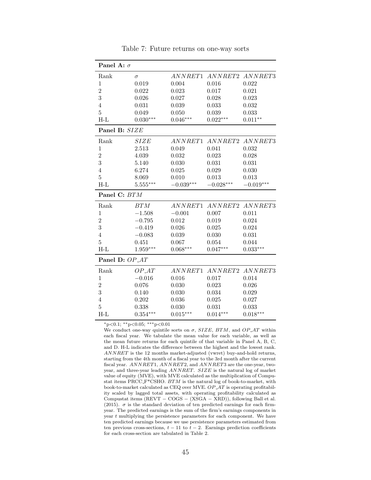| ANNRET1<br>ANNRET2<br>Rank<br>$\sigma$<br>0.019<br>$\mathbf 1$<br>0.004<br>0.016<br>0.022<br>$\overline{2}$<br>0.022<br>0.023<br>0.017<br>0.021<br>3<br>0.023<br>0.026<br>0.027<br>0.028<br>$\overline{4}$<br>0.031<br>0.032<br>0.039<br>0.033<br>$\overline{5}$<br>0.050<br>0.039<br>0.033<br>0.049<br>$H-L$<br>$0.030***$<br>$0.046***$<br>$0.022***$<br>$0.011**$<br>Panel B: SIZE<br>Rank<br>SIZE<br>ANNRET1<br>2.513<br>0.041<br>0.032<br>1<br>0.049<br>$\overline{2}$<br>4.039<br>0.032<br>0.023<br>0.028<br>3<br>5.140<br>0.030<br>0.031<br>0.031<br>0.029<br>0.030<br>$\overline{4}$<br>6.274<br>0.025<br>$\overline{5}$<br>8.069<br>0.010<br>0.013<br>0.013<br>$H-L$<br>$5.555***$<br>$-0.039***$<br>$-0.028***$<br>$-0.019***$<br>Panel C: BTM<br>BTM<br>ANNRET1<br>ANNRET2<br>Rank<br>$-0.001$<br>0.011<br>$\mathbf 1$<br>$-1.508$<br>0.007<br>$\overline{2}$<br>$-0.795$<br>0.012<br>0.024<br>0.019<br>3<br>0.026<br>0.024<br>$-0.419$<br>0.025<br>$\overline{4}$<br>$-0.083$<br>0.031<br>0.039<br>0.030<br>$\overline{5}$<br>0.044<br>0.451<br>0.067<br>0.054<br>$H-L$<br>$1.959***$<br>$0.068***$<br>$0.047***$<br>$0.033***$<br>Panel D: OP_AT<br>Rank<br>$OP_AT$<br>$-0.016$<br>$\mathbf 1$<br>0.016<br>0.017<br>0.014<br>$\overline{2}$<br>0.026<br>0.076<br>0.030<br>0.023<br>3<br>0.140<br>0.030<br>0.034<br>0.029<br>$\overline{4}$<br>0.202<br>0.036<br>0.025<br>0.027<br>$\overline{5}$<br>0.338<br>0.031<br>0.033<br>0.030<br>$H-L$<br>$0.015***$<br>$0.018***$<br>$0.354***$<br>$0.014***$ | Panel A: $\sigma$ |  |         |
|--------------------------------------------------------------------------------------------------------------------------------------------------------------------------------------------------------------------------------------------------------------------------------------------------------------------------------------------------------------------------------------------------------------------------------------------------------------------------------------------------------------------------------------------------------------------------------------------------------------------------------------------------------------------------------------------------------------------------------------------------------------------------------------------------------------------------------------------------------------------------------------------------------------------------------------------------------------------------------------------------------------------------------------------------------------------------------------------------------------------------------------------------------------------------------------------------------------------------------------------------------------------------------------------------------------------------------------------------------------------------------------------------------------------------------------------------------------------------------------------------------------------|-------------------|--|---------|
| ANNRET2 ANNRET3<br>ANNRET3<br>ANNRET1 ANNRET2 ANNRET3                                                                                                                                                                                                                                                                                                                                                                                                                                                                                                                                                                                                                                                                                                                                                                                                                                                                                                                                                                                                                                                                                                                                                                                                                                                                                                                                                                                                                                                              |                   |  | ANNRET3 |
|                                                                                                                                                                                                                                                                                                                                                                                                                                                                                                                                                                                                                                                                                                                                                                                                                                                                                                                                                                                                                                                                                                                                                                                                                                                                                                                                                                                                                                                                                                                    |                   |  |         |
|                                                                                                                                                                                                                                                                                                                                                                                                                                                                                                                                                                                                                                                                                                                                                                                                                                                                                                                                                                                                                                                                                                                                                                                                                                                                                                                                                                                                                                                                                                                    |                   |  |         |
|                                                                                                                                                                                                                                                                                                                                                                                                                                                                                                                                                                                                                                                                                                                                                                                                                                                                                                                                                                                                                                                                                                                                                                                                                                                                                                                                                                                                                                                                                                                    |                   |  |         |
|                                                                                                                                                                                                                                                                                                                                                                                                                                                                                                                                                                                                                                                                                                                                                                                                                                                                                                                                                                                                                                                                                                                                                                                                                                                                                                                                                                                                                                                                                                                    |                   |  |         |
|                                                                                                                                                                                                                                                                                                                                                                                                                                                                                                                                                                                                                                                                                                                                                                                                                                                                                                                                                                                                                                                                                                                                                                                                                                                                                                                                                                                                                                                                                                                    |                   |  |         |
|                                                                                                                                                                                                                                                                                                                                                                                                                                                                                                                                                                                                                                                                                                                                                                                                                                                                                                                                                                                                                                                                                                                                                                                                                                                                                                                                                                                                                                                                                                                    |                   |  |         |
|                                                                                                                                                                                                                                                                                                                                                                                                                                                                                                                                                                                                                                                                                                                                                                                                                                                                                                                                                                                                                                                                                                                                                                                                                                                                                                                                                                                                                                                                                                                    |                   |  |         |
|                                                                                                                                                                                                                                                                                                                                                                                                                                                                                                                                                                                                                                                                                                                                                                                                                                                                                                                                                                                                                                                                                                                                                                                                                                                                                                                                                                                                                                                                                                                    |                   |  |         |
|                                                                                                                                                                                                                                                                                                                                                                                                                                                                                                                                                                                                                                                                                                                                                                                                                                                                                                                                                                                                                                                                                                                                                                                                                                                                                                                                                                                                                                                                                                                    |                   |  |         |
|                                                                                                                                                                                                                                                                                                                                                                                                                                                                                                                                                                                                                                                                                                                                                                                                                                                                                                                                                                                                                                                                                                                                                                                                                                                                                                                                                                                                                                                                                                                    |                   |  |         |
|                                                                                                                                                                                                                                                                                                                                                                                                                                                                                                                                                                                                                                                                                                                                                                                                                                                                                                                                                                                                                                                                                                                                                                                                                                                                                                                                                                                                                                                                                                                    |                   |  |         |
|                                                                                                                                                                                                                                                                                                                                                                                                                                                                                                                                                                                                                                                                                                                                                                                                                                                                                                                                                                                                                                                                                                                                                                                                                                                                                                                                                                                                                                                                                                                    |                   |  |         |
|                                                                                                                                                                                                                                                                                                                                                                                                                                                                                                                                                                                                                                                                                                                                                                                                                                                                                                                                                                                                                                                                                                                                                                                                                                                                                                                                                                                                                                                                                                                    |                   |  |         |
|                                                                                                                                                                                                                                                                                                                                                                                                                                                                                                                                                                                                                                                                                                                                                                                                                                                                                                                                                                                                                                                                                                                                                                                                                                                                                                                                                                                                                                                                                                                    |                   |  |         |
|                                                                                                                                                                                                                                                                                                                                                                                                                                                                                                                                                                                                                                                                                                                                                                                                                                                                                                                                                                                                                                                                                                                                                                                                                                                                                                                                                                                                                                                                                                                    |                   |  |         |
|                                                                                                                                                                                                                                                                                                                                                                                                                                                                                                                                                                                                                                                                                                                                                                                                                                                                                                                                                                                                                                                                                                                                                                                                                                                                                                                                                                                                                                                                                                                    |                   |  |         |
|                                                                                                                                                                                                                                                                                                                                                                                                                                                                                                                                                                                                                                                                                                                                                                                                                                                                                                                                                                                                                                                                                                                                                                                                                                                                                                                                                                                                                                                                                                                    |                   |  |         |
|                                                                                                                                                                                                                                                                                                                                                                                                                                                                                                                                                                                                                                                                                                                                                                                                                                                                                                                                                                                                                                                                                                                                                                                                                                                                                                                                                                                                                                                                                                                    |                   |  |         |
|                                                                                                                                                                                                                                                                                                                                                                                                                                                                                                                                                                                                                                                                                                                                                                                                                                                                                                                                                                                                                                                                                                                                                                                                                                                                                                                                                                                                                                                                                                                    |                   |  |         |
|                                                                                                                                                                                                                                                                                                                                                                                                                                                                                                                                                                                                                                                                                                                                                                                                                                                                                                                                                                                                                                                                                                                                                                                                                                                                                                                                                                                                                                                                                                                    |                   |  |         |
|                                                                                                                                                                                                                                                                                                                                                                                                                                                                                                                                                                                                                                                                                                                                                                                                                                                                                                                                                                                                                                                                                                                                                                                                                                                                                                                                                                                                                                                                                                                    |                   |  |         |
|                                                                                                                                                                                                                                                                                                                                                                                                                                                                                                                                                                                                                                                                                                                                                                                                                                                                                                                                                                                                                                                                                                                                                                                                                                                                                                                                                                                                                                                                                                                    |                   |  |         |
|                                                                                                                                                                                                                                                                                                                                                                                                                                                                                                                                                                                                                                                                                                                                                                                                                                                                                                                                                                                                                                                                                                                                                                                                                                                                                                                                                                                                                                                                                                                    |                   |  |         |
|                                                                                                                                                                                                                                                                                                                                                                                                                                                                                                                                                                                                                                                                                                                                                                                                                                                                                                                                                                                                                                                                                                                                                                                                                                                                                                                                                                                                                                                                                                                    |                   |  |         |
|                                                                                                                                                                                                                                                                                                                                                                                                                                                                                                                                                                                                                                                                                                                                                                                                                                                                                                                                                                                                                                                                                                                                                                                                                                                                                                                                                                                                                                                                                                                    |                   |  |         |
|                                                                                                                                                                                                                                                                                                                                                                                                                                                                                                                                                                                                                                                                                                                                                                                                                                                                                                                                                                                                                                                                                                                                                                                                                                                                                                                                                                                                                                                                                                                    |                   |  |         |
|                                                                                                                                                                                                                                                                                                                                                                                                                                                                                                                                                                                                                                                                                                                                                                                                                                                                                                                                                                                                                                                                                                                                                                                                                                                                                                                                                                                                                                                                                                                    |                   |  |         |
|                                                                                                                                                                                                                                                                                                                                                                                                                                                                                                                                                                                                                                                                                                                                                                                                                                                                                                                                                                                                                                                                                                                                                                                                                                                                                                                                                                                                                                                                                                                    |                   |  |         |
|                                                                                                                                                                                                                                                                                                                                                                                                                                                                                                                                                                                                                                                                                                                                                                                                                                                                                                                                                                                                                                                                                                                                                                                                                                                                                                                                                                                                                                                                                                                    |                   |  |         |
|                                                                                                                                                                                                                                                                                                                                                                                                                                                                                                                                                                                                                                                                                                                                                                                                                                                                                                                                                                                                                                                                                                                                                                                                                                                                                                                                                                                                                                                                                                                    |                   |  |         |

Table 7: Future returns on one-way sorts

We conduct one-way quintile sorts on  $\sigma$ ,  $SIZE,$   $BTM$ , and  $OP\_AT$  within each fiscal year. We tabulate the mean value for each variable, as well as the mean future returns for each quintile of that variable in Panel A, B, C, and D. H-L indicates the difference between the highest and the lowest rank. ANNRET is the 12 months market-adjusted (vwret) buy-and-hold returns, starting from the 4th month of a fiscal year to the 3rd month after the current fiscal year. ANNRET1, ANNRET2, and ANNRET3 are the one-year, twoyear, and three-year leading ANNRET. SIZE is the natural log of market value of equity (MVE), with MVE calculated as the multiplication of Compustat items PRCC  $F^*$ CSHO.  $BTM$  is the natural log of book-to-market, with book-to-market calculated as CEQ over MVE.  ${\cal OP}$  at is operating profitability scaled by lagged total assets, with operating profitability calculated as Compustat items (REVT − COGS − (XSGA − XRD)), following Ball et al. (2015).  $\sigma$  is the standard deviation of ten predicted earnings for each firmyear. The predicted earnings is the sum of the firm's earnings components in year t multiplying the persistence parameters for each component. We have ten predicted earnings because we use persistence parameters estimated from ten previous cross-sections,  $t - 11$  to  $t - 2$ . Earnings prediction coefficients for each cross-section are tabulated in Table 2.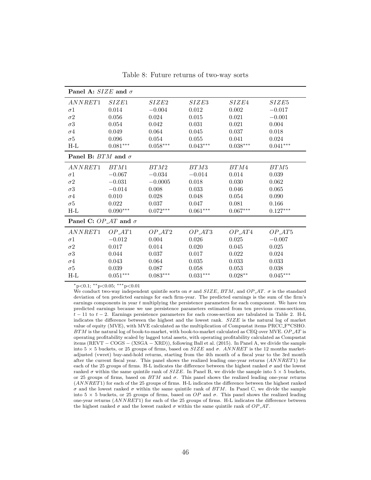| Panel A: SIZE and $\sigma$         |            |            |            |            |            |  |  |  |
|------------------------------------|------------|------------|------------|------------|------------|--|--|--|
| ANNRET1                            | SIZE1      | SIZE2      | SIZE3      | SIZE4      | SIZE5      |  |  |  |
| $\sigma$ 1                         | 0.014      | $-0.004$   | 0.012      | 0.002      | $-0.017$   |  |  |  |
| $\sigma$ <sup>2</sup>              | 0.056      | 0.024      | 0.015      | 0.021      | $-0.001$   |  |  |  |
| $\sigma$ 3                         | 0.054      | 0.042      | 0.031      | 0.021      | 0.004      |  |  |  |
| $\sigma$ 4                         | 0.049      | 0.064      | 0.045      | 0.037      | 0.018      |  |  |  |
| $\sigma$ <sup>5</sup>              | 0.096      | 0.054      | $0.055\,$  | 0.041      | 0.024      |  |  |  |
| $H-L$                              | $0.081***$ | $0.058***$ | $0.043***$ | $0.038***$ | $0.041***$ |  |  |  |
| Panel B: $BTM$ and $\sigma$        |            |            |            |            |            |  |  |  |
| ANNRET1                            | BTM1       | BTM2       | BTM3       | BTM4       | BTM5       |  |  |  |
| $\sigma$ 1                         | $-0.067$   | $-0.034$   | $-0.014$   | 0.014      | 0.039      |  |  |  |
| $\sigma$ <sup>2</sup>              | $-0.031$   | $-0.0005$  | 0.018      | 0.030      | 0.062      |  |  |  |
| $\sigma$ 3                         | $-0.014$   | 0.008      | 0.033      | 0.046      | 0.065      |  |  |  |
| $\sigma$ 4                         | 0.010      | 0.028      | 0.048      | 0.054      | 0.090      |  |  |  |
| $\sigma$ <sup>5</sup>              | 0.022      | 0.037      | 0.047      | 0.081      | 0.166      |  |  |  |
| $H-I$                              | $0.090***$ | $0.072***$ | $0.061***$ | $0.067***$ | $0.127***$ |  |  |  |
| <b>Panel C:</b> OP AT and $\sigma$ |            |            |            |            |            |  |  |  |
| ANNRET1                            | OPAT1      | OP AT2     | OPAT3      | OPAT4      | $OP_A T5$  |  |  |  |
| $\sigma$ 1                         | $-0.012$   | 0.004      | 0.026      | 0.025      | $-0.007$   |  |  |  |
| $\sigma$ <sup>2</sup>              | 0.017      | 0.014      | 0.020      | 0.045      | 0.025      |  |  |  |
| $\sigma$ 3                         | 0.044      | 0.037      | 0.017      | 0.022      | 0.024      |  |  |  |
| $\sigma$ 4                         | 0.043      | 0.064      | 0.035      | 0.033      | 0.033      |  |  |  |
| $\sigma$ <sup>5</sup>              | 0.039      | 0.087      | 0.058      | 0.053      | 0.038      |  |  |  |
| $H-L$                              | $0.051***$ | $0.083***$ | $0.031***$ | $0.028**$  | $0.045***$ |  |  |  |

Table 8: Future returns of two-way sorts

We conduct two-way independent quintile sorts on  $\sigma$  and  $SIZE, BTM,$  and  $OP, AT.$   $\sigma$  is the standard deviation of ten predicted earnings for each firm-year. The predicted earnings is the sum of the firm's earnings components in year  $t$  multiplying the persistence parameters for each component. We have ten predicted earnings because we use persistence parameters estimated from ten previous cross-sections,  $t-11$  to  $t-2$ . Earnings persistence parameters for each cross-section are tabulated in Table 2. H-L indicates the difference between the highest and the lowest rank. SIZE is the natural log of market value of equity (MVE), with MVE calculated as the multiplication of Compustat items PRCC F\*CSHO.  $BTM$  is the natural log of book-to-market, with book-to-market calculated as CEQ over MVE.  $OP\_AT$  is operating profitability scaled by lagged total assets, with operating profitability calculated as Compustat items (REVT − COGS − (XSGA − XRD)), following Ball et al. (2015). In Panel A, we divide the sample into  $5 \times 5$  buckets, or 25 groups of firms, based on  $SIZE$  and  $\sigma$ . ANNRET is the 12 months marketadjusted (vwret) buy-and-hold returns, starting from the 4th month of a fiscal year to the 3rd month after the current fiscal year. This panel shows the realized leading one-year returns (ANNRET1) for each of the 25 groups of firms. H-L indicates the difference between the highest ranked  $\sigma$  and the lowest ranked  $\sigma$  within the same quintile rank of  $SIZE$ . In Panel B, we divide the sample into  $5 \times 5$  buckets, or 25 groups of firms, based on  $BTM$  and  $\sigma$ . This panel shows the realized leading one-year returns (ANNRET1) for each of the 25 groups of firms. H-L indicates the difference between the highest ranked σ and the lowest ranked σ within the same quintile rank of BTM. In Panel C, we divide the sample into  $5 \times 5$  buckets, or 25 groups of firms, based on OP and  $\sigma$ . This panel shows the realized leading one-year returns (ANNRET1) for each of the 25 groups of firms. H-L indicates the difference between the highest ranked  $\sigma$  and the lowest ranked  $\sigma$  within the same quintile rank of  $OP$ <sub>-</sub>AT.